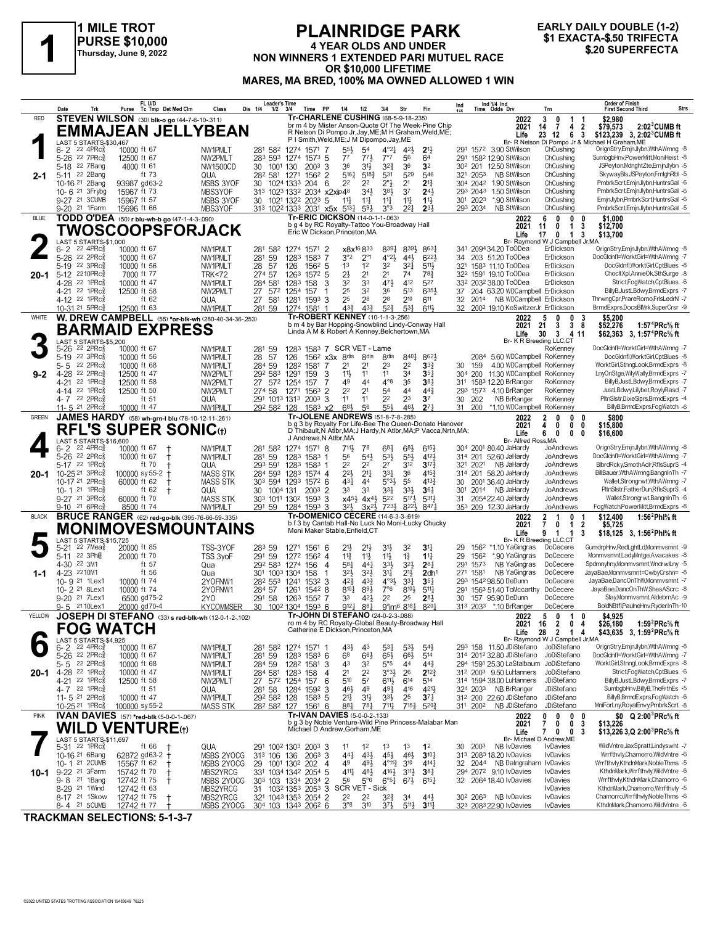

## **PLAINRIDGE PARK 4 YEAR OLDS AND UNDER NON WINNERS 1 EXACTA-\$.50 TRIFECTA**<br>
Thursday, June 9, 2022<br>
Thursday, June 9, 2022<br> **NON WINNERS 1 EXTENDED PARI MUTUEL RACE**<br> **1 SALL CON LIFETIME OR \$10,000 LIFETIME MARES, MA BRED, 100% MA OWNED ALLOWED 1 WIN**

# **EARLY DAILY DOUBLE (1-2)**

|              | Date                                                      | Trk                                       | FL U/D<br>Purse            | Tc Tmp Det Med Clm                                 | Class                                                          | Dis 1/4  | <b>Leader's Time</b><br>$1/2$ $3/4$ |                                                                                               | Time             | PP<br>1/4                                                                       |                                          | 1/2                                | 3/4                                             | Str                               | Fin                                                                                                                         | Ind       |                      | Ind 1/4 Ind<br>Time Odds Drv                                            | Trn                    |                                                                  |                               | <b>Order of Finish</b><br><b>First Second Third</b>                                                  | <b>Strs</b> |
|--------------|-----------------------------------------------------------|-------------------------------------------|----------------------------|----------------------------------------------------|----------------------------------------------------------------|----------|-------------------------------------|-----------------------------------------------------------------------------------------------|------------------|---------------------------------------------------------------------------------|------------------------------------------|------------------------------------|-------------------------------------------------|-----------------------------------|-----------------------------------------------------------------------------------------------------------------------------|-----------|----------------------|-------------------------------------------------------------------------|------------------------|------------------------------------------------------------------|-------------------------------|------------------------------------------------------------------------------------------------------|-------------|
| RED          |                                                           |                                           |                            | <b>STEVEN WILSON</b> (30) blk-o go (44-7-6-10-311) |                                                                |          |                                     |                                                                                               |                  | <b>Tr-CHARLENE CUSHING (68-5-9-18-235)</b>                                      |                                          |                                    |                                                 |                                   | br m 4 by Mister Anson-Quote Of The Week-Pine Chip                                                                          |           |                      | 2022<br>2021                                                            | 3<br>14                | 0<br>-1<br>$\overline{7}$<br>4 <sub>2</sub>                      | - 1                           | \$2,980<br>\$79,573<br>$2:02^3$ CUMB ft                                                              |             |
|              |                                                           | LAST 5 STARTS-\$30,467                    |                            |                                                    | <b>EMMAJEAN JELLYBEAN</b>                                      |          |                                     |                                                                                               |                  | P I Smith, Weld, ME; J M Dipompo, Jay, ME                                       |                                          |                                    |                                                 |                                   | R Nelson Di Pompo Jr, Jay, ME; M H Graham, Weld, ME;                                                                        |           |                      | Life                                                                    |                        | 23 12<br>6 3                                                     |                               | \$123,239 3, 2:02 <sup>3</sup> CUMB ft<br>Br- R Nelson Di Pompo Jr & Michael H Graham, ME            |             |
|              | 6-2<br>5-26 22 7PRc                                       | $22$ 4PR $c_{8}$                          | 10000 ft 67<br>12500 ft 67 |                                                    | NW1PMLT<br>NW2PMLT                                             |          | 283 593                             | 281 582 1274 1571 7<br>1274 1573 5                                                            |                  |                                                                                 | $5^{5\frac{1}{2}}$<br>77                 | 54<br>773                          | $4^{\circ}2^{\frac{1}{4}}$<br>7°7               | 42}<br>56                         | 2 <sup>11</sup><br>64                                                                                                       |           |                      | 291 1572 3.90 StWilson<br>291 1582 12.90 StWilson                       |                        | ChCushing<br>ChCushing                                           |                               | OrignStry,EmjnJlybn,WthAWrnng -8<br>SumbgbHnv,PowerMitt,MoniHeist -8                                 |             |
|              | 5-18 22 7Bang                                             |                                           | 4000 ft 61                 |                                                    | <b>NW1500CD</b>                                                | 30       | 1001 130                            |                                                                                               | $200^3$ 3        |                                                                                 | 36                                       | 3 <sup>1</sup>                     | $3^{2^{3}}$                                     | 36                                | 3 <sup>2</sup>                                                                                                              |           |                      | 30 <sup>2</sup> 201 12.50 StWilson                                      |                        | ChCushing                                                        |                               | JSPeyton,MdnghtZte,EmjnJlybn -5                                                                      |             |
| $2 - 1$      | 5-11 22 2Bang<br>10-16 21 2Bang                           |                                           | ft 73<br>93987 gd63-2      |                                                    | QUA<br><b>MSBS 3YOF</b>                                        | 30       |                                     | 28 <sup>2</sup> 58 <sup>1</sup> 127 <sup>1</sup> 156 <sup>2</sup> 2<br>1024 1333 204          |                  | 6                                                                               | 5161<br>22                               | $5^{18}$<br>22                     | 531<br>2°}                                      | 529<br>2 <sup>1</sup>             | 546<br>$2^{13}$                                                                                                             |           | 321 2053             | <b>NB StWilson</b><br>304 2042 1.90 StWilson                            |                        | ChCushing<br>ChCushing                                           |                               | SkywayBls, JSPeyton, FrnighRbl -5<br>PmbrkScrt,EmjnJlybn,HuntrsGal -6                                |             |
|              | 10-6 21 3Frybg<br>9-27 21 3CUMB                           |                                           | 15967 ft 73<br>15967 ft 57 |                                                    | MBS3YOF<br>MSBS 3YOF                                           |          |                                     | 313 1023 1332 2034 x2xip48<br>30 1021 1322 2023 5                                             |                  |                                                                                 | $11\frac{1}{4}$                          | 34}<br>$11\frac{1}{4}$             | 384<br>$11\frac{1}{4}$                          | 3 <sup>7</sup><br>$11\frac{1}{4}$ | 243<br>$11\frac{1}{2}$                                                                                                      |           | 293 2043<br>301 2023 | 1.50 StWilson<br>*.90 StWilson                                          |                        | ChCushing<br>ChCushing                                           |                               | PmbrkScrt,EmjnJlybn,HuntrsGal -6<br>EmjnJlybn,PmbrkScrt,HuntrsGal -6                                 |             |
|              | 9-20 <sup>21</sup> 1 Farm                                 |                                           | 15696 ft 66                |                                                    | MBS3YOF                                                        |          |                                     | 313 1022 1333 2031 x5x 5131                                                                   |                  |                                                                                 |                                          | $59\frac{1}{2}$                    | 3°3                                             | 22 <sub>1</sub>                   | $2^{3}$                                                                                                                     |           | 293 2034             | NB StWilson                                                             |                        | ChCushing                                                        |                               | PmbrkScrt,EmjnJlybn,HuntrsGal -5                                                                     |             |
| <b>BLUE</b>  |                                                           |                                           |                            | TODD O'DEA (50) r blu-wh-b go (47-1-4-3-.090)      | TWOSCOOPSFORJACK                                               |          |                                     |                                                                                               |                  | Tr-ERIC DICKSON (14-0-1-1-.063)<br>b g 4 by RC Royalty-Tattoo You-Broadway Hall |                                          |                                    |                                                 |                                   |                                                                                                                             |           |                      | 2022<br>2021                                                            | 6<br>11                | $\mathbf{0}$<br>0<br>0<br>$\mathbf{1}$                           | 0<br>3                        | \$1,000<br>\$12,700                                                                                  |             |
|              |                                                           | LAST 5 STARTS-\$1,000                     |                            |                                                    |                                                                |          |                                     |                                                                                               |                  | Eric W Dickson, Princeton, MA                                                   |                                          |                                    |                                                 |                                   |                                                                                                                             |           |                      | Life                                                                    | 17                     | $\mathbf{0}$<br>$1\quad 3$<br>Br- Raymond W J Campbell Jr, MA    |                               | \$13,700                                                                                             |             |
|              | 6-2<br>5-26 <sup>22</sup> 2PRc                            | $22$ 4PR $c_{8}$                          | 10000 ft 67<br>10000 ft 67 |                                                    | NW1PMLT<br>NW1PMLT                                             |          | 281 582<br>281 59                   | 1274 1571 2<br>1283                                                                           | 1583 7           |                                                                                 | x8x <sup>16</sup> 833<br>3°2             | $2^{\circ}1$                       | 8391<br>$4^{\circ}2\frac{1}{2}$                 | 8394<br>$44\frac{1}{2}$           | 8631<br>$6^{22\frac{1}{2}}$                                                                                                 | 34        |                      | 341 2094 34.20 ToODea<br>203 51.20 ToODea                               |                        | ErDickson<br>ErDickson                                           |                               | OrignStry,EmjnJlybn,WthAWrnng -8<br>DocGldnfl=WorktGirl=WthAWrnng -7                                 |             |
| 20-1         | 5-19 22 3PRc<br>5-12 2210PRcs                             |                                           | 10000 ft 56<br>7000 ft 77  |                                                    | NW1PMLT<br><b>TRK&lt;72</b>                                    | 28       | - 57<br>274 57                      | 126<br>1263 1572 5                                                                            | $156^2$ 5        |                                                                                 | 1 <sup>3</sup><br>$2\frac{1}{2}$         | 1 <sup>2</sup><br>21               | 32<br>2 <sup>1</sup>                            | $3^{2}$<br>74                     | 5111<br>78}                                                                                                                 |           |                      | 321 1583 11.10 ToODea<br>322 1591 19.10 ToODea                          |                        | ErDickson<br>ErDickson                                           |                               | DocGldnfl, WorktGirl, CptBlues -8<br>ChocltXpl,AnnieOk,SthSurge -8                                   |             |
|              | 4-28 22 1PRc                                              |                                           | 10000 ft 47                |                                                    | NW1PMLT                                                        |          | 284 581                             | 1283 158                                                                                      |                  | 3                                                                               | 32                                       | 33                                 | 471                                             | 412                               | 527                                                                                                                         |           |                      | 332 2032 38.00 ToODea                                                   |                        | ErDickson                                                        |                               | Strict,FogWatch,CptBlues -6                                                                          |             |
|              | 4-21 22 1PRc<br>4-12 <sup>22</sup> 1PRc3                  |                                           | 12500 ft 58<br>ft $62$     |                                                    | NW2PMLT<br>QUA                                                 | 27<br>27 |                                     | 572 1254 157<br>581 1281 1593 3                                                               |                  |                                                                                 | 25<br>25                                 | 32<br>28                           | 36<br>28                                        | 513<br>210                        | 635}<br>611                                                                                                                 | 32        |                      | 37 204 63.20 WDCampbell ErDickson<br>2014 NB WDCampbell ErDickson       |                        |                                                                  |                               | BillyB,JustLBdwy,BrmdExprs -7<br>ThrwngCpr,PrareRomo,FrlsLedrN -7                                    |             |
| WHITE        | 10-31 21 5PRc                                             |                                           | 12500 ft 63                |                                                    | NW1PMLT<br>W. DREW CAMPBELL (55) *or-blk-wh (280-40-34-36-253) |          | 281 59                              | 1274 1581                                                                                     |                  | -1<br>Tr-ROBERT KENNEY (10-1-1-3-256)                                           | 43}                                      | $4^{3}\frac{3}{4}$                 | $5^{2}$                                         | 531                               | 6111                                                                                                                        |           |                      | 32 2002 19.10 KeSwitzerJr ErDickson<br>2022                             | 5                      | 0<br>0 <sub>3</sub>                                              |                               | BrmdExprs,DocsBlMrk,SuperCrsr -9<br>\$5,200                                                          |             |
|              |                                                           |                                           |                            | <b>BARMAID EXPRESS</b>                             |                                                                |          |                                     |                                                                                               |                  | Linda A M & Robert A Kenney, Belchertown, MA                                    |                                          |                                    |                                                 |                                   | b m 4 by Bar Hopping-Snowblind Lindy-Conway Hall                                                                            |           |                      | 2021                                                                    | 21<br>30               | 3<br>38<br>$3 \quad 411$                                         |                               | \$52,276<br>1:57 <sup>4</sup> PRc% ft                                                                |             |
|              |                                                           | LAST 5 STARTS-\$5,200<br>$22$ 2PR $c_{8}$ |                            |                                                    |                                                                |          |                                     | 1283 1583 7 SCR VET - Lame                                                                    |                  |                                                                                 |                                          |                                    |                                                 |                                   |                                                                                                                             |           |                      | Life                                                                    |                        | Br- K R Breeding LLC,CT<br>RoKenney                              |                               | \$62,363 3, 1:57 <sup>4</sup> PRc <sup>5</sup> / <sub>8</sub> ft<br>DocGldnfl=WorktGirl=WthAWrnng -7 |             |
|              | 5-26<br>5-19 22 3PRc                                      |                                           | 10000 ft 67<br>10000 ft 56 |                                                    | NW1PMLT<br>NW1PMLT                                             |          | 281 59<br>28 57                     | 126                                                                                           |                  | 156 <sup>2</sup> x3x 8 <sup>dis</sup>                                           |                                          | 8 <sub>dis</sub>                   | 8 <sub>dis</sub>                                | 8401                              | 8623                                                                                                                        |           |                      | 2084 5.60 WDCampbell RoKenney                                           |                        |                                                                  |                               | DocGldnfl, WorktGirl, CptBlues -8                                                                    |             |
| $9 - 2$      | 5-5 22 2PRc<br>4-28 22 2PRc                               |                                           | 10000 ft 68<br>12500 ft 47 |                                                    | NW1PMLT<br>NW2PMLT                                             |          | 284 59<br>292 583                   | 1282<br>1291                                                                                  | 1581<br>159      | -7<br>3                                                                         | 21<br>11                                 | 21<br>11                           | 23<br>11                                        | 22<br>34                          | 3 <sup>3</sup><br>35 <sub>7</sub>                                                                                           | 30<br>304 | 159                  | 4.00 WDCampbell RoKenney<br>200 11.30 WDCampbell RoKenney               |                        |                                                                  |                               | WorktGirl,StnngLook,BrmdExprs -8<br>LnyOnStge,WilyWally,BrmdExprs -7                                 |             |
|              | 4-21 22 1PRc<br>4-14 22 1PRc3                             |                                           | 12500 ft 58<br>12500 ft 50 |                                                    | NW2PMLT<br>NW2PMLT                                             |          | 274 58 1271                         | 27 572 1254                                                                                   | 157<br>$156^3$ 2 | 7                                                                               | 49<br>22                                 | 44<br>2 <sup>1</sup>               | $4^{\circ}8$<br>54                              | 35<br>44                          | $38\frac{1}{4}$<br>$44\frac{3}{4}$                                                                                          |           |                      | 311 1583 12.20 BrRanger<br>293 1573 4.10 BrRanger                       |                        | RoKenney<br>RoKenney                                             |                               | BillyB, JustLBdwy, BrmdExprs -7<br>JustLBdwy,Lilybet,RoylyRasd -7                                    |             |
|              | 4-7 22 2PRc                                               |                                           | ft 51                      |                                                    | QUA                                                            |          |                                     | 291 1013 1313 2003 3                                                                          |                  |                                                                                 | 11                                       | 11                                 | 22                                              | 23                                | 3 <sup>7</sup>                                                                                                              |           | 30 202               | NB BrRanger                                                             |                        | RoKenney                                                         |                               | PltnSlstr,DixeSlprs,BrmdExprs -4<br>BillyB,BrmdExprs,FogWatch -6                                     |             |
| <b>GREEN</b> | 11-5 21 2PRc3                                             |                                           | 10000 ft 47                | JAMES HARDY (58) wh-grn-I blu (78-10-12-11-.261)   | NW1PMLT                                                        |          | 292 582 128                         |                                                                                               | $158^3$ x2       | Tr-JOLENE ANDREWS (51-8-7-8-285)                                                | $6^{8}$                                  | 56                                 | 554                                             | 461                               | $27\frac{1}{4}$                                                                                                             | 31        | 200                  | *1.10 WDCampbell RoKenney<br>2022                                       | 2                      | 0<br>$\mathbf{0}$                                                | 0                             | \$800                                                                                                |             |
|              |                                                           |                                           |                            | <b>RFL'S SUPER SONIC(t)</b>                        |                                                                |          |                                     |                                                                                               |                  |                                                                                 |                                          |                                    |                                                 |                                   | b g 3 by Royalty For Life-Bee The Queen-Donato Hanover<br>D Thibault, N Atlbr, MA; J Hardy, N Atlbr, MA; P Vacca, Nrtn, MA; |           |                      | 2021<br>Life                                                            | 4<br>6                 | 0<br>$\mathbf{0}$<br>0<br>$\mathbf{0}$                           | 0<br>0                        | \$15,800<br>\$16,600                                                                                 |             |
|              | 6-2                                                       | LAST 5 STARTS-\$16,600<br>22 4PRc3        | 10000 ft 67                |                                                    | NW1PMLT                                                        |          |                                     | 281 582 1274 1571 8                                                                           |                  | J Andrews, N Atlbr, MA                                                          | 711,                                     | 78                                 | $6^{81}$                                        | $6^{8}$                           | $6^{15}$                                                                                                                    |           |                      | 304 2001 80.40 JaHardy                                                  | Br- Alfred Ross, MA    | JoAndrews                                                        |                               | OrignStry,EmjnJlybn,WthAWrnng -8                                                                     |             |
|              | 5-26 22 2PRcs<br>5-17 22 1PRc                             |                                           | 10000 ft 67<br>ft 70       | $^{\dagger}$                                       | NW1PMLT<br>QUA                                                 |          | 281 59<br>293 591                   | 1283 1583 1<br>1283 1583 1                                                                    |                  |                                                                                 | 56<br>2 <sup>2</sup>                     | $5^{4}$<br>22                      | $5^{31}$<br>2 <sup>7</sup>                      | $55\frac{1}{2}$<br>312            | 4121<br>$3^{17}\frac{3}{4}$                                                                                                 |           | 321 2021             | 314 201 52.60 JaHardy<br>NB JaHardy                                     |                        | JoAndrews<br>JoAndrews                                           |                               | DocGldnfl=WorktGirl=WthAWrnng -7<br>BlbrdRcky,SmothAclr,RflsSuprS -4                                 |             |
| $20 - 1$     | 10-25 <sup>21</sup> 3PRcs                                 |                                           | 100000 sy 55-2             |                                                    | <b>MASS STK</b>                                                |          |                                     | 284 593 1283 1574 4                                                                           |                  |                                                                                 | 22}                                      | $2^{11}$                           | $3^{3}$                                         | 36                                | $4^{15}$                                                                                                                    |           |                      | 314 201 58.20 JaHardy                                                   |                        | JoAndrews                                                        |                               | BillBauer, WthAWrnng, BangnIn Th -7                                                                  |             |
|              | 10-17 <sup>21</sup> 2PRc<br>10-1 21 1PRcs                 |                                           | 60000 ft 62<br>ft $62$     | $^{\dagger}$                                       | <b>MASS STK</b><br>QUA                                         |          | 30 1004 131                         | 303 594 1293 1572 6                                                                           | $200^3$ 2        |                                                                                 | 431<br>33                                | 44<br>33                           | $5°3\frac{1}{2}$<br>33}                         | 55<br>$3^{3}\frac{1}{2}$          | 4133<br>$36\frac{1}{4}$                                                                                                     | 30<br>301 |                      | 2001 36.40 JaHardy<br>2014 NB JaHardy                                   |                        | JoAndrews<br>JoAndrews                                           |                               | Wallet,Strongrwt,WthAWrnng -7<br>PltnSlstr,FatherDun,RflsSuprS -4                                    |             |
|              | 9-27 21 3PRc<br>9-10 <sup>21</sup> 6PRc                   |                                           | 60000 ft 70<br>8500 ft 74  |                                                    | <b>MASS STK</b><br>NW1PMLT                                     |          |                                     | 303 1011 1302 1593 3<br>291 59 1284 1593 3                                                    |                  |                                                                                 | $x45\frac{1}{2}$ $4x4\frac{1}{2}$<br>32} | $3x^{2}\frac{1}{2}$                | 522<br>723}                                     | $5^{17}\frac{1}{2}$<br>8221       | 5313<br>8471                                                                                                                |           |                      | 31 2054 22.40 JaHardy<br>353 209 12.30 JaHardy                          |                        | JoAndrews<br>JoAndrews                                           |                               | Wallet,Strongrwt,BangnInTh -6<br>FogWatch,PowerMitt,BrmdExprs -8                                     |             |
| <b>BLACK</b> |                                                           |                                           |                            |                                                    | <b>BRUCE RANGER</b> (62) red-go-blk (395-76-66-59-.335)        |          |                                     |                                                                                               |                  | Tr-DOMENICO CECERE (14-6-3-3-.619)                                              |                                          |                                    |                                                 |                                   | b f 3 by Cantab Hall-No Luck No Moni-Lucky Chucky                                                                           |           |                      | 2022<br>2021                                                            | 2<br>7                 | 1<br>0<br>0<br>-1                                                | -1<br>$\overline{\mathbf{2}}$ | \$12,400<br>1:56 <sup>2</sup> Phl <sup>5</sup> / <sub>8</sub> ft<br>\$5,725                          |             |
|              |                                                           | <b>LAST 5 STARTS-\$15.725</b>             |                            |                                                    | <b>MONIMOVESMOUNTAINS</b>                                      |          |                                     |                                                                                               |                  | Moni Maker Stable, Enfield, CT                                                  |                                          |                                    |                                                 |                                   |                                                                                                                             |           |                      | Life                                                                    | 9                      | $\mathbf{1}$<br>$\mathbf{1}$<br>Br- K R Breeding LLC,CT          | 3                             | \$18,125 3, 1:56 <sup>2</sup> Phl <sup>5</sup> / <sub>8</sub> ft                                     |             |
|              | 5-21                                                      | 22 7Mea<br>22 3Ph                         | 20000 ft 85<br>20000 ft 70 |                                                    | TSS-3YOF                                                       |          | 283 59                              | 1271 1561 6                                                                                   |                  |                                                                                 | 21}                                      |                                    | 31}                                             | 32                                | 3 <sup>11</sup><br>$11\frac{1}{4}$                                                                                          | 29        |                      | 1562 *1.10 YaGingras                                                    |                        | DoCecere<br>DoCecere                                             |                               | GumdrpHnv,RedLghtLd,Monmvsmnt -9<br>Monmvsmnt,LadyMntge,Avacakes -8                                  |             |
|              | 5-11<br>4-30 22 3M1                                       |                                           | ft 57                      |                                                    | TSS 3voF<br>Qua                                                |          | 291 59                              | 1272 1562 4<br>292 583 1274 156                                                               |                  | -4                                                                              | $11\frac{3}{4}$<br>581                   | $11\frac{1}{2}$<br>$44\frac{1}{4}$ | $11\frac{1}{2}$<br>33}                          | $1\frac{3}{4}$<br>3 <sup>2</sup>  | $2^{8}$                                                                                                                     | 29<br>291 | 1562<br>1573         | *.90 YaGingras<br>NB YaGingras                                          |                        | DoCecere                                                         |                               | Spdmnyhny,Monmvsmnt,WndrwlLny -5                                                                     |             |
| $1 - 1$      | 4-23 2210M1<br>10-9 21 1Lex1                              |                                           | ft 56<br>10000 ft 74       |                                                    | Qua<br>2YOFNW1                                                 |          |                                     | 301 1003 1304<br>28 <sup>2</sup> 55 <sup>3</sup> 124 <sup>1</sup> 153 <sup>2</sup> 3          | 158              | $\mathbf{1}$                                                                    | 32}<br>$4^{2}\frac{3}{4}$                | $3^{21}$<br>$4^{3}$                | 34<br>$4^{\circ}3\frac{1}{2}$                   | 2 <sup>1</sup><br>$3^{3}$         | 2dh <sup>1</sup><br>$35\frac{1}{4}$                                                                                         |           | 271 1581             | NB YaGingras<br>293 1542 98.50 DeDunn                                   |                        | DoCecere<br>DoCecere                                             |                               | JayaBae,Monmvsmnt=CwbyCrshn= -8<br>JayaBae,DancOnThW,Monmvsmnt -7                                    |             |
|              | 10- 2 21 8 Lex1<br>9-20 <sup>21</sup> 7Lex1               |                                           | 10000 ft 74<br>6500 gd75-2 |                                                    | 2YOFNW1<br>2Y <sub>0</sub>                                     |          | 284 57<br>291 58                    | 1261<br>1263 1552 7                                                                           | 15428            |                                                                                 | $8^{10}\frac{1}{4}$<br>33                | 89}<br>421                         | $7^{\circ}6$<br>2 <sup>2</sup>                  | $8^{10}\frac{1}{2}$<br>25         | $5^{11}$<br>281                                                                                                             | 291<br>30 |                      | 1563 51.40 ToMccarthy DoCecere<br>157 95.90 DeDunn                      |                        | DoCecere                                                         |                               | JayaBae,DancOnThW,ShesAScrc -8<br>Slay,Monmvsmnt,AldebrnAc -9                                        |             |
|              | 9-5 2110Lex1                                              |                                           | 20000 gd70-4               |                                                    | <b>KYCOMMSER</b>                                               |          |                                     | 30 100 <sup>2</sup> 130 <sup>4</sup> 159 <sup>3</sup> 6                                       |                  | Tr-JOHN DI STEFANO (24-0-2-3-088)                                               | 9121                                     | 881                                | 9°im <sup>6</sup> 8 <sup>18</sup> }             |                                   | 8201                                                                                                                        |           |                      | 313 2033 *.10 BrRanger                                                  |                        | DoCecere                                                         |                               | BoldNBtfl,PaulneHnv,RyderInTh-10                                                                     |             |
| YELLOW       |                                                           |                                           | <b>FOG WATCH</b>           |                                                    | JOSEPH DI STEFANO (33) s red-blk-wh (12-0-1-2-102)             |          |                                     |                                                                                               |                  |                                                                                 |                                          |                                    |                                                 |                                   | ro m 4 by RC Royalty-Global Beauty-Broadway Hall                                                                            |           |                      | 2022<br>2021                                                            | 5 <sub>5</sub><br>- 16 | $\mathbf 0$<br>$\mathbf{1}$<br>2<br>$\bf{0}$                     | 0<br>4                        | \$4,925<br>1:59 <sup>2</sup> PRc% ft<br>\$26,180                                                     |             |
|              |                                                           | LAST 5 STARTS-\$4,925                     |                            |                                                    |                                                                |          |                                     |                                                                                               |                  | Catherine E Dickson, Princeton, MA                                              |                                          |                                    |                                                 |                                   |                                                                                                                             |           |                      | Life                                                                    | 28                     | $\overline{2}$<br>$\mathbf 1$<br>Br- Raymond W J Campbell Jr, MA | 4                             | \$43,635 3, 1:59 <sup>2</sup> PRc <sup>5</sup> / <sub>8</sub> ft                                     |             |
|              | $6 - 2$ 22 4PRc $\frac{5}{8}$<br>5-26 22 2PRcs            |                                           | 10000 ft 67<br>10000 ft 67 |                                                    | NW1PMLT<br>NW1PMLT                                             |          | 281 59                              | 281 582 1274 1571 1<br>1283 1583 6                                                            |                  |                                                                                 | $43\frac{1}{2}$<br>6 <sup>8</sup>        | 43<br>$66\frac{1}{2}$              | 531<br>65}                                      | $5^{3}\frac{1}{2}$<br>66}         | $5^{4}$<br>514                                                                                                              |           |                      | 293 158 11.50 JDiStefano JoDiStefano<br>314 2012 32.80 JDiStefano       |                        | JoDiStefano                                                      |                               | OrignStry,EmjnJlybn,WthAWrnng -8<br>DocGldnfl=WorktGirl=WthAWrnng -7                                 |             |
| 20-1         | 5-5 22 2PRcs<br>4-28 22 1PRcs                             |                                           | 10000 ft 68<br>10000 ft 47 |                                                    | NW1PMLT<br>NW1PMLT                                             |          | 284 59<br>284 581                   | 1282 1581<br>1283 158                                                                         |                  | -3<br>$\overline{4}$                                                            | 43<br>2 <sup>1</sup>                     | 32<br>22                           | $5^{\circ}5$<br>$3^{03}\frac{1}{2}$             | 44<br>26                          | $44\frac{3}{4}$<br>$2^{12\frac{3}{4}}$                                                                                      |           |                      | 294 1591 25.30 LaStalbaum JoDiStefano<br>312 2003 9.50 LuHanners        |                        | JoDiStefano                                                      |                               | WorktGirl,StnngLook,BrmdExprs -8<br>StrictFogWatch,CptBlues -6                                       |             |
|              | 4-21 22 1PRc3                                             |                                           | 12500 ft 58                |                                                    | NW2PMLT                                                        |          |                                     | 27 572 1254 157                                                                               |                  | 6                                                                               | 510                                      | 5 <sup>7</sup>                     | $6^{11}\frac{1}{2}$                             | 614                               | 514                                                                                                                         |           |                      | 314 1594 38.00 LuHanners                                                |                        | JDiStefano                                                       |                               | BillyB,JustLBdwy,BrmdExprs -7                                                                        |             |
|              | 4-7 22 1PRc <sup>3</sup><br>11- 5 $^{21}$ 2PRc $_{8}^{5}$ |                                           | ft 51<br>10000 ft 47       |                                                    | QUA<br>NW1PMLT                                                 |          | 281 58<br>292 582 128               | 1284 1592 3                                                                                   | 1583 5           |                                                                                 | 461<br>$21\frac{1}{4}$                   | 49<br>3 <sup>1</sup>               | 493<br>$3^{3}\frac{1}{2}$                       | 416<br>25                         | 4211<br>$3^{71}$                                                                                                            |           |                      | 324 2033 NB BrRanger<br>31 <sup>2</sup> 200 22.60 JDiStefano            |                        | JDiStefano<br>JDiStefano                                         |                               | SumbgbHnv,BillyB,TheFrthEs -5<br>BillyB,BrmdExprs,FogWatch -6                                        |             |
| <b>PINK</b>  | 10-25 <sup>21</sup> 1PRc <sup>5</sup>                     |                                           | 100000 sy 55-2             | <b>IVAN DAVIES</b> (57) *red-blk (5-0-0-1-.067)    | <b>MASS STK</b>                                                |          | 282 582 127                         |                                                                                               | 1561 6           | Tr-IVAN DAVIES (5-0-0-2-.133)                                                   | 881                                      | $78\frac{1}{4}$                    | $711\frac{1}{2}$                                | $7^{15\frac{3}{4}}$               | $5^{20}$                                                                                                                    |           |                      | 311 2002 NB JDiStefano<br>2022                                          | 0                      | JDiStefano<br>0<br>$0\quad 0$                                    |                               | MniForLny,RoyalEnvy,PmbrkScrt -8<br>\$0 $Q$ 2:00 <sup>3</sup> PRc <sup>5</sup> /s ft                 |             |
|              |                                                           |                                           | <b>WILD VENTURE(t)</b>     |                                                    |                                                                |          |                                     |                                                                                               |                  | Michael D Andrew, Gorham, ME                                                    |                                          |                                    |                                                 |                                   | b g 3 by Noble Venture-Wild Pine Princess-Malabar Man                                                                       |           |                      | 2021<br>Life                                                            | 7<br>$\mathbf{7}$      | 0<br>0<br>0 <sub>3</sub><br>0                                    | 3                             | \$13,226<br>\$13,226 3, Q 2:00 <sup>3</sup> PRc <sup>5</sup> / <sub>8</sub> ft                       |             |
|              | 5-31 22 1PRc <sup>5</sup>                                 | LAST 5 STARTS-\$11,697                    | ft 66                      |                                                    | QUA                                                            |          |                                     | 291 1002 1303 2003 3                                                                          |                  | 11                                                                              |                                          | $1^2$                              | 1 <sup>3</sup>                                  | 1 <sup>3</sup>                    | 1 <sup>2</sup>                                                                                                              |           | 30 2003              | NB IvDavies                                                             |                        | Br- Michael D Andrew, ME<br><b>IvDavies</b>                      |                               | WildVntre,JaxSpratt,Lindyswht -7                                                                     |             |
|              | 10-16 <sup>21</sup> 6Bang                                 |                                           | 62872 gd63-2 +             |                                                    | MSBS 2YOCG                                                     |          | 313 106 136                         |                                                                                               | $206^3$ 3        |                                                                                 | 441                                      | $43\frac{1}{2}$                    | 45}                                             | 46}                               | $3^{10}$                                                                                                                    |           |                      | 313 2083 18.20 IvDavies                                                 |                        | <b>IvDavies</b>                                                  |                               | Wrrfthvly,Chamorro,WildVntre -6                                                                      |             |
| 10-1         | 10-1 21 2 CUMB<br>9-22 <sup>21</sup> 3 Farm               |                                           | 15567 ft 62<br>15742 ft 70 | $^+$<br>Ť                                          | MSBS 2YOCG<br>MBS2YRCG                                         |          |                                     | 29 1001 1302 202 4<br>331 1034 1342 2054 5                                                    |                  |                                                                                 | 49<br>4111                               | 491<br>483                         | $4^{\circ}11\frac{3}{4}$<br>$4^{16}\frac{1}{2}$ | $3^{10}$<br>$3^{11}\frac{1}{2}$   | $4^{14}$<br>$3^{8}$                                                                                                         |           |                      | 32 2044 NB DaIngrahan<br>294 2072 9.10 IvDavies                         |                        | IvDavies<br><b>IvDavies</b>                                      |                               | Wrrfthvly,KthdnMark,NobleThms -5<br>KthdnMark, Wrrfthvly, WildVntre -6                               |             |
|              | 9-8 <sup>21</sup> 1Bang<br>8-29 <sup>21</sup> 1 Wind      |                                           | 12742 ft 75<br>12742 ft 63 | Ť                                                  | MSBS 2YOCG<br>MBS2YRCG                                         |          |                                     | 303 103 1334 2034 2<br>31 103 <sup>2</sup> 135 <sup>3</sup> 205 <sup>3</sup> 3 SCR VET - Sick |                  |                                                                                 | 56                                       | $5^{\circ}6$                       | 6°5 <sup>1</sup>                                | $6^{7}\frac{1}{2}$                | $6^{15}$                                                                                                                    |           |                      | 32 2064 18.40 IvDavies                                                  |                        | <b>IvDavies</b><br><b>IvDavies</b>                               |                               | Wrrfthvly,KthdnMark,Chamorro -6<br>KthdnMark,Chamorro,Wrrfthvly -5                                   |             |
|              | 8-17 <sup>21</sup> 1Skow<br>8-4 21 5 CUMB                 |                                           | 12742 ft 75<br>12742 ft 77 |                                                    | MBS2YRCG<br>MSBS 2YOCG                                         |          |                                     | 321 1043 1353 2054 2<br>304 103 1343 2062 6                                                   |                  |                                                                                 | 2 <sup>2</sup><br>3°8                    | 22<br>$3^{10}$                     | $3^{24}$<br>374                                 | 3 <sup>4</sup><br>5113            | $44\frac{1}{2}$<br>$3^{11}$                                                                                                 |           |                      | 30 <sup>2</sup> 206 <sup>3</sup> NB IvDavies<br>323 2083 22.90 IvDavies |                        | <b>IvDavies</b><br><b>IvDavies</b>                               |                               | Chamorro, Wrrfthvly, Noble Thms -6<br>KthdnMark,Chamorro,WildVntre -6                                |             |
|              |                                                           |                                           |                            |                                                    |                                                                |          |                                     |                                                                                               |                  |                                                                                 |                                          |                                    |                                                 |                                   |                                                                                                                             |           |                      |                                                                         |                        |                                                                  |                               |                                                                                                      |             |

**TRACKMAN SELECTIONS: 5-1-3-7**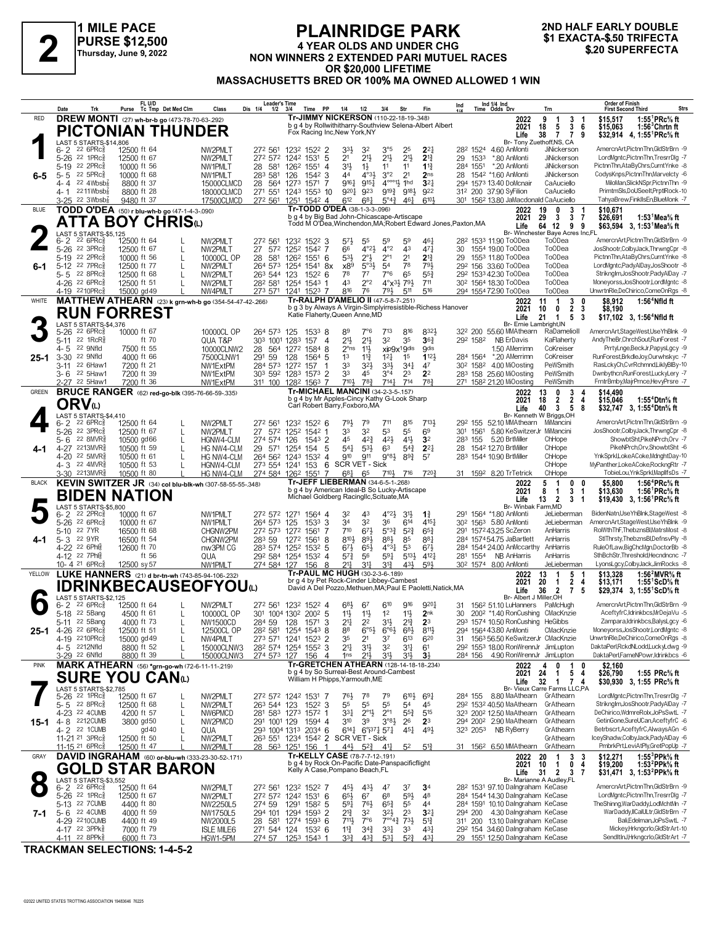

### **PLAINRIDGE PARK 4 YEAR OLDS AND UNDER CHG NON WINNERS 2 EXTENDED PART 1999 12.500**<br>
Thursday, June 9, 2022<br>
Thursday, June 9, 2022<br> **AOR \$20 800 LIFETIME**<br> **AOR \$20 800 LIFETIME OR \$20,000 LIFETIME MASSACHUSETTS BRED OR 100% MA OWNED ALLOWED 1 WIN**

# **2ND HALF EARLY DOUBLE**

|              | Date                | Trk                                                            | FL U/D<br>Purse Tc Tmp Det Med Clm                              |   | Class                         | Leader's Time<br>Dis 1/4<br>1/2                            | 3/4                        | Time<br>PP                     | 1/4                                                                                     | 1/2                               | 3/4                                   | Str                                                    | Fin                                                           | Ind |                  | Ind 1/4 Ind<br>Time Odds Drv                                                     | Trn                                                                             | <b>Order of Finish</b><br>Strs<br><b>First Second Third</b>                                                   |
|--------------|---------------------|----------------------------------------------------------------|-----------------------------------------------------------------|---|-------------------------------|------------------------------------------------------------|----------------------------|--------------------------------|-----------------------------------------------------------------------------------------|-----------------------------------|---------------------------------------|--------------------------------------------------------|---------------------------------------------------------------|-----|------------------|----------------------------------------------------------------------------------|---------------------------------------------------------------------------------|---------------------------------------------------------------------------------------------------------------|
| <b>RED</b>   |                     |                                                                | DREW MONTI (27) wh-br-b go (473-78-70-63-292)                   |   |                               |                                                            |                            |                                | Tr-JIMMY NICKERSON (110-22-18-19-348)                                                   |                                   |                                       |                                                        |                                                               |     |                  | 2022                                                                             | 9<br>3<br>-1<br>-1                                                              | 1:55 ${}^1$ PRc ${}^5\!$ ft<br>\$15.517                                                                       |
|              |                     |                                                                | <b>PICTONIAN THUNDER</b>                                        |   |                               |                                                            |                            |                                | Fox Racing Inc, New York, NY                                                            |                                   |                                       |                                                        | b g 4 by Rollwithitharry-Southview Selena-Albert Albert       |     |                  | 2021                                                                             | 5<br>3<br>18<br>6                                                               | \$15.063<br>$1:56^3$ Chrtnft                                                                                  |
|              |                     | LAST 5 STARTS-\$14,806                                         |                                                                 |   |                               |                                                            |                            |                                |                                                                                         |                                   |                                       |                                                        |                                                               |     |                  | Life                                                                             | 38<br>$\overline{7}$<br>$\overline{7}$<br>9<br>Br- Tony Zuethoff, NS, CA        | \$32,914 4, 1:55 <sup>1</sup> PRc <sup>5</sup> / <sub>8</sub> ft                                              |
|              | $6 - 2$<br>$5 - 26$ | $226$ PR $c_{8}$<br>22 1 $PRC_8^5$                             | 12500 ft 64                                                     |   | NW2PMLT<br>NW2PMLT            | 272 561<br>272 572                                         | 1232 1522 2<br>1242 1531   |                                | 33,<br>2 <sup>1</sup>                                                                   | 32<br>$21\frac{1}{2}$             | 3°5<br>$21\frac{1}{2}$                | 25<br>$21\frac{1}{2}$                                  | $2^{2}$<br>$2^{13}$                                           |     |                  | 282 1524 4.60 AnMonti<br>*.80 AnMonti                                            | <b>JiNickerson</b><br><b>JiNickerson</b>                                        | AmercnArt,PictnnThn,GldStrBrn -9<br>LordMgntc,PictnnThn,TresrrDlg -7                                          |
|              |                     | 5-19 22 2PRc                                                   | 12500 ft 67<br>10000 ft 56                                      |   | NW1PMLT                       | 28 581                                                     | 1262 1551                  | 5<br>$\overline{4}$            | 3 <sup>1</sup>                                                                          | $1\frac{1}{2}$                    | 11                                    | 11                                                     | $1^{13}$                                                      | 29  | 1533<br>284 1551 | *.20 AnMonti                                                                     | JiNickerson                                                                     | PictnnThn,AtaByChrs,CurntYnke -8                                                                              |
| 6-5          | $5 - 5$             | 22 5PRc3                                                       | 10000 ft 68                                                     |   | NW1PMLT                       | 283 581                                                    | 126                        | $154^2$ 3                      | 44                                                                                      | $4^{\circ}3\frac{1}{2}$           | 3°2                                   | 2 <sup>1</sup>                                         | 2 <sub>ns</sub>                                               | 28  |                  | 1542 *1.60 AnMonti                                                               | JiNickerson                                                                     | CodvsKnps,PictnnThn,Marvelctv -6                                                                              |
|              | 4- 4                | 22 $4Wbsb\frac{7}{8}$<br>4-1 $^{2211Wbsb}$                     | 8800 ft 37                                                      |   | 15000CLMCD                    | 28                                                         | 564 1273 1571              | 7                              | $9^{16}$<br>9201                                                                        | 9151<br>923                       |                                       | $4^{\circ\circ\circ}1\frac{1}{2}$ 1hd<br>9193 9183     | 3 <sup>2</sup><br>922                                         |     |                  | 294 1573 13.40 DoMcnair                                                          | CaAuciello<br>CaAuciello                                                        | MiloMan, Slick NSpr, PictnnThn -9<br>PrimtmSls,DoUSeeIt,PrptlRock-10                                          |
|              | $3 - 25$            | 22 $3Wbsb8$                                                    | 8800 ft 28<br>9480 ft 37                                        |   | 18000CLMCD<br>17500CLMCD      | 271 551<br>272 561                                         | 1251                       | 1243 1553 10<br>1542 4         | 612                                                                                     | $6^{8}$ <sub>4</sub>              | $5^{\circ}4^{\frac{3}{4}}$            | 461                                                    | 6101                                                          |     |                  | 312 200 37.90 SyFilion<br>301 1562 13.80 JaMacdonald CaAuciello                  |                                                                                 | TahyaBrew,FinklIsEn,BlueMonk -7                                                                               |
| <b>BLUE</b>  |                     |                                                                | TODD O'DEA (50) r blu-wh-b go (47-1-4-3-.090)                   |   |                               |                                                            |                            |                                | Tr-TODD O'DEA (38-1-3-3-096)                                                            |                                   |                                       |                                                        |                                                               |     |                  | 2022                                                                             | 3<br>19                                                                         | \$10.671                                                                                                      |
|              |                     |                                                                | ATTA BOY CHRISധ                                                 |   |                               |                                                            |                            |                                | b g 4 by Big Bad John-Chicascape-Artiscape                                              |                                   |                                       |                                                        | Todd M O'Dea, Winchendon, MA; Robert Edward Jones, Paxton, MA |     |                  | 2021<br>Life                                                                     | 29<br>3<br>3<br>64<br>12<br>9<br>9                                              | \$26.691<br>1:53 ${}^1$ Mea ${}^5\! s$ ft<br>\$63.594 3. 1:53 <sup>1</sup> Mea <sup>5</sup> / <sub>8</sub> ft |
|              |                     | <b>LAST 5 STARTS-\$5,125</b>                                   |                                                                 |   |                               |                                                            |                            |                                |                                                                                         |                                   |                                       |                                                        |                                                               |     |                  |                                                                                  | Br- Winchester Baye Acres Inc,FL                                                |                                                                                                               |
|              | $6 - 2$<br>$5 - 26$ | $226$ PR $c_{8}^{5}$<br>22 3PRc3                               | 12500 ft 64<br>12500 ft 67                                      |   | NW2PMLT<br>NW2PMLT            | 272 561<br>27<br>572                                       | 1232 1522 3<br>1252 1542 7 |                                | 57}<br>66                                                                               | 55<br>$4^{\circ}2\frac{1}{2}$     | 59<br>$4^{\circ}2$                    | .59<br>43                                              | 46<br>47 <sub>7</sub>                                         | 30  |                  | 28 <sup>2</sup> 153 <sup>3</sup> 11.90 ToODea<br>1554 19.00 ToODea               | To <sub>O</sub> Dea<br><b>ToODea</b>                                            | AmercnArt,PictnnThn,GldStrBrn -9<br>JosShootr.ColbyJack.ThrwngCpr -8                                          |
|              |                     | 5-19 22 2PRc                                                   | 10000 ft 56                                                     |   | 10000CL OP                    | 28 581                                                     | 126 <sup>2</sup> 1551 6    |                                | $5^{3}\frac{1}{2}$                                                                      | $2^{\circ}$                       | $2^{\circ}1$                          | 2 <sup>1</sup>                                         | $2^{13}$                                                      | 29  |                  | 1553 11.80 ToODea                                                                | <b>ToODea</b>                                                                   | PictnnThn,AtaByChrs,CurntYnke -8                                                                              |
| 6-1          |                     | 5-12 22 7PRc                                                   | 12500 ft 77                                                     |   | NW2PMLT                       | 264 573 1254 1541 8x                                       |                            |                                | x89                                                                                     | $5^{\circ}3\frac{1}{2}$           | 5 <sup>4</sup>                        | 78                                                     | 793                                                           |     |                  | 29 <sup>2</sup> 156 33.60 ToODea                                                 | <b>ToODea</b>                                                                   | LordMgntc,PadyAlDay,JosShootr -8                                                                              |
|              |                     | 5-5 22 8PRc\$<br>4-26 <sup>22</sup> 6PRc                       | 12500 ft 68<br>12500 ft 51                                      |   | NW2PMLT<br>NW2PMLT            | 263 544 123<br>282 581                                     | 1254 1543 1                | $152^2$ 6                      | 78<br>43                                                                                | $7^7$<br>$2^{\circ}2$             | 7°6                                   | 65<br>$4^{\circ}x^{3}\frac{1}{2}7^{9}\frac{1}{2}$      | $55\frac{3}{4}$<br>711                                        |     |                  | 292 1533 42.30 ToODea<br>30 <sup>2</sup> 1564 18.30 ToODea                       | <b>ToODea</b><br><b>ToODea</b>                                                  | Striknglm, JosShootr, PadyAlDay -7<br>Moneyorss, JosShootr, LordMgntc -8                                      |
|              |                     | 4-19 2210PRc                                                   | 15000 gd 49                                                     |   | NW4PMLT                       | 273 571                                                    | 1241 1523 7                |                                | 816                                                                                     | 76                                | 793                                   | 511                                                    | 516                                                           |     |                  | 294 1554 72.90 ToODea                                                            | <b>ToODea</b>                                                                   | UnwrtnRle,DeChirico,ComeOnRgs -8                                                                              |
| WHITE        |                     |                                                                | <b>MATTHEW ATHEARN</b> (23) k grn-wh-b go (354-54-47-42-.266)   |   |                               |                                                            |                            |                                | Tr-RALPH D'AMELIO II (47-5-8-7-.251)                                                    |                                   |                                       |                                                        | b g 3 by Always A Virgin-Simplyirresistible-Richess Hanover   |     |                  | 2022                                                                             | 3<br>11<br>-1<br>0<br>$\overline{2}$<br>3                                       | \$8.912<br>$1:564$ Nfld ft                                                                                    |
|              |                     |                                                                | <b>RUN FORREST</b>                                              |   |                               |                                                            |                            |                                | Katie Flaherty, Queen Anne, MD                                                          |                                   |                                       |                                                        |                                                               |     |                  | 2021<br>Life                                                                     | 0<br>10<br>21<br>$\overline{1}$<br>5<br>-3                                      | \$8.190<br>\$17,102 3, 1:56 <sup>4</sup> Nfld ft                                                              |
|              |                     | LAST 5 STARTS-\$4,376<br>$226$ PR $c_{8}$                      | 10000 ft 67                                                     |   | 10000CL OP                    |                                                            |                            |                                |                                                                                         | $7^{\circ}6$                      | 713                                   | 816                                                    | 832}                                                          |     |                  | 32 <sup>2</sup> 200 55.60 MMAthearn                                              | Br- Ernie Lambright, IN<br>RaDamelioll                                          | AmercnArt,StageWest,UseYhBlnk -9                                                                              |
|              | 5-26<br>$5 - 11$    | 22 1RcR <sup>5</sup>                                           | ft 70                                                           |   | QUA T&P                       | 264 573 125<br>303                                         | 1001 1283                  | 15338<br>157<br>$\overline{4}$ | 89<br>$21\frac{1}{2}$                                                                   | $21\frac{1}{2}$                   | 3 <sup>2</sup>                        | 35                                                     | $36\frac{3}{4}$                                               |     | 292 1582         | <b>NB ErDavis</b>                                                                | KaFlaherty                                                                      | AndyTheBr,ChrchSout,RunForest -7                                                                              |
|              | 4-5                 | 22 9Nfld                                                       | 7500 ft 55                                                      |   | 10000CLNW2                    | 28 564 1272 1584 8                                         |                            |                                | $2^{\circ}$ ns                                                                          | $11\frac{1}{2}$                   |                                       | xip9x19dis                                             | <b>gdis</b>                                                   |     |                  | 1.50 AMerrimn                                                                    | CoKreiser                                                                       | PrrtyLnge,BeckJr,PapysLgcy -9                                                                                 |
| 25-1         | $3 - 30$<br>3-11    | 22 9Nfld<br>22 6Haw1                                           | 4000 ft 66<br>7200 ft 21                                        |   | 7500CLNW1<br>NW1ExtPM         | 291<br>59<br>284 573 1272 157                              | 128                        | 1564 5                         | 1 <sup>3</sup><br>33                                                                    | $11\frac{3}{4}$<br>32}            | $12\frac{1}{4}$<br>$3^{3}\frac{1}{2}$ | 1 <sup>5</sup><br>$34\frac{1}{4}$                      | 1123<br>47                                                    |     |                  | 284 1564 *.20 AMerrimn<br>30 <sup>2</sup> 158 <sup>2</sup> 4.00 MiOosting        | CoKreiser<br>PeWSmith                                                           | RunForest, BrkdleJoy, Ourwhskyc -7<br>RasLckyCh,CvrRchmnd,LiklyBlBy-10                                        |
|              |                     | 3-6 <sup>22</sup> 5Haw1                                        | 7200 ft 39                                                      |   | NW1ExtPM                      | 303 592 1283 1573 2                                        |                            |                                | 33                                                                                      | 45                                | $3^{\circ 4}$                         | 2 <sup>3</sup>                                         | 2 <sup>2</sup>                                                |     |                  | 283 158 25.60 MiOosting                                                          | PeWSmith                                                                        | Dwnbythcn,RunForest,LuckyLery -7                                                                              |
|              |                     | 2-27 22 5Haw1                                                  | 7200 ft 36                                                      |   | NW1ExtPM                      | 311 100                                                    | 1282 1563 7                |                                | 7104                                                                                    | $78\frac{3}{4}$                   | $7^{14}$                              | 714                                                    | 783                                                           |     |                  | 271 1582 21.20 MiOosting                                                         | PeWSmith                                                                        | FrntrBmby,MajrPrnce,HevyPrsre -7                                                                              |
| GREEN        |                     |                                                                | <b>BRUCE RANGER</b> (62) red-go-blk (395-76-66-59-.335)         |   |                               |                                                            |                            |                                | <b>Tr-MICHAEL MANCINI (34-2-3-5-157)</b><br>b g 4 by Mr Apples-Cincy Kathy G-Look Sharp |                                   |                                       |                                                        |                                                               |     |                  | 2022<br>2021                                                                     | 3<br>13<br>0<br>$\overline{2}$<br>$\overline{2}$<br>18<br>4                     | \$14.490<br>\$15,046<br>1:55 <sup>4</sup> Dtn $\%$ ft                                                         |
|              |                     | ORV⊍                                                           |                                                                 |   |                               |                                                            |                            |                                | Carl Robert Barry, Foxboro, MA                                                          |                                   |                                       |                                                        |                                                               |     |                  | Life                                                                             | 3<br>-5<br>8<br>40                                                              | \$32.747 3. 1:55 <sup>4</sup> Dtn <sup>5</sup> / <sub>8</sub> ft                                              |
|              | 6-2                 | LAST 5 STARTS-\$4.410<br>22 6PRc3                              | 12500 ft 64                                                     |   | NW2PMLT                       | 272 561                                                    | 1232 1522 6                |                                | 791,                                                                                    | 79                                | 711                                   | 815                                                    | 7131                                                          |     |                  | 29 <sup>2</sup> 155 52.10 MMAthearn MiMancini                                    | Br- Kenneth W Briggs, OH                                                        | AmercnArt.PictnnThn.GldStrBrn -9                                                                              |
|              |                     | 5-26 <sup>22</sup> 3PRc3                                       | 12500 ft 67                                                     |   | NW2PMLT                       | 27 572                                                     | 1252 1542 1                |                                | 33                                                                                      | 3 <sup>2</sup>                    | 53                                    | 55                                                     | 6 <sup>9</sup>                                                |     | 301 1561         | 5.80 KeSwitzerJr MiMancini                                                       |                                                                                 | JosShootr,ColbyJack,ThrwngCpr -8                                                                              |
|              |                     | 5-6 22 8MVR                                                    | 10500 gd66                                                      |   | HGNW4-CLM                     | 274 574 126                                                |                            | 1543 2                         | 45                                                                                      | $4^{2}\frac{3}{4}$                | 42}                                   | 41}                                                    | 3 <sup>2</sup>                                                |     | 283 155          | 5.20 BrtMiller                                                                   | ChHope                                                                          | ShowbtSht, PikeNPrch, Orv -7<br>PikeNPrch.Orv.ShowbtSht -6                                                    |
| 4-1          |                     | 4-27 2213MVR<br>4-20 22 5MVR <sup>5</sup>                      | 10500 ft 59<br>10500 ft 61                                      |   | HG NW4-CLM<br>HG NW4-CLM      | 29<br>264 562 1243 1532 4                                  | 571 1254 154               | -5                             | 541<br>910                                                                              | 5 <sup>3</sup><br>911             | 63<br>$9°8\frac{1}{2}$                | $5^{4}$<br>$8^{9.3}$                                   | $2^{2}$<br>57                                                 | 28  |                  | 1542 12.70 BrtMiller<br>283 1544 10.90 BrtMiller                                 | ChHope<br>ChHope                                                                | YnkSprkl,LokeACoke,MdnghtDay-10                                                                               |
|              |                     | 4-3 22 4MVR                                                    | 10500 ft 53                                                     |   | HGNW4-CLM                     | 273 554 1241 153 6                                         |                            |                                | <b>SCR VET - Sick</b>                                                                   |                                   |                                       |                                                        |                                                               |     |                  |                                                                                  | ChHope                                                                          | MyPanther,LokeACoke,RockngRtr -7                                                                              |
|              |                     | 3-30 2213MVR§                                                  | 10500 ft 80                                                     |   | HG NW4-CLM                    | 274 584 1262 1551                                          |                            | 7                              | 681<br><b>Tr-JEFF LIEBERMAN (34-6-5-1-268)</b>                                          | 65                                | $7^{10}$                              | 716                                                    | 720}                                                          |     |                  | 31 1592 8.20 TrTetrick                                                           | ChHope                                                                          | TobieLou, YnkSprkl, MapllfsDs -7                                                                              |
| <b>BLACK</b> |                     |                                                                | KEVIN SWITZER JR (34) col blu-blk-wh (307-58-55-55-348)         |   |                               |                                                            |                            |                                | b g 4 by American Ideal-B So Lucky-Artiscape                                            |                                   |                                       |                                                        |                                                               |     |                  | 2022<br>2021                                                                     | 5<br>-1<br>0<br>0<br>3<br>8<br>$\mathbf{1}$<br>$\mathbf{1}$                     | 1:56 <sup>4</sup> PRc% ft<br>\$5.800<br>\$13,630<br>1:56 ${}^1$ PRc% ft                                       |
|              |                     |                                                                | <b>BIDEN NATION</b>                                             |   |                               |                                                            |                            |                                | Michael Goldberg Racingllc, Scituate, MA                                                |                                   |                                       |                                                        |                                                               |     |                  | Life                                                                             | $\overline{2}$<br>$\mathbf{3}$<br>-1<br>13                                      | \$19,430 3, 1:56 PRc <sup>5</sup> / <sub>8</sub> ft                                                           |
|              | $6 - 2$             | LAST 5 STARTS-\$5,800<br>22 2PRc3                              | 10000 ft 67                                                     |   | NW1PMLT                       | 272 572 1271 1564 4                                        |                            |                                | 32                                                                                      | 43                                | $4^{\circ}2\frac{1}{2}$               | 3 <sup>1</sup>                                         | $1\frac{3}{4}$                                                |     |                  | Br- Winbak Farm, MD<br>291 1564 *1.80 AnMonti                                    | JeLieberman                                                                     | BidenNatn,UseYhBlnk,StageWest -8                                                                              |
|              | $5 - 26$            | $22.6$ PR $c_{8}$                                              | 10000 ft 67                                                     |   | NW1PMLT                       | 264 573                                                    | 125                        | 3<br>1533                      | 34                                                                                      | 32                                | 36                                    | 614                                                    | $4^{15}$                                                      |     |                  | 30 <sup>2</sup> 156 <sup>3</sup> 5.80 AnMonti                                    | JeLieberman                                                                     | AmercnArt,StageWest,UseYhBlnk -9                                                                              |
| 4-1          |                     | 5-10 22 7 YR<br>5-3 22 9YR                                     | 16500 ft 68<br>16500 ft 54                                      |   | CHGNW2PM<br>CHGNW2PM          | 272 573 1272 1561<br>283 59                                | 1272 1561                  | 7<br>8                         | 710<br>8101                                                                             | 673<br>893                        | $5^{\circ}3^{\frac{3}{4}}$<br>881     | $5^{2}3$<br>85                                         | $65\frac{3}{4}$<br>881                                        |     |                  | 291 1572 43.25 ScZeron<br>284 157454.75 JaBartlett                               | AnHarris<br>AnHarris                                                            | RolWthThF,ThebznsBl,MatrsMost -8<br>StIThrsty, The bznsBI, DefnsvPly -8                                       |
|              |                     | 4-22 22 6Ph <sub>1</sub>                                       | 12600 ft 70                                                     |   | nw3PM CG                      | 283 574 1252 1532 5                                        |                            |                                | $6^{71}$                                                                                | $65\frac{1}{2}$                   | $4^{\circ}3\frac{1}{4}$               | 53                                                     | $67\frac{1}{2}$                                               |     |                  | 284 1544 24.00 AnMccarthy                                                        | AnHarris                                                                        | RuleOfLaw,BigChcMgn,DoctorBb -8                                                                               |
|              |                     | 4-12 22 7Ph<br>10-4 21 6PRc                                    | ft 56                                                           |   | QUA<br>NW1PMLT                | 292 584 1254 1532 4                                        |                            |                                | 57}<br>211                                                                              | 56                                | 591                                   | 5133<br>431                                            | 4121<br>593                                                   |     | 281 1554         | NB AnHarris<br>30 <sup>2</sup> 1574 8.00 AnMonti                                 | AnHarris                                                                        | SthBchStr, Threshold, Hecndncnc -7<br>LyonsLgcy,ColbyJack,JimRocks -8                                         |
| YELLOW       |                     |                                                                | 12500 sy 57<br>LUKE HANNERS (21) d br-tn-wh (743-85-94-106-232) |   |                               | 274 584 127                                                |                            | 8<br>156                       | Tr-PAUL MC HUGH (30-2-3-6-189)                                                          | 34                                | 31}                                   |                                                        |                                                               |     |                  | 2022                                                                             | JeLieberman<br>13<br>5                                                          | \$13,328<br>1:56 $^{2}$ MVR $\%$ ft                                                                           |
|              |                     |                                                                | <b>IDRINKBECAUSEOFYOUധ</b>                                      |   |                               |                                                            |                            |                                | br q 4 by Pet Rock-Cinder Libbey-Cambest                                                |                                   |                                       |                                                        | David A Del Pozzo, Methuen, MA; Paul E Paoletti, Natick, MA   |     |                  | 2021                                                                             | $\mathbf{2}$<br>20<br>1<br>4                                                    | \$13,171<br>1:55 ScD% ft                                                                                      |
|              |                     | LAST 5 STARTS-\$2,125                                          |                                                                 |   |                               |                                                            |                            |                                |                                                                                         |                                   |                                       |                                                        |                                                               |     |                  | Life<br>Br- Albert J Miller, OH                                                  | $\overline{2}$<br>$\overline{7}$<br>5<br>36                                     | \$29,374 3, 1:55 ScD % ft                                                                                     |
|              | 6-2                 | $226$ PR $c_{8}$                                               | 12500 ft 64                                                     |   | NW2PMLT                       | 272 561 1232 1522 4                                        |                            |                                | 681                                                                                     | 67                                | $6^{10}$                              | 916                                                    | 9204                                                          | 31. |                  | 156 <sup>2</sup> 51.10 LuHanners PaMcHugh                                        |                                                                                 | AmercnArt,PictnnThn,GldStrBrn -9                                                                              |
|              |                     | 5-18 <sup>22</sup> 5Bang<br>$5-11$ <sup>22</sup> 5Bang         | 4500 ft 61<br>4000 ft 73                                        |   | 10000CL OP<br>NW1500CD        | 301 1004 1302 2002 5<br>284 59                             | 128                        | 15/13                          | 11}<br>$2 +$                                                                            | $11\frac{1}{2}$<br>24             | 1 <sup>2</sup><br>3½                  | 11}<br>$2^{12}$                                        | 2nk<br>2 <sup>3</sup>                                         | 30  |                  | 200 <sup>2</sup> *1.40 RonCushing CMacKnzie<br>293 1574 10.50 RonCushing         | HeGibbs                                                                         | AceftyfrC,Idrinkbcs,MrDejaVu -5<br>Zampara,ldrinkbcs,BalysLgcy -c                                             |
| 25-1         |                     | 4-26 22 6PRc $\frac{5}{8}$                                     | 12500 ft 51                                                     |   | 12500CL OP                    | 28 <sup>2</sup> 58 <sup>1</sup> 1254 1543 8                |                            |                                | 88                                                                                      | $6°5\frac{1}{2}$                  | $6^{\circ}6^{\frac{1}{2}}$            | $6^{8}$                                                | $8^{11}$                                                      |     |                  | 294 1564 43.80 AnMonti                                                           | CMacKnzie                                                                       | Moneyorss, JosShootr, LordMgntc -8                                                                            |
|              |                     | 4-19 2210PRcs                                                  | 15000 gd 49                                                     |   | NW4PMLT                       | 273 571 1241 1523 2                                        |                            |                                | 35                                                                                      | 2 <sup>1</sup>                    | 37                                    | 613                                                    | 620                                                           |     |                  | 31 1563 56.50 KeSwitzerJr CMacKnzie                                              |                                                                                 | UnwrtnRle.DeChirico.ComeOnRas -8<br>DaktaPerl,RckdNLodd,LuckyLdwg -9                                          |
|              |                     | 4-5 2212Nfld<br>3-29 22 6Nfld                                  | 8800 ft 52<br>8800 ft 39                                        |   | 15000CLNW3<br>15000CLNW3      | 282 574 1254 1552 3<br>274 573 127                         |                            | 156<br>$\overline{4}$          | 21<br>1 <sub>ns</sub>                                                                   | 31}<br>213                        | 32<br>3½                              | $3^{11}$<br>3 <sup>1</sup>                             | 6 <sup>1</sup><br>3 <sup>1</sup>                              |     |                  | 292 1553 18.00 RonWrennJr JimLupton<br>284 156 4.90 RonWrennJr JimLupton         |                                                                                 | DaktaPerl,FameNPowr,Idrinkbcs -6                                                                              |
| <b>PINK</b>  |                     |                                                                | MARK ATHEARN (56) *grn-go-wh (72-6-11-11-219)                   |   |                               |                                                            |                            |                                | Tr-GRETCHEN ATHEARN (128-14-18-18-234)                                                  |                                   |                                       |                                                        |                                                               |     |                  | 2022                                                                             | $\mathbf{1}$<br>0<br>0<br>4                                                     | \$2,160                                                                                                       |
|              |                     |                                                                | SURE YOU CANധ                                                   |   |                               |                                                            |                            |                                | b g 4 by So Surreal-Best Around-Cambest<br>William H Phipps, Yarmouth, ME               |                                   |                                       |                                                        |                                                               |     |                  | 2021<br>Life                                                                     | $5\overline{ }$<br>24<br>1<br>-4<br>32<br>$\overline{1}$<br>$\overline{7}$<br>4 | \$26,790<br>1:55 PRc% ft<br>\$30,930 3, 1:55 PRc% ft                                                          |
|              |                     | LAST 5 STARTS-\$2,785                                          |                                                                 |   |                               |                                                            |                            |                                |                                                                                         |                                   |                                       |                                                        |                                                               |     |                  |                                                                                  | Br- Vieux Carre Farms LLC,PA                                                    |                                                                                                               |
|              | $5 - 5$             | 5-26 <sup>22</sup> 1PRc <sup>3</sup><br>$22$ 8PR $c_{8}^{5}$   | 12500 ft 67<br>12500 ft 68                                      |   | NW2PMLT<br>NW2PMLT            | 272 572 1242 1531 7<br>263 544 123                         |                            | $152^2$ 3                      | 76}<br>55                                                                               | 78<br>55                          | 79<br>55                              | $6^{10}\frac{1}{2}$<br>54                              | $69\frac{1}{4}$<br>45                                         |     | 284 155          | 8.80 MaAthearn GrAthearn<br>292 1532 40.50 MaAthearn                             | GrAthearn                                                                       | LordMgntc,PictnnThn,TresrrDlg -7<br>Striknglm, JosShootr, PadyAlDay -7                                        |
|              |                     | 4-23 22 4CUMB                                                  | 4200 ft 57                                                      | L | NW6PMCD                       | 281 583 1273 1572 1                                        |                            |                                | $3^{31}$                                                                                | $2^{\circ}1\frac{1}{2}$           | $2^{\circ}1$                          | $55\frac{3}{4}$                                        | $5^{15}$                                                      |     |                  | 323 2002 12.50 MaAthearn                                                         | GrAthearn                                                                       | DeChirico,WdmreRolx,JoPsSwtL -7                                                                               |
|              |                     | 15-1 4-8 2212CUMB                                              | 3800 gd50                                                       |   | NW2PMCD                       | 291 1001 129                                               |                            | 1594 4                         | 310                                                                                     | 39                                | $3^{08}$                              | 26                                                     | 2 <sup>3</sup>                                                |     |                  | 294 2002 2.90 MaAthearn                                                          | GrAthearn                                                                       | GetinGone,SureUCan,AceftyfrC -6                                                                               |
|              |                     | 4-2 22 1 CUMB<br>11-21 <sup>21</sup> 3PRc <sup>3</sup>         | gd40<br>12500 ft 50                                             |   | QUA<br>NW2PMLT                | 293 1004 1313 2034 6<br>263 551 1234 1542 2 SCR VET - Sick |                            |                                | $6^{14}\frac{1}{6}$ $6^{9}$ $37\frac{1}{4}$ $57\frac{1}{4}$                             |                                   |                                       | 451                                                    | 49}                                                           |     | 323 2053         | NB RyBerry                                                                       | GrAthearn<br>GrAthearn                                                          | Betrbscrt, AceftyfrC, Always AGn -6<br>IceyShadw,ColbyJack,PadyAlDay -6                                       |
|              |                     | 11-15 <sup>21</sup> 6PRc <sup>3</sup>                          | 12500 ft 47                                                     |   | NW2PMLT                       | 28 563 1251 156 1                                          |                            |                                | $44\frac{1}{2}$ $52\frac{3}{4}$                                                         |                                   | 41}                                   | 5 <sup>2</sup>                                         | $5^{12}$                                                      |     |                  | 31 156 <sup>2</sup> 6.50 MMAthearn                                               | GrAthearn                                                                       | PmbrkPrt,LeviAtPly,GretPopUp -7                                                                               |
| GRAY         |                     |                                                                | DAVID INGRAHAM (60) or-blu-wh (333-23-30-52-171)                |   |                               |                                                            |                            |                                | Tr-KELLY CASE (78-7-7-12-.191)                                                          |                                   |                                       |                                                        |                                                               |     |                  | 2022                                                                             | 3<br>20<br>3                                                                    | 1:55 $3$ PPk $\%$ ft<br>\$12.271                                                                              |
|              |                     |                                                                | <b>GOLD STAR BARON</b>                                          |   |                               |                                                            |                            |                                | b g 4 by Rock On-Pacific Date-Panspacificflight<br>Kelly A Case, Pompano Beach, FL      |                                   |                                       |                                                        |                                                               |     |                  | 2021<br>Life                                                                     | $\mathbf 0$<br>10<br>4<br>1<br>31<br>$\overline{2}$<br>-3<br>7                  | 1:53 <sup>2</sup> PPk% ft<br>\$19,200<br>\$31,471 3, 1:53 <sup>2</sup> PPk% ft                                |
|              |                     | LAST 5 STARTS-\$3,552                                          |                                                                 |   |                               |                                                            |                            |                                |                                                                                         |                                   |                                       |                                                        |                                                               |     |                  |                                                                                  | Br- Marianne A Audley, FL                                                       | AmercnArt,PictnnThn,GldStrBrn -9                                                                              |
|              |                     | $6 - 2$ $22$ 6PRc <sup>3</sup><br>$5-26$ 22 1PRc $\frac{5}{8}$ | 12500 ft 64<br>12500 ft 67                                      |   | NW2PMLT<br>NW2PMLT            | 272 561 1232 1522 7<br>272 572 1242 1531 6                 |                            |                                | 45}<br>$65\frac{1}{2}$                                                                  | $43\frac{1}{2}$<br>6 <sup>7</sup> | 47<br>6 <sup>8</sup>                  | 37<br>$59\frac{1}{2}$                                  | 3 <sup>4</sup><br>48                                          |     |                  | 28 <sup>2</sup> 1531 97.10 Dalngraham KeCase<br>284 1544 14.30 Dalngraham KeCase |                                                                                 | LordMgntc,PictnnThn,TresrrDlg -7                                                                              |
|              |                     | 5-13 22 7 CUMB                                                 | 4400 ft 80                                                      |   | NW2250L5                      | 274 59                                                     | 1291 1582 5                |                                | $59\frac{1}{4}$                                                                         | $76\frac{1}{2}$                   | $65\frac{3}{4}$                       | 55                                                     | 44                                                            |     |                  | 284 1591 10.10 Dalngraham KeCase                                                 |                                                                                 | TheShinng,WarDaddy,LodMchtMn -7                                                                               |
| 7-1          |                     | 5-6 22 4 CUMB<br>4-29 2210 CUMB                                | 4000 ft 59<br>4400 ft 49                                        |   | NW1750L5                      | 294 101 1294 1593 2<br>28 581 1274 1593 6                  |                            |                                | 21}<br>$711\frac{1}{2}$                                                                 | 32<br>7°6                         | 32}                                   | 2 <sup>3</sup><br>$7^{\circ\circ}4^3$ $7^3\frac{1}{2}$ | $3^{2}$<br>$5^{13}$                                           |     |                  | 294 200 4.30 Dalngraham KeCase<br>311 200 13.10 Dalngraham KeCase                |                                                                                 | WarDaddy,IICalULtr,GldStrBrn -7<br>Bali,Edelman,JoPsSwtL -7                                                   |
|              |                     | 4-17 22 3PPk <sup>5</sup>                                      | 7000 ft 79                                                      |   | NW2000L5<br><b>ISLE MILE6</b> | 271 544 124 1532 6                                         |                            |                                | $11\frac{3}{4}$                                                                         | $3^{4}$                           | $3^{34}$                              | 33                                                     | 431                                                           |     |                  | 292 154 34.60 Dalngraham KeCase                                                  |                                                                                 | Mickey,Hrkngcrlo,GldStrArt-10                                                                                 |
|              | 4-11                | $22$ 8PPk $\frac{5}{8}$                                        | 6000 ft 73                                                      |   | HGW1-5PM                      | 274 57                                                     | 1253 1543 1                |                                | 33}                                                                                     | $4^{3}\frac{3}{4}$                | 531                                   | $5^{2}$                                                | 431                                                           |     |                  | 29 1551 12.50 Dalngraham KeCase                                                  |                                                                                 | SendItInJ,Hrkngcrlo,GldStrArt -7                                                                              |

**TRACKMAN SELECTIONS: 1-4-5-2**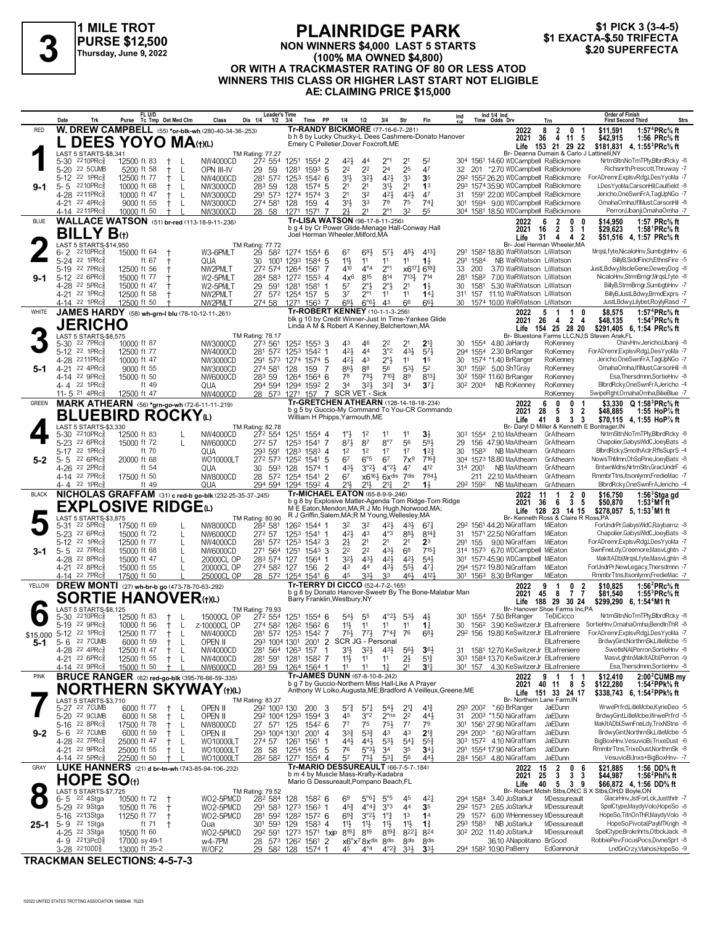

#### **PLAINRIDGE PARK NON WINNERS \$4,000 LAST 5 STARTS (100% MA OWNED \$4,800) \$1 EXACTA-\$.50 TRIFECTA 3 \$.20 SUPERFECTA**

\$1 PICK 3 (3-4-5)<br>\$1 EXACTA-\$.50 TRIFECTA

## **OR WITH A TRACKMASTER RATING OF 80 OR LESS ATOD WINNERS THIS CLASS OR HIGHER LAST START NOT ELIGIBLE AE: CLAIMING PRICE \$15,000**

|                                               | Date               |                                                        | Trk                           | FL U/D<br>Purse                                 | Tc Tmp Det Med Clm |                   | Class                                                            | <b>Leader's Time</b><br>Dis 1/4<br>$1/2$ $3/4$       |               | Time PP                         | 1/4                                                                               | 1/2                                                         | 3/4                                        | Str                               | Fin                                                           | Ind                   |                                  | Ind 1/4 Ind<br>Time Odds Drv                                              |                                                                       | Trn                                                                            | Order of Finish<br><b>First Second Third</b>   |                                                                                                | Strs |
|-----------------------------------------------|--------------------|--------------------------------------------------------|-------------------------------|-------------------------------------------------|--------------------|-------------------|------------------------------------------------------------------|------------------------------------------------------|---------------|---------------------------------|-----------------------------------------------------------------------------------|-------------------------------------------------------------|--------------------------------------------|-----------------------------------|---------------------------------------------------------------|-----------------------|----------------------------------|---------------------------------------------------------------------------|-----------------------------------------------------------------------|--------------------------------------------------------------------------------|------------------------------------------------|------------------------------------------------------------------------------------------------|------|
| <b>RED</b>                                    |                    |                                                        |                               |                                                 |                    |                   | <b>W. DREW CAMPBELL</b> (55) *or-blk-wh (280-40-34-36-253)       |                                                      |               |                                 | Tr-RANDY BICKMORE (77-16-6-7-.281)                                                |                                                             |                                            |                                   |                                                               |                       |                                  |                                                                           | 2022                                                                  | 8<br>$\frac{2}{4}$<br>0<br>-1                                                  | \$11,591                                       | 1:57 <sup>4</sup> PRc <sup>5</sup> / <sub>8</sub> ft                                           |      |
|                                               |                    |                                                        |                               | <b>DEES YOYO MA</b> (t)(L)                      |                    |                   |                                                                  |                                                      |               |                                 | Emery C Pelletier, Dover Foxcroft, ME                                             |                                                             |                                            |                                   | b h 8 by Lucky Chucky-L Dees Cashmere-Donato Hanover          |                       |                                  |                                                                           | 36<br>2021<br>Life                                                    | 11 5<br>153 21 29 22                                                           | \$42,915<br>\$181,831                          | 1:56 $PRc\%$ ft<br>4, 1:55 <sup>3</sup> PRc <sup>5</sup> / <sub>8</sub> ft                     |      |
|                                               |                    |                                                        | LAST 5 STARTS-\$8.341         |                                                 |                    |                   |                                                                  | <b>TM Rating: 77.27</b>                              |               |                                 |                                                                                   |                                                             |                                            |                                   |                                                               |                       |                                  |                                                                           |                                                                       | Br- Deanna Dumain & Carlo J Lattinelli, NY                                     |                                                |                                                                                                |      |
|                                               |                    | 5-30 2210PRc <sup>5</sup>                              |                               | 12500 ft 83                                     |                    |                   | NW4000CD                                                         | 272 554                                              |               | 1251 1554 2                     | 421,                                                                              | 44                                                          |                                            | 21                                | 52                                                            |                       |                                  |                                                                           |                                                                       | 304 1561 14.60 WDCampbell RaBickmore                                           |                                                | NrtrnSltn, NoTmTPly, BlbrdRcky -8                                                              |      |
|                                               | $5 - 20$<br>$5-12$ | $22$ 1PR $c_{8}^5$                                     | 22 5CUMB                      | 5200 ft 58<br>12500 ft 77                       | $^+$               | L                 | OPN III-IV<br>NW4000CD                                           | 29 59<br>281 572                                     | 1281<br>1253  | 159 <sup>3</sup> 5<br>$154^2$ 6 | 2 <sup>2</sup><br>31}                                                             | 2 <sup>2</sup><br>32}                                       | 2 <sup>4</sup><br>421                      | 25<br>33                          | 47<br>3 <sub>5</sub>                                          | 32                    |                                  |                                                                           |                                                                       | 201 *2.70 WDCampbell RaBickmore<br>292 1552 26.20 WDCampbell RaBickmore        |                                                | Richsnrth, Prescott, Thruway -7<br>For ADremr, ExplsvRdg, LDes YyoMa -7                        |      |
| 9-1                                           | $5 - 5$            | 2210PRc흏                                               |                               | 10000 ft 68                                     |                    | L                 | NW3000CD                                                         | 283 59                                               | 128           | 1574 5                          | 21                                                                                | 2 <sup>1</sup>                                              | 31}                                        | 2 <sup>1</sup>                    | 1 <sup>3</sup>                                                |                       |                                  |                                                                           |                                                                       | 293 1574 35.90 WDCampbell RaBickmore                                           |                                                | LDesYvoMa.CarsonHil.Caulfield -8                                                               |      |
|                                               |                    | 4-28 2211PRc3                                          |                               | 10000 ft 47                                     |                    | L                 | NW3000CD                                                         | 291 573 1274                                         |               | 1574 3                          | 21                                                                                | 32                                                          | 42}                                        | $4^{21}$                          | 47                                                            | 31                    |                                  |                                                                           |                                                                       | 1591 22.00 WDCampbell RaBickmore                                               |                                                | Jericho.OneSwnFrA.TaqUpNGo -7                                                                  |      |
|                                               |                    | 4-21 22 4PRc <sup>5</sup>                              |                               | 9000 ft 55                                      |                    | L                 | NW3000CD                                                         | 274 581 128                                          |               | 159                             | 3 <sup>1</sup><br>4                                                               | 33                                                          | 78                                         | 75                                | 741                                                           | 301                   |                                  |                                                                           |                                                                       | 1594 9.00 WDCampbell RaBickmore                                                |                                                | OmahaOmha,IfIMust,CarsonHil -8                                                                 |      |
| <b>BLUE</b>                                   |                    | 4-14 2211PRc                                           |                               | 10000 ft 50                                     |                    |                   | NW3000CD<br><b>WALLACE WATSON</b> (51) br-red (113-18-9-11-.236) | 28 58                                                | 1271          | 1571                            | 21<br>Tr-LISA WATSON (98-17-8-11-256)                                             | 21                                                          | $2^{\circ}1$                               | 32                                | 55                                                            |                       |                                  |                                                                           |                                                                       | 304 1581 18.50 WDCampbell RaBickmore                                           |                                                | Perron, Ubanji, Omaha Omha - 7                                                                 |      |
|                                               |                    |                                                        |                               |                                                 |                    |                   |                                                                  |                                                      |               |                                 | b g 4 by Cr Power Glide-Menage Hall-Conway Hall                                   |                                                             |                                            |                                   |                                                               |                       |                                  |                                                                           | 2022<br>16<br>2021                                                    | 6<br>2<br>0<br>$\overline{2}$<br>3<br>-1                                       | \$14.950<br>\$29,623                           | 1:57 PRc% ft<br>1:58 ${}^1$ PRc ${}^5\!\!$ ft                                                  |      |
|                                               |                    |                                                        | <b>BILLY B</b> (t)            |                                                 |                    |                   |                                                                  |                                                      |               |                                 | Joel Herman Wheeler, Milford, MA                                                  |                                                             |                                            |                                   |                                                               |                       |                                  |                                                                           | Life<br>31                                                            | 4 2<br>$\overline{4}$                                                          |                                                | \$51,516 4, 1:57 PRc <sup>5</sup> / <sub>8</sub> ft                                            |      |
|                                               |                    | 6-2 2210PRc                                            | <b>LAST 5 STARTS-\$14.950</b> | 15000 ft 64                                     |                    |                   | W3-6PMLT                                                         | TM Rating: 77.72<br>29 582 1274 1554 6               |               |                                 | 67                                                                                | 691                                                         | $5^{7}$                                    | 48}                               | $4^{13}\frac{1}{4}$                                           | 291                   |                                  |                                                                           | 158 <sup>2</sup> 18.80 WaRWatson LiWatson                             | Br- Joel Herman Wheeler, MA                                                    |                                                | MrqsLfyte,NicaloHnv,SumbgbHnv -6                                                               |      |
|                                               | $5 - 24$           | 22 1PRc                                                |                               | ft 67                                           |                    |                   | QUA                                                              | 30                                                   |               | 1001 1293 1584 5                | 11}                                                                               | 11                                                          | 11                                         | 11                                | $1\frac{1}{2}$                                                | 291                   | 1584                             |                                                                           | NB WaRWatson LiWatson                                                 |                                                                                |                                                | BillyB,SiddFinch,EthnsFire -5                                                                  |      |
|                                               |                    | 5-19 <sup>22</sup> 7PRc <sup>5</sup>                   |                               | 12500 ft 56                                     |                    |                   | NW2PMLT                                                          | 272 574 1264                                         |               | 1561<br>-7                      | 410                                                                               | $4^{\circ}4$                                                | $2^{\circ}1$                               |                                   | x6171 6183                                                    | 33                    | 200                              |                                                                           | 3.70 WaRWatson LiWatson                                               |                                                                                |                                                | JustLBdwy,MscleGene,DeweyDog -8                                                                |      |
| 9-1                                           |                    | 5-12 22 6PRcs<br>4-28 22 5PRc <sup>5</sup>             |                               | 15000 ft 77<br>15000 ft 47                      |                    |                   | W2-5PMLT                                                         | 284 583                                              |               | 1272 1553 4                     | $4x^6$                                                                            | 815                                                         | 814                                        | $7^{13}$                          | 714                                                           |                       | 281 1582<br>1581                 |                                                                           | 7.00 WaRWatson LiWatson<br>5.30 WaRWatson LiWatson                    |                                                                                |                                                | NicaloHnv.StrmBrngr.MrgsLfvte -8<br>BillyB,StrmBrngr,SumbgbHnv -7                              |      |
|                                               |                    | 4-21 22 1PRcs                                          |                               | 12500 ft 58                                     |                    |                   | W2-5PMLT<br>NW2PMLT                                              | 29<br>27 572 1254 157                                | 591 1281 1581 | -1<br>- 5                       | 57<br>37                                                                          | $2^{\circ}$<br>$2^{\circ}1$                                 | $2^{\circ}$<br>11                          | 2 <sup>1</sup><br>11              | $1\frac{1}{2}$<br>$14\frac{1}{4}$                             | 30<br>31 <sup>1</sup> | 157                              |                                                                           | 11.10 WaRWatson LiWatson                                              |                                                                                |                                                | BillyB, JustLBdwy, BrmdExprs -7                                                                |      |
|                                               |                    | 4-14 22 1PRc                                           |                               | 12500 ft 50                                     |                    |                   | NW2PMLT                                                          | 274 58                                               |               | 1271 1563 7                     | 693                                                                               | $6^{\circ}6^{\circ}$                                        | 43                                         | 66                                | 663                                                           |                       |                                  |                                                                           | 30 1574 10.00 WaRWatson LiWatson                                      |                                                                                |                                                | JustLBdwy,Lilybet,RoylyRasd -7                                                                 |      |
| WHITE                                         |                    |                                                        |                               | JAMES HARDY (58) wh-grn-I blu (78-10-12-11-261) |                    |                   |                                                                  |                                                      |               |                                 | Tr-ROBERT KENNEY (10-1-1-3-256)                                                   |                                                             |                                            |                                   |                                                               |                       |                                  |                                                                           | 2022                                                                  | 1<br>0<br>5                                                                    | \$8,575                                        | 1:57 ${}^4$ PRc ${}^5\!$ ft                                                                    |      |
|                                               |                    |                                                        | <b>JERICHO</b>                |                                                 |                    |                   |                                                                  |                                                      |               |                                 | Linda A M & Robert A Kenney, Belchertown, MA                                      |                                                             |                                            |                                   | blk g 10 by Credit Winner-Just In Time-Yankee Glide           |                       |                                  |                                                                           | 2021<br>26<br>Life                                                    | $\overline{\mathbf{2}}$<br>4<br>-4<br>154 25 28 20                             | \$48,135                                       | 1:54 ${}^{2}$ PRc ${}^{5}_{8}$ ft<br>\$291,405 6, 1:54 PRc <sup>5</sup> / <sub>8</sub> ft      |      |
|                                               |                    |                                                        | LAST 5 STARTS-\$8,575         |                                                 |                    |                   |                                                                  | TM Rating: 78.17                                     |               |                                 |                                                                                   |                                                             |                                            |                                   |                                                               |                       |                                  |                                                                           |                                                                       |                                                                                | Br- Bluestone Farms LLC, NJ; S Steven Arak, FL |                                                                                                |      |
|                                               | $5 - 30$           | $22$ $7$ $PRc\frac{5}{8}$<br>22 1PRc                   |                               | 10000 ft 87<br>12500 ft 77                      |                    |                   | NW3000CD                                                         | 273 561<br>281 572                                   |               | 1252 1553 3                     | 43<br>421                                                                         | 46<br>44                                                    | 22<br>3°2                                  | 431                               | $2^{11}$                                                      | 30                    |                                  | 1554 4.80 JaHardy                                                         |                                                                       | RoKenney                                                                       |                                                | ChavHnv, Jericho, Ubanji - 8<br>ForADremr,ExplsvRdg,LDesYyoMa -7                               |      |
|                                               | $5-12$             | 4-28 2211PRc                                           |                               | 10000 ft 47                                     |                    |                   | NW4000CD<br>NW3000CD                                             | 291 573                                              | 1274          | 1253 1542 1<br>1574 5           | 421,                                                                              | 43                                                          | $2^{\circ}$                                | 11                                | $5^{7}$<br>1 <sup>5</sup>                                     | 30                    |                                  | 294 1554 2.30 BrRanger<br>1574 *1.40 BrRanger                             |                                                                       | RoKenney<br>RoKenney                                                           |                                                | Jericho, One SwnFrA, TagUpNGo - 7                                                              |      |
| 5-1                                           | $4 - 21$           | 22 4PRc                                                |                               | 9000 ft 55                                      |                    |                   | NW3000CD                                                         | 274 581                                              | 128           | 159<br>-7                       | 86}                                                                               | 88                                                          | 56                                         | 53}                               | 5 <sup>2</sup>                                                |                       | 301 1592                         | 5.00 ShTGray                                                              |                                                                       | RoKenney                                                                       |                                                | OmahaOmha,IfIMust,CarsonHil -8                                                                 |      |
|                                               |                    | 4-14 22 9PRc <sup>5</sup>                              |                               | 15000 ft 50                                     |                    |                   | NW6000CD                                                         | 283 59                                               | 1264          | 15646                           | 78                                                                                | 781                                                         | $7^{10\frac{3}{4}}$                        | 89                                | $8^{13}\frac{1}{4}$                                           |                       |                                  | 30 <sup>2</sup> 159 <sup>2</sup> 11.60 BrRanger                           |                                                                       | RoKenney                                                                       |                                                | Esa, Thersdmnn, SortieHnv -8                                                                   |      |
|                                               |                    | 4-4 22 1PRc<br>11- 5 $^{21}$ 4PRc                      |                               | ft 49<br>12500 ft 47                            |                    |                   | QUA<br>NW4000CD                                                  | 294 594 1294 1592 2<br>28 573 1271 157               |               | -7                              | 34                                                                                | 3 <sup>2</sup><br>SCR VET - Sick                            | $3^{2^{3}}$                                | 3 <sup>4</sup>                    | 37 <sub>7</sub>                                               |                       | 30 <sup>2</sup> 200 <sup>4</sup> | NB RoKenney                                                               |                                                                       | RoKennev<br>RoKenney                                                           |                                                | BlbrdRcky, One SwnFrA, Jericho -4<br>SwipeRght, OmahaOmha, BilieBlue -7                        |      |
| <b>GREEN</b>                                  |                    |                                                        |                               |                                                 |                    |                   | <b>MARK ATHEARN</b> (56) *grn-go-wh (72-6-11-11-.219)            |                                                      |               |                                 | Tr-GRETCHEN ATHEARN (128-14-18-18-234)                                            |                                                             |                                            |                                   |                                                               |                       |                                  |                                                                           | 2022                                                                  | $\mathbf{0}$<br>0<br>6<br>-1                                                   |                                                | \$3,330 $Q$ 1:58 <sup>3</sup> PRc <sup>5</sup> / <sub>8</sub> ft                               |      |
|                                               |                    |                                                        |                               | <b>BLUEBIRD ROCKYω</b>                          |                    |                   |                                                                  |                                                      |               |                                 | William H Phipps, Yarmouth, ME                                                    |                                                             |                                            |                                   | b g 5 by Guccio-My Command To You-CR Commando                 |                       |                                  |                                                                           | 2021<br>28                                                            | $\mathbf{3}$<br>5<br>$\overline{2}$                                            | \$48,885                                       | 1:55 HoP% ft                                                                                   |      |
|                                               |                    |                                                        | LAST 5 STARTS-\$3,330         |                                                 |                    |                   |                                                                  | <b>TM Rating: 82.78</b>                              |               |                                 |                                                                                   |                                                             |                                            |                                   |                                                               |                       |                                  |                                                                           | Life<br>41                                                            | 8<br>3<br>3<br>Br- Daryl D Miller & Kenneth E Bontrager, IN                    |                                                | \$70.115 4.1:55 HoP% ft                                                                        |      |
|                                               | $5 - 30$           | $2210$ PRc $\frac{5}{8}$                               |                               | 12500 ft 83                                     |                    |                   | NW4000CD                                                         | 272 554                                              |               | 1251 1554 4                     | $1^{\circ}$                                                                       | 1 <sup>2</sup>                                              | 11                                         | 11                                | 3}                                                            | 303                   | 1554                             |                                                                           |                                                                       | 2.10 MaAthearn GrAthearn                                                       |                                                | NrtrnSltn,NoTmTPly,BlbrdRcky -8                                                                |      |
|                                               |                    | 5-23 22 6PRc                                           |                               | 15000 ft 72                                     |                    |                   | NW6000CD                                                         | 272 57                                               |               | 1253 1541 7                     | 87}                                                                               | 87                                                          | 8°7                                        | 56                                | 593                                                           | 29                    |                                  | 156 47.90 MaAthearn                                                       |                                                                       | GrAthearn                                                                      |                                                | Chapolier, Gabys WIdC, JoeyBats -8                                                             |      |
| $5-2$                                         | $5 - 5$            | 5-17 22 1PRc<br>22 6PRc                                |                               | ft 70<br>20000 ft 68                            |                    |                   | QUA<br>WO10000LT                                                 | 293 591<br>272 573 1252 1541 5                       | 1283          | $1583$ 4                        | 1 <sup>2</sup><br>67                                                              | 1 <sup>2</sup><br>$6^{\circ}5$                              | 1 <sup>7</sup><br>67                       | 1 <sup>7</sup><br>$7x^9$          | $1^{2}$<br>$7^{16}\frac{3}{4}$                                | 30                    | 1583                             | 304 1573 18.80 MaAthearn                                                  | NB MaAthearn                                                          | GrAthearn<br>GrAthearn                                                         |                                                | BlbrdRcky,SmothAclr,RflsSuprS -4<br>NowsThMmn, OhSoPine, JoeyBats -8                           |      |
|                                               |                    | 4-26 22 2PRcs                                          |                               | ft 54                                           |                    |                   | QUA                                                              | 30<br>593 128                                        |               | 1574 1                          | 431                                                                               | $3^{o_2}\frac{1}{2}$                                        | $4^{\circ}2\frac{1}{2}$                    | 47                                | 412                                                           |                       | 314 2001                         |                                                                           | NB MaAthearn                                                          | GrAthearn                                                                      |                                                | BntwnMdns, NrtmSltn, GracUndrF -6                                                              |      |
|                                               |                    | 4-14 22 7PRc                                           |                               | 17500 ft 50                                     |                    |                   | NW8000CD                                                         | 28 572 1254 1541 2                                   |               |                                 | 67                                                                                |                                                             | $x6^{16}$ <sup>2</sup> $6x$ <sup>dis</sup> | 7dis                              | 7841                                                          |                       |                                  | 211 22.10 MaAthearn                                                       |                                                                       | GrAthearn                                                                      |                                                | RmmbrTtns, Itsonlymn, FredieMac -7                                                             |      |
|                                               |                    |                                                        |                               |                                                 |                    |                   |                                                                  |                                                      |               |                                 |                                                                                   |                                                             |                                            |                                   |                                                               |                       |                                  |                                                                           |                                                                       |                                                                                |                                                |                                                                                                |      |
|                                               |                    | 4-4 22 1PRc                                            |                               | ft 49                                           |                    |                   | QUA                                                              | 294 594 1294 1592 4                                  |               |                                 | 21,                                                                               | 211                                                         | 211                                        | 21                                | $1\frac{1}{2}$                                                |                       | 292 1592                         |                                                                           | NB MaAthearn                                                          | GrAthearn                                                                      |                                                | BlbrdRcky, OneSwnFrA, Jericho -4                                                               |      |
| <b>BLACK</b>                                  |                    |                                                        |                               |                                                 |                    |                   | NICHOLAS GRAFFAM (31) c red-b go-blk (232-25-35-37-245)          |                                                      |               |                                 | Tr-MICHAEL EATON (65-8-9-9-.246)                                                  |                                                             |                                            |                                   | b g 8 by Explosive Matter-Agenda Tom Ridge-Tom Ridge          |                       |                                  |                                                                           | 2022<br>11<br>2021<br>36                                              | $\overline{\mathbf{2}}$<br>0<br>-1<br>$\mathbf{3}$<br>6<br>5                   | \$16,750<br>\$50,870                           | $1:563$ Stga gd<br>1:53 $^2$ M1 ft                                                             |      |
|                                               |                    |                                                        |                               | <b>EXPLOSIVE RIDGE</b> W                        |                    |                   |                                                                  |                                                      |               |                                 |                                                                                   |                                                             |                                            |                                   | M E Eaton, Mendon, MA; R J Mc Hugh, Norwood, MA;              |                       |                                  |                                                                           | Life                                                                  | 128 23 14 15                                                                   |                                                | \$278,057 5, 1:53 <sup>1</sup> M1 ft                                                           |      |
|                                               | 5-31               | $22$ 5PR $c_{8}$                                       | LAST 5 STARTS-\$3,875         | 17500 ft 69                                     |                    |                   | NW8000CD                                                         | TM Rating: 80.90<br>282 581                          |               | 1262 1544 1                     | R J Griffin, Salem, MA; R M Young, Wellesley, MA<br>32                            | 32                                                          | 42}                                        | 431                               | $67\frac{1}{4}$                                               |                       |                                  | 29 <sup>2</sup> 1561 44.20 NiGraffam                                      |                                                                       | Br- Kenneth Ross & Claire R Ross, PA<br>MiEaton                                |                                                | ForUndrPr,GabysWIdC,Raybarnz -8                                                                |      |
|                                               |                    | 5-23 <sup>22</sup> 6PRc                                |                               | 15000 ft 72                                     |                    | L                 | NW6000CD                                                         | 272 57                                               |               | 1253 1541 1                     | 421                                                                               | 43                                                          | $4^{\circ}3$                               | 883                               | $8^{14}\frac{3}{4}$                                           | 31                    |                                  | 1571 22.50 NiGraffam                                                      |                                                                       | MiEaton                                                                        |                                                | Chapolier, Gabys WldC, JoeyBats -8                                                             |      |
|                                               | 5-12               | 22 1PRc                                                |                               | 12500 ft 77                                     |                    | L                 | NW4000CD                                                         | 281 572 1253                                         |               | $154^2$ 3                       | 21                                                                                | 2 <sup>1</sup>                                              | 2 <sup>1</sup>                             | 2 <sup>1</sup>                    | 2 <sup>3</sup>                                                |                       | 291 155                          | 9.00 NiGraffam                                                            |                                                                       | MiEaton                                                                        |                                                | ForADremr,ExplsvRdg,LDesYyoMa -7                                                               |      |
| 3-1                                           | $5 - 5$            | 22 7PRc<br>4-28 22 8PRc <sup>5</sup>                   |                               | 15000 ft 68<br>15000 ft 47                      |                    |                   | NW6000CD<br>20000CL OP                                           | 271 564 1251<br>283 574 127                          |               | $1543$ 3<br>1564 1              | 22<br>32}                                                                         | 2 <sup>2</sup><br>43}                                       | 431<br>$4^{21}$                            | 68<br>$4^{21}$                    | 7151<br>$5^{4}$                                               |                       |                                  |                                                                           | 314 1573 6.70 WDCampbell MiEaton<br>301 1573 45.90 WDCampbell MiEaton |                                                                                |                                                | SwnFneLdy,Creemore,MasvLghtn -7<br>MakItADbl, MrgsLfyte, MasvLghtn -8                          |      |
|                                               |                    | 4-21 22 8PRc <sup>5</sup>                              |                               | 15000 ft 55                                     |                    | L                 | 20000CL OP                                                       | 274 582 127                                          |               | 156                             | $\overline{2}$<br>43                                                              | 44                                                          | 431                                        | $55\frac{1}{2}$                   | 471                                                           |                       |                                  | 294 1572 19.80 NiGraffam                                                  |                                                                       | MiEaton                                                                        |                                                | ForUndrPr,NewLegacy,Thersdmnn -7                                                               |      |
|                                               |                    | 4-14 22 7PRc                                           |                               | 17500 ft 50                                     |                    |                   | 25000CL OP                                                       | 28 572 1254 1541 6                                   |               |                                 | 45                                                                                | 331,                                                        | 33                                         | 461                               | 4121                                                          |                       |                                  | 301 1563 8.30 BrRanger                                                    |                                                                       | MiEaton                                                                        |                                                | RmmbrTtns,Itsonlymn,FredieMac -7                                                               |      |
| YELLOW                                        |                    |                                                        |                               | DREW MONTI (27) wh-br-b go (473-78-70-63-292)   |                    |                   |                                                                  |                                                      |               |                                 | Tr-TERRY DI CICCO (52-4-7-2-.165)                                                 |                                                             |                                            |                                   | b g 8 by Donato Hanover-Sweetr By The Bone-Malabar Man        |                       |                                  |                                                                           | 2022<br>2021<br>45                                                    | 9<br>0<br>-1<br>$\overline{7}$<br>- 8                                          | \$10,825                                       | 1:56 $^{2}$ PRc $\%$ ft                                                                        |      |
|                                               |                    |                                                        |                               | SORTIE HANOVER(t)(L)                            |                    |                   |                                                                  |                                                      |               |                                 | Barry Franklin, Westbury, NY                                                      |                                                             |                                            |                                   |                                                               |                       |                                  |                                                                           | Life                                                                  | $\frac{2}{7}$<br>188 29 30 24                                                  | \$81,540                                       | 1:55 ${}^{3}$ PRc ${}^{5}_{8}$ ft<br>\$299,290 6, 1:54 <sup>4</sup> M1 ft                      |      |
|                                               | 5-30               | 2210PRc3                                               | <b>LAST 5 STARTS-\$8.125</b>  | 12500 ft 83                                     | $^+$               | -L                | 15000CL OP                                                       | TM Rating: 79.93<br>272 554                          |               |                                 | $54\frac{1}{2}$                                                                   | 55                                                          | $4^{\circ}2\frac{1}{2}$                    | $5^{3}\frac{1}{2}$                | $4\frac{1}{2}$                                                | 301                   | 1554                             | 7.50 BrRanger                                                             |                                                                       | Br- Hanover Shoe Farms Inc,PA<br>TeDiCicco                                     |                                                | NrtrnSltn, NoTmTPly, BlbrdRcky -8                                                              |      |
|                                               |                    | 5-19 22 9PRcs                                          |                               | 10000 ft 56                                     | $+$ L              |                   | z-10000CL OP                                                     | 274 582 1262 1562 6                                  |               | 1251 1554 6                     | 11号                                                                               | 11                                                          | 11                                         | 11                                | $1\frac{1}{4}$                                                | 30                    |                                  |                                                                           |                                                                       |                                                                                |                                                | 1562 3.90 KeSwitzerJr ElLafreniere SortieHnv, OmahaOmha, BendInThR -8                          |      |
| \$15,000 5-12 <sup>22</sup> 1PRc <sup>5</sup> |                    |                                                        |                               | 12500 ft 77                                     | $^+$               | -L                | NW4000CD                                                         | 281 572 1253 1542 7                                  |               |                                 | $75\frac{1}{2}$                                                                   |                                                             | $77\frac{1}{2}$ $7^{\circ}4\frac{3}{2}$ 76 |                                   | 683                                                           |                       |                                  |                                                                           |                                                                       |                                                                                |                                                | 292 156 19.80 KeSwitzerJr ElLafreniere ForADremr, ExplsvRdg, LDesYyoMa -7                      |      |
| 5-1                                           |                    | 5-6 22 7 CUMB                                          |                               | 6000 ft 59                                      | $^+$               | L                 | open II                                                          | 293 1004 1301 2001 2 SCR JG - Personal               |               |                                 |                                                                                   |                                                             |                                            |                                   |                                                               |                       |                                  |                                                                           |                                                                       | ElLafreniere                                                                   |                                                | BrdwyGint, NorthrnSk, LitleMcbe -5<br>SwetIsNAI, Perron, SortieHnv -8                          |      |
|                                               |                    | 4-28 22 4PRc <sup>3</sup><br>4-21 22 6PRc <sup>5</sup> |                               | 12500 ft 47<br>12500 ft 55                      |                    | L<br>$\mathbf{I}$ | NW4000CD<br>NW4000CD                                             | 281 564 1263 157<br>281 591 1281 1582 7              |               | $\overline{1}$                  | 3 <sup>1</sup><br>$11\frac{1}{2}$                                                 | $3^{2}\frac{1}{2}$<br>11                                    | $43\frac{1}{2}$<br>11                      | $56\frac{1}{2}$<br>$2\frac{1}{2}$ | $36\frac{1}{2}$<br>$5^{13}$                                   | 31                    |                                  |                                                                           |                                                                       | 1581 12.70 KeSwitzerJr ElLafreniere<br>303 1584 13.70 KeSwitzerJr ElLafreniere |                                                | MasvLghtn, MakItADbl, Perron -9                                                                |      |
|                                               |                    | 4-14 22 9PRc                                           |                               | 15000 ft 50                                     |                    |                   | <b>NW6000CD</b>                                                  | 283 59                                               |               | 1264 1564 1                     | 11                                                                                | 11                                                          | 17                                         | 2 <sup>1</sup>                    | 3 <sup>11</sup>                                               |                       | 301 157                          |                                                                           |                                                                       | 4.30 KeSwitzerJr ElLafreniere                                                  |                                                | Esa.Thersdmnn.SortieHnv -8                                                                     |      |
| <b>PINK</b>                                   |                    |                                                        |                               |                                                 |                    |                   | <b>BRUCE RANGER</b> (62) red-go-blk (395-76-66-59-.335)          |                                                      |               |                                 | Tr-JAMES DUNN (67-8-10-8-242)<br>b g 7 by Guccio-Northern Miss Hall-Like A Prayer |                                                             |                                            |                                   |                                                               |                       |                                  |                                                                           | 2022                                                                  | 9<br>$\mathbf{1}$<br>- 1<br>-1                                                 | \$12,410                                       | $2:002$ CUMB my                                                                                |      |
|                                               |                    |                                                        |                               |                                                 |                    |                   | <b>NORTHERN SKYWAY</b> (t)(L)                                    |                                                      |               |                                 |                                                                                   |                                                             |                                            |                                   | Anthony W Loiko, Augusta, ME; Bradford A Veilleux, Greene, ME |                       |                                  |                                                                           | 2021                                                                  | 40 11<br>8<br>- 5<br>Life 151 33 24 17                                         | \$122,280                                      | 1:54 <sup>2</sup> PPk% ft<br>\$338,743 6, 1:54 <sup>2</sup> PPk <sup>5</sup> / <sub>8</sub> ft |      |
|                                               |                    |                                                        | LAST 5 STARTS-\$3.710         |                                                 |                    |                   |                                                                  | <b>TM Rating: 83.27</b>                              |               |                                 |                                                                                   |                                                             |                                            |                                   |                                                               |                       |                                  |                                                                           |                                                                       | Br- Northern Lane Farm.IN<br>JaEDunn                                           |                                                | WrwePrfrd,LitleMcbe,KyrieDeo -5                                                                |      |
|                                               |                    | 5-27 22 7CUMB<br>5-20 22 9CUMB                         |                               | 6000 ft 77<br>6000 ft 58                        | Ť.                 | L<br>-L           | OPEN II<br>open II                                               | 292 1003 130 200<br>292 1004 1293 1594 3             |               |                                 | $5^{7}$<br>3<br>45                                                                | $5^{7}\frac{1}{4}$<br>3°2                                   | $5^{4}$<br>$2^{\circ}$ ns                  | $2^{11}$<br>2 <sup>2</sup>        | $4^{13}$<br>441                                               |                       |                                  | 293 200 <sup>2</sup> *.60 BrRanger<br>31 200 <sup>3</sup> *1.50 NiGraffam |                                                                       | JaEDunn                                                                        |                                                | BrdwyGint.LitleMcbe.WrwePrfrd -5                                                               |      |
|                                               |                    | 5-16 22 8PRc <sup>5</sup>                              |                               | 17500 ft 78                                     |                    | L                 | NW8000CD                                                         | 27 571 125                                           |               | 1542 6                          | $7^7$                                                                             | 75                                                          | $75\frac{1}{2}$                            | $7^7$                             | 79                                                            | 30 <sup>1</sup>       |                                  | 1561 27.90 NiGraffam                                                      |                                                                       | JaEDunn                                                                        |                                                | MakItADbl,SwnFneLdy,TrixNStns -8                                                               |      |
| $9 - 2$                                       |                    | 5-6 22 7 CUMB                                          |                               | 6000 ft 59                                      |                    | L                 | OPEN II                                                          | 293 1004 1301                                        |               | $200^1$ 4                       | $3^{3}\frac{3}{4}$                                                                | $5^{3}\frac{3}{4}$                                          | 43                                         | 43                                | $2^{13}$                                                      |                       |                                  | 294 2003 *.60 NiGraffam                                                   |                                                                       | JaEDunn                                                                        |                                                | BrdwyGint, NorthrnSk, LitleMcbe -5                                                             |      |
|                                               |                    | 4-28 22 7PRc <sup>3</sup>                              |                               | 25000 ft 47                                     |                    | L                 | WO10000LT                                                        | 274 57                                               | 1261          | 1561<br>-1                      | $44\frac{1}{2}$<br>76                                                             | 44}                                                         | $5^{31}$                                   | $5^{41}$                          | $55\frac{3}{4}$<br>34 <sup>1</sup>                            |                       |                                  | 303 1572 4.10 NiGraffam<br>291 1554 17.90 NiGraffam                       |                                                                       | JaEDunn<br>JaEDunn                                                             |                                                | BigBoxHnv,VesuvioBi,TrixeDust -6<br>RmmbrTtns,TrixeDust,NorthrnSk -8                           |      |
|                                               |                    | 4-21 22 9PRc <sup>5</sup><br>4-14 22 5PRc              |                               | 25000 ft 55<br>22500 ft 50                      |                    | L                 | WO10000LT<br>WO10000LT                                           | 28 58<br>28 <sup>2</sup> 58 <sup>2</sup> 1271 1554 4 | 1254 155      | - 5                             | 57                                                                                | $5^{\circ}3\frac{1}{2}$<br>75}                              | 3 <sup>4</sup><br>53 <sup>1</sup>          | 35<br>56                          | 441                                                           |                       |                                  | 284 1563 4.80 NiGraffam                                                   |                                                                       | JaEDunn                                                                        |                                                | VesuvioBi, Inxs+BigBoxHnv- -7                                                                  |      |
| GRAY                                          |                    |                                                        |                               |                                                 |                    |                   | LUKE HANNERS (21) d br-tn-wh (743-85-94-106-232)                 |                                                      |               |                                 | Tr-MARIO DESSUREAULT (66-7-5-7-184)                                               |                                                             |                                            |                                   |                                                               |                       |                                  |                                                                           | 2022<br>15                                                            | 0<br>6                                                                         | \$21,885                                       | 1:56 DD% ft                                                                                    |      |
|                                               |                    |                                                        | <b>HOPE SO</b> tt)            |                                                 |                    |                   |                                                                  |                                                      |               |                                 | b m 4 by Muscle Mass-Krafty-Kadabra<br>Mario G Dessureault, Pompano Beach, FL     |                                                             |                                            |                                   |                                                               |                       |                                  |                                                                           | 2021<br>25<br>Life<br>40                                              | $\frac{2}{3}$<br>$\mathbf{3}$<br>3<br>5<br>3<br>9                              | \$44,987                                       | 1:56 $^2$ Phl% ft<br>\$66,872 4, 1:56 DD% ft                                                   |      |
|                                               |                    |                                                        | <b>LAST 5 STARTS-\$7,725</b>  |                                                 |                    |                   |                                                                  | TM Rating: 79.52                                     |               |                                 |                                                                                   |                                                             |                                            |                                   |                                                               |                       |                                  |                                                                           |                                                                       | Br- Robert Mctsh Stbs, ON; C S X                                               | Stbs, OH; D Boyle, ON                          |                                                                                                |      |
|                                               |                    | 6-5 <sup>22</sup> 4Stga                                |                               | 10500 ft 72                                     |                    |                   | WO2-5PMCD                                                        | 28 <sup>2</sup> 584 128 158 <sup>2</sup> 6           |               |                                 | 69                                                                                | $5^{\circ}61$                                               | $5^{\circ}5$                               | 45                                | 421                                                           |                       | 294 1584                         | 3.40 JoStarkJr                                                            |                                                                       | MDessureault                                                                   |                                                | GlacirHnv,JstForLck,Justthrlr -7                                                               |      |
|                                               |                    | 5-29 <sup>22</sup> 9Stga<br>5-16 <sup>2213</sup> Stga  |                               | 10500 ft 76<br>11250 ft 77                      | $\pm$              |                   | WO2-5PMCD<br>WO2-5PMCD                                           | 291 583 1273 1563 1<br>281 592 1282 1572 6           |               |                                 | $45\frac{3}{4}$<br>$69\frac{3}{4}$                                                | $4^{\circ}4^{\frac{3}{4}}$<br>$3^{o_2}\frac{1}{2}$          | 3°3<br>$1^{\circ}$ $\frac{3}{4}$           | 44<br>1 <sup>3</sup>              | 3 <sub>5</sub><br>1 <sup>4</sup>                              |                       |                                  | 29 <sup>2</sup> 157 <sup>3</sup> 2.65 JoStarkJr                           |                                                                       | MDessureault<br>29 1572 6.00 WHennessey MDessureault                           |                                                | SpelCtype,MaydyVolo,HopeSo -8<br>HopeSo,TitnOnThR,MaydyVolo -8                                 |      |
| 25-1                                          |                    | 5-9 22 1Stga                                           |                               | ft 71                                           | $\pm$              |                   | Qua                                                              | 301 593 129                                          |               | 1583 4                          | $11\frac{1}{2}$                                                                   | $11\frac{1}{2}$                                             | $11\frac{1}{2}$                            | 11}                               | $1\frac{3}{4}$                                                |                       | 293 1583                         | NB JoStarkJr                                                              |                                                                       | MDessureault                                                                   |                                                | HopeSo,Pivotal,PayMTKngh -8                                                                    |      |
|                                               |                    | 4-25 <sup>22</sup> 3Stga<br>4-9 2213PcD <sup>3</sup>   |                               | 10500 ft 60<br>17000 sy 49-1                    |                    |                   | WO2-5PMCD<br>w4-7PM                                              | 292 591 1273 1571 1xip<br>28 573 1262 1561 2         |               |                                 | $8^{19}\textcolor{red}{\stackrel{1}{4}}$                                          | 819<br>x6°x <sup>7</sup> 8x <sup>dis</sup> 8 <sup>dis</sup> | $8^{19\frac{3}{4}}$                        | 8221<br>8 <sub>dis</sub>          | 824<br>8 <sub>dis</sub>                                       |                       |                                  | 30 <sup>2</sup> 202 11.40 JoStarkJr                                       | 36.10 ANapolitano BrGood                                              | MDessureault                                                                   |                                                | SpelCtype,Broknhrts,OtbckJack -8<br>RobbiePev,FocusPocs,DivneSprt -8                           |      |

**TRACKMAN SELECTIONS: 4-5-7-3**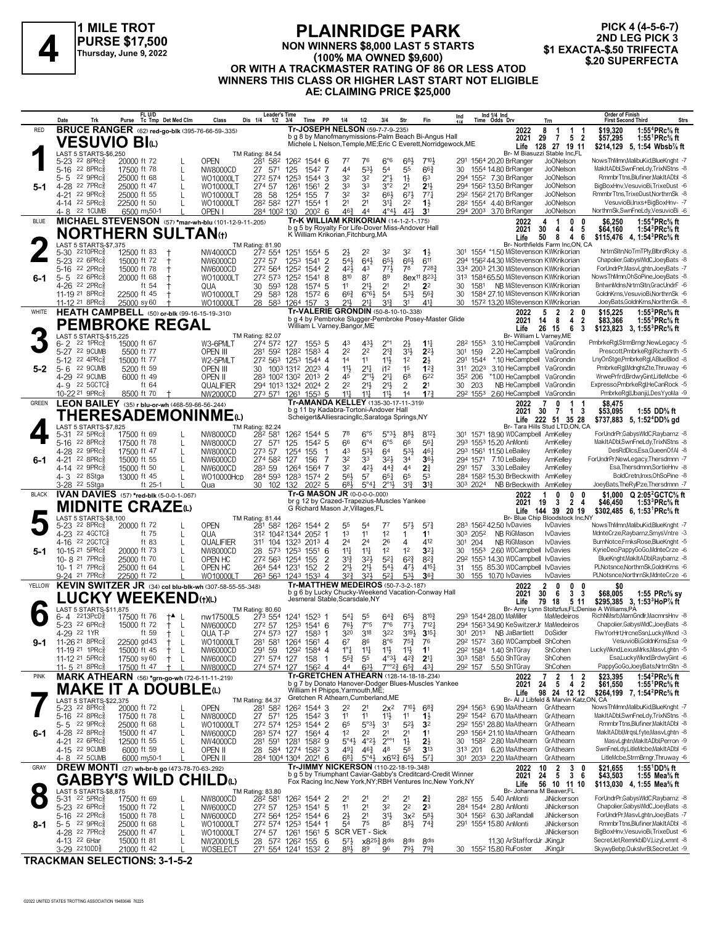

#### **PLAINRIDGE PARK NON WINNERS \$8,000 LAST 5 STARTS (100% MA OWNED \$9,600) OR WITH A TRACKMASTER RATING OF 86 OR LESS ATOD WINNERS THIS CLASS OR HIGHER LAST START NOT ELIGIBLE AE: CLAIMING PRICE \$25,000 ELAINNIDUL PARK**<br>PURSE \$17,500 MON WINNERS \$8,000 LAST 5 STARTS 51 Thursday, June 9, 2022<br>A Thursday, June 9, 2022<br>OB WITH A TRACKMASTER BATING OF 96 OR LESS ATOR \$20 SUPERFECTA

**PICK 4 (4-5-6-7)** 2ND LEG PICK 3<br>\$1 EXACTA-\$.50 TRIFECTA

|              | Trk<br>Date                                                           | FL U/D<br>Purse Tc Tmp Det Med Clm                      | Dis 1/4<br>Class                                        | <b>Leader's Time</b><br>1/2<br>3/4<br>Time PP                | 1/4<br>1/2                                                                                           | 3/4<br>Str                                                                                         | Ind 1/4 Ind<br>Time Odds Drv<br>Ind<br>Fin                                     | Trn                                                                                                     | <b>Order of Finish</b><br>Strs<br><b>First Second Third</b>                                                        |
|--------------|-----------------------------------------------------------------------|---------------------------------------------------------|---------------------------------------------------------|--------------------------------------------------------------|------------------------------------------------------------------------------------------------------|----------------------------------------------------------------------------------------------------|--------------------------------------------------------------------------------|---------------------------------------------------------------------------------------------------------|--------------------------------------------------------------------------------------------------------------------|
| <b>RED</b>   |                                                                       | <b>BRUCE RANGER</b> (62) red-go-blk (395-76-66-59-.335) |                                                         |                                                              | Tr-JOSEPH NELSON (59-7-7-9-235)<br>b g 8 by Manofmanymissions-Palm Beach Bi-Angus Hall               |                                                                                                    |                                                                                | 2022<br>8<br>$\overline{1}$<br>1                                                                        | 1:55 <sup>4</sup> PRc <sup>5</sup> / <sub>8</sub> ft<br>\$19,320                                                   |
|              | <b>VESUVIO BI</b> W                                                   |                                                         |                                                         |                                                              |                                                                                                      |                                                                                                    | Michele L Nelson, Temple, ME; Eric C Everett, Norridgewock, ME                 | 2021<br>29 7 5 2<br>Life 128 27 19 11                                                                   | \$57,295<br>1:55 ${}^1$ PRc ${}^5\!$ ft<br>\$214,129 5, 1:54 Wbsb% ft                                              |
|              | LAST 5 STARTS-\$6,250<br>5-23 22 8PRc <sup>5</sup>                    | 20000 ft 72                                             | TM Rating: 84.54<br><b>OPEN</b><br>281 582              | 126 <sup>2</sup> 1544 6                                      | 77<br>76                                                                                             | $6^{\circ}6$<br>683                                                                                | 7104<br>291 1564 20.20 BrRanger                                                | Br- M Biasuzzi Stable Inc,FL<br>Jo0Nelson                                                               | NowsThMmn,MalibuKid,BlueKnght -7                                                                                   |
|              | $22.8$ PR $c_{8}^{5}$<br>$5 - 16$                                     | 17500 ft 78                                             | 27 571<br>L<br>NW8000CD                                 | 125<br>1542 7                                                | $5^{31}$<br>44                                                                                       | 54<br>55                                                                                           | $66\frac{3}{4}$<br>30 1554 14.80 BrRanger                                      | <b>JoONelson</b>                                                                                        | MakItADbl,SwnFneLdy,TrixNStns -8                                                                                   |
|              | 22 9PRc3<br>5-5<br>4-28 22 7PRcs                                      | 25000 ft 68<br>25000 ft 47                              | L<br>WO10000LT<br>272 574<br>274 57<br>L<br>WO10000LT   | 125 <sup>3</sup><br>1544 3<br>1261<br>1561<br>2              | 32<br>32<br>33<br>33                                                                                 | $2^{\circ}$<br>$1\frac{1}{2}$<br>63<br>3°2<br>2 <sup>1</sup>                                       | 294 1552 7.30 BrRanger<br>21,<br>294 1562 13.50 BrRanger                       | JoONelson<br>Jo0Nelson                                                                                  | RmmbrTtns.Blufiner.MakItADbl -8<br>BigBoxHnv,VesuvioBi,TrixeDust -6                                                |
|              | 4-21 22 9PRcs                                                         | 25000 ft 55                                             | 28<br>WO10000LT                                         | 58<br>1254<br>155                                            | 32<br>32                                                                                             | 66}<br>673                                                                                         | 292 1562 21.70 BrRanger<br>773                                                 | Jo0Nelson                                                                                               | RmmbrTtns,TrixeDust,NorthrnSk -8<br>VesuvioBi, Inxs+BigBoxHnv- -7                                                  |
|              | 4-14 22 5PRc<br>4-8 22 1 CUMB                                         | 22500 ft 50<br>6500 my50-1                              | WO10000LT<br>OPEN I                                     | 282 582 1271<br>1554<br>-1<br>284 1002 130<br>$200^2$ 6      | 2 <sup>1</sup><br>2 <sup>1</sup><br>$46\frac{3}{4}$<br>44                                            | 34<br>2 <sup>2</sup><br>$4^{\circ}4^{\frac{1}{2}}$<br>42}<br>3 <sup>1</sup>                        | $1\frac{1}{2}$<br>28 <sup>2</sup> 1554 4.40 BrRanger<br>294 2003 3.70 BrRanger | <b>JoONelson</b><br><b>JoONelson</b>                                                                    | NorthrnSk,SwnFneLdy,VesuvioBi -6                                                                                   |
| <b>BLUE</b>  |                                                                       |                                                         | MICHAEL STEVENSON (57) *mar-wh-blu (101-12-9-11-205)    |                                                              | Tr-K WILLIAM KRIKORIAN (14-1-2-1-.175)<br>b g 5 by Royalty For Life-Dover Miss-Andover Hall          |                                                                                                    |                                                                                | $\mathbf{1}$<br>0<br>2022<br>4<br>0                                                                     | 1:55 <sup>4</sup> PRc <sup>5</sup> / <sub>8</sub> ft<br>\$6.250                                                    |
|              |                                                                       | <b>NORTHERN SULTAN(t)</b>                               |                                                         |                                                              | K William Krikorian, Fitchburg, MA                                                                   |                                                                                                    |                                                                                | 30<br>4 <sub>5</sub><br>2021<br>4<br>Life<br>8<br>50<br>4 6                                             | 1:54 ${}^{3}$ PRc ${}^{5}$ sft<br>\$64,160<br>\$115,476 4, 1:54 PRc $\frac{5}{8}$ ft                               |
|              | LAST 5 STARTS-\$7,375<br>$5 - 30$<br>$2210$ PR $c_{8}^{5}$            | 12500 ft 83                                             | TM Rating: 81.90<br>272 554<br>NW4000CD                 | 1251<br>1554 5                                               | 2}<br>22                                                                                             | 32<br>3 <sup>2</sup><br>$1\frac{1}{2}$                                                             |                                                                                | Br- Northfields Farm Inc,ON, CA<br>301 1554 *1.50 MiStevenson KWKrikorian                               | NrtrnSltnNoTmTPlv.BlbrdRckv -8                                                                                     |
|              | $5 - 23$<br>$22.6$ PR $c_{8}^{5}$                                     | 15000 ft 72                                             | 272 57<br>NW6000CD                                      | $\overline{2}$<br>125 <sup>3</sup><br>1541                   | $54\frac{1}{2}$<br>643                                                                               | 66}<br>$65\frac{1}{2}$                                                                             | 611                                                                            | 294 1562 44.30 MiStevenson KWKrikorian                                                                  | Chapolier, Gabys WldC, JoeyBats -8                                                                                 |
| 6-1          | 22 2PRc3<br>$5 - 16$<br>22 6PRc3<br>$5 - 5$                           | 15000 ft 78<br>20000 ft 68                              | NW6000CD<br>272 573<br>WO10000LT                        | 272 564 1252<br>1544 2<br>1252<br>1541<br>8                  | 421<br>43<br>810<br>87                                                                               | 78<br>$77\frac{1}{2}$<br>89<br>8ex <sup>11</sup> 8 <sup>23</sup>                                   | 7283                                                                           | 334 2003 21.30 MiStevenson KWKrikorian<br>313 1584 65.50 MiStevenson KWKrikorian                        | ForUndrPr.MasvLghtn.JoevBats -7<br>NowsThMmn, OhSoPine, JoeyBats -8                                                |
|              | 4-26 22 2PRcs                                                         | ft 54                                                   | 30<br>QUA                                               | 593<br>1574 5<br>128                                         | 11<br>$21\frac{1}{2}$                                                                                | 2 <sup>1</sup><br>2 <sup>1</sup>                                                                   | 2 <sup>2</sup><br>30                                                           | 1581 NB MiStevenson KWKrikorian                                                                         | BntwnMdns, NrtrnSltn, GracUndrF -6                                                                                 |
|              | 11-19 <sup>21</sup> 8PRc <sup>3</sup><br>11-12 <sup>21</sup> 8PRc     | 22500 ft 45<br>25000 sy60                               | 29 583<br>WO10000LT<br>WO10000LT                        | 128<br>1572 6<br>28 583 1264<br>157<br>3                     | $66\frac{3}{4}$<br>$6^{\circ}6^{\circ}$<br>21<br>217                                                 | 5 <sup>4</sup><br>$5^{31}$<br>31}<br>3 <sup>1</sup>                                                | $56\frac{3}{4}$<br>30<br>$4^{11}$<br>30                                        | 1584 27.10 MiStevenson KWKrikorian<br>1572 13.20 MiStevenson KWKrikorian                                | GoldnKrns, VesuvioBi, NorthrnSk -6<br>JoeyBats,GoldnKrns,NorthrnSk -8                                              |
| WHITE        |                                                                       | <b>HEATH CAMPBELL</b> (50) or-blk (99-16-15-19-.310)    |                                                         |                                                              | Tr-VALERIE GRONDIN (50-8-10-10-.338)                                                                 |                                                                                                    |                                                                                | 5<br>$\overline{2}$<br>2022<br>2<br>0                                                                   | 1:55 ${}^{3}$ PRc ${}^{5}$ sft<br>\$15,225                                                                         |
|              |                                                                       | <b>PEMBROKE REGAL</b>                                   |                                                         |                                                              | b g 4 by Pembroke Slugger-Pembroke Posey-Master Glide<br>William L Varney, Bangor, ME                |                                                                                                    |                                                                                | 2021<br>- 8<br>4 <sub>2</sub><br>14<br>6<br>Life<br>26 15<br>- 3                                        | \$83,366<br>1:55 ${}^{3}$ PRc ${}^{5}_{8}$ ft<br>\$123,823 3, 1:55 <sup>3</sup> PRc <sup>5</sup> / <sub>8</sub> ft |
|              | LAST 5 STARTS-\$15,225<br>$22$ 1PR $c_{8}^5$<br>$6 - 2$               | 15000 ft 67                                             | TM Rating: 82.07<br>W3-6PMLT<br>274 572                 | 127<br>$155^3$ 5                                             | 431<br>43                                                                                            | $2^{\circ}1$<br>$2\frac{1}{2}$                                                                     | $1^{11}$<br>282 1553                                                           | Br- William L Varnev.ME<br>3.10 HeCampbell VaGrondin                                                    | PmbrkeRgl,StrmBrngr,NewLegacy -5                                                                                   |
|              | 22 9CUMB<br>$5 - 27$                                                  | 5500 ft 77                                              | 281 592<br><b>OPEN III</b>                              | 1282<br>1583 4                                               | 22<br>22                                                                                             | $2^{13}$<br>3 <sup>1</sup>                                                                         | $2^{2}$<br>159<br>301                                                          | 2.20 HeCampbell VaGrondin                                                                               | Prescott,PmbrkeRgl,Richsnrth -5                                                                                    |
| $5-2$        | 5-12 22 4PRc <sup>5</sup><br>22 9CUMB<br>$5 - 6$                      | 15000 ft 77<br>5200 ft 59                               | W2-5PMLT<br>OPEN III<br>30                              | 272 563 1253<br>1544 4<br>1003 1312 2023 4                   | 14<br>11<br>11<br>$21\frac{1}{4}$                                                                    | $11\frac{1}{2}$<br>1 <sup>2</sup><br>1 <sup>5</sup><br>i12                                         | $2\frac{1}{2}$<br>1544<br>291<br>12 <sup>3</sup><br>311 2023                   | *.10 HeCampbell VaGrondin<br>3.10 HeCampbell VaGrondin                                                  | LnvOnStae.PmbrkeRal.ABlueBlod -8<br>PmbrkeRal.MdnahtZte.Thruway -6                                                 |
|              | 4-29 22 9CUMB                                                         | 6000 ft 49                                              | OPEN II                                                 | 283 1002 1302 2013 2                                         | $2^{\circ}13$<br>45                                                                                  | $2^{11}$<br>6 <sup>8</sup>                                                                         | 622<br>352 206                                                                 | *1.00 HeCampbell VaGrondin                                                                              | WrwePrfrd,BrdwyGint,LitleMcbe -6                                                                                   |
|              | $4 - 9$ 22 5 GCTC <sub>8</sub><br>10-22 21 9PRc                       | ft 64<br>8500 ft 70                                     | QUALIFIER<br><b>NW2000CD</b>                            | 294 1013 1324 2024 2<br>273 571 1261 1553 5                  | 2 <sup>2</sup><br>$21\frac{1}{2}$<br>$11\frac{1}{4}$<br>$11\frac{1}{4}$                              | $21\frac{1}{2}$<br>$\overline{2}$<br>11}<br>14                                                     | 2 <sup>1</sup><br>203<br>30<br>17 <sup>3</sup>                                 | NB HeCampbell VaGrondin<br>292 1553 2.60 HeCampbell VaGrondin                                           | Expresso.PmbrkeRal.HeCanRock -5<br>PmbrkeRgl,Ubanji,LDesYyoMa -9                                                   |
| <b>GREEN</b> |                                                                       | LEON BAILEY (35) r blu-or-wh (468-59-66-56-244)         |                                                         |                                                              | Tr-AMANDA KELLEY (135-30-17-11-.319)                                                                 |                                                                                                    |                                                                                | 2022<br>0<br>$\mathbf{1}$                                                                               | \$8.475                                                                                                            |
|              |                                                                       | THERESADEMONINMEω                                       |                                                         |                                                              | b g 11 by Kadabra-Tortoni-Andover Hall<br>Scheigert&Alliesracingllc,Saratoga Springs,NY              |                                                                                                    |                                                                                | 2021<br>30<br>$\overline{7}$<br>13<br>Life 222 51 35 28                                                 | \$53,095<br>1:55 DD% ft<br>\$737,883 5, 1:52 <sup>4</sup> DD% gd                                                   |
|              | LAST 5 STARTS-\$7,825<br>$22$ 5PR $c_{8}^5$<br>5-31                   | 17500 ft 69                                             | TM Rating: 82.24<br>282 581<br>NW8000CD                 | 126 <sup>2</sup> 1544 5                                      | 78<br>$6^{\circ 5}$                                                                                  | $5^{\circ}3\frac{1}{2}$<br>88,                                                                     | 8121                                                                           | Br- Tara Hills Stud LTD,ON, CA<br>301 1571 18.90 WDCampbell AmKelley                                    | ForUndrPr,GabysWIdC,Raybarnz -8                                                                                    |
|              | 5-16 22 8PRcs                                                         | 17500 ft 78                                             | 27 571<br>L<br>NW8000CD                                 | 125<br>1542 5                                                | 66<br>$6^{\circ}4$                                                                                   | $6^{\circ}5$<br>66                                                                                 | 561<br>293 1553 15.20 AnMonti                                                  | AmKelley                                                                                                | MakItADbl,SwnFneLdy,TrixNStns -8                                                                                   |
| $6 - 1$      | 4-28 22 9PRc<br>$22$ 8PR $c_{8}^{5}$<br>$4 - 21$                      | 17500 ft 47<br>15000 ft 55                              | L<br>NW8000CD<br>273 57<br>274 582<br>L<br>NW6000CD     | 1254<br>155<br>127<br>156<br>7                               | 43<br>53}<br>32<br>33                                                                                | $5^{3}$<br>64<br>321<br>3 <sup>4</sup>                                                             | 461<br>293 1561 11.50 LeBailey<br>364<br>294 1571 7.10 LeBailey                | AmKelley<br>AmKelley                                                                                    | DesRdDlcs,Esa,QueenOfAI -8<br>ForUndrPr,NewLegacy,Thersdmnn -7                                                     |
|              | 4-14 22 9PRc <sup>5</sup>                                             | 15000 ft 50                                             | 283 59<br>L<br>NW6000CD                                 | 1264<br>1564<br>7                                            | 32<br>421                                                                                            | $44\frac{3}{4}$<br>44<br>$2\frac{3}{4}$                                                            | 291 157 3.30 LeBailey                                                          | AmKelley                                                                                                | Esa, Thersdmnn, SortieHnv -8                                                                                       |
|              | 4-3 <sup>22</sup> 8Stga<br>3-28 <sup>22</sup> 5Stga                   | 13000 ft 45<br>ft 25-1                                  | WO10000Hcp<br>Qua                                       | 284 593 1283<br>1574 2<br>2022 5<br>30 102 132               | 56}<br>5 <sup>7</sup><br>$6^{8}\frac{1}{2}$<br>$5^{\circ}4\frac{1}{4}$                               | $65\frac{1}{4}$<br>65<br>53<br>$3^{13}$<br>$2^{\circ}11$                                           | $3^{13}$<br>303 2024                                                           | 284 1582 15.30 BrBeckwith AmKelley<br>NB BrBeckwith AmKelley                                            | BoldCretn, Inxs, OhSoPine -8<br>JoeyBats, The RylPze, Thersdmnn - 7                                                |
| <b>BLACK</b> |                                                                       | IVAN DAVIES (57) *red-blk (5-0-0-1-.067)                |                                                         |                                                              | Tr-G MASON JR (0-0-0-0-000)                                                                          |                                                                                                    |                                                                                | 0<br>2022<br>0<br>0                                                                                     | \$1.000 $Q$ 2:05 <sup>2</sup> GCTC <sup>5</sup> / <sub>8</sub> ft                                                  |
|              |                                                                       | MIDNITE CRAZEധ                                          |                                                         |                                                              | br g 12 by Crazed-Trapezius-Muscles Yankee<br>G Richard Mason Jr, Villages, FL                       |                                                                                                    |                                                                                | 2 4<br>19<br>$\mathbf{3}$<br>2021<br>Life<br>144 39 20 19                                               | \$46,450<br>1:53 ${}^{3}$ PRc ${}^{5}_{8}$ ft<br>\$302,485 6, 1:53 PRc % ft                                        |
|              | LAST 5 STARTS-\$8,100<br>5-23 22 8PRc <sup>5</sup>                    | 20000 ft 72                                             | TM Rating: 81.44<br><b>OPEN</b><br>281 582              | 126 <sup>2</sup> 1544 2                                      | 55<br>54                                                                                             | 77<br>$5^{7}\frac{1}{2}$                                                                           | $5^{7}$ <sup>3</sup><br>283 1562 42.50 IvDavies                                | Br- Blue Chip Bloodstock Inc,NY<br><b>I</b> vDavies                                                     | NowsThMmn,MalibuKid,BlueKnght -7                                                                                   |
|              | 4-23 <sup>22</sup> 4GCTC <sub>8</sub>                                 | ft 75                                                   | L<br>QUA                                                | 312 1042 1344 2052 1                                         | 1 <sup>3</sup><br>11                                                                                 | 1 <sup>2</sup><br>1                                                                                | 1 <sup>1</sup><br>303 2052                                                     | NB RiGMason<br><b>I</b> vDavies                                                                         | MdnteCrze,Raybarnz,SmysVntre -3                                                                                    |
| $5-1$        | 4-16 22 2 GCTC<br>10-15 21 5PRc <sup>5</sup>                          | ft 83<br>20000 ft 73                                    | L<br>QUALIFIER<br>28 573<br>L<br>NW8000CD               | 311 104 1323<br>2013 4<br>1253<br>$155^1$ 6                  | 2 <sup>4</sup><br>2 <sup>4</sup><br>$11\frac{1}{2}$<br>$11\frac{1}{4}$                               | 26<br>4<br>1 <sup>2</sup><br>1 <sup>2</sup>                                                        | 412<br>301 204<br>3 <sup>2</sup><br>30                                         | NB RiGMason<br><b>I</b> vDavies<br>1553 2.60 WDCampbell IvDavies                                        | BurnNotce,FrnksRose,BlueKnght -5<br>KyrieDeo,PappyGoGo,MdnteCrze -6                                                |
|              | 10-8 21 7PRc                                                          | 25000 ft 70                                             | 272 563<br>OPEN HC                                      | $\overline{2}$<br>1254<br>155                                | $3^{12}$<br>32}                                                                                      | $5^{2}$<br>$6^{2}3$                                                                                | $8^{2}\frac{3}{4}$                                                             | 292 1553 14.30 WDCampbell IvDavies                                                                      | BlueKnght, Mak It ADbl, Raybarnz -8                                                                                |
|              | 10-1 <sup>21</sup> 7PRc<br>9-24 <sup>21</sup> 7PRc                    | 25000 ft 64<br>22500 ft 72                              | OPEN HC<br>WO10000LT                                    | 264 544 1231<br>$\overline{2}$<br>152<br>263 563 1243 1533 4 | 21}<br>$21\frac{1}{2}$<br>32}<br>321                                                                 | $5^{4}$<br>471<br>$5^{2}$<br>$5^{31}$                                                              | $4^{15}\frac{1}{4}$<br>31<br>36 <sub>7</sub><br>30<br>155 10.70 lvDavies       | 155 85.30 WDCampbell IvDavies<br><b>IvDavies</b>                                                        | PLNotsnce.NorthrnSk.GoldnKrns -6<br>PLNotsnce, NorthrnSk, MdnteCrze -6                                             |
| YELLOW       |                                                                       |                                                         | KEVIN SWITZER JR (34) col blu-blk-wh (307-58-55-55-348) |                                                              | Tr-MATTHEW MEDEIROS (50-7-3-2-.187)<br>b q 6 by Lucky Chucky-Weekend Vacation-Conway Hall            |                                                                                                    |                                                                                | $\mathbf{2}$<br>2022<br>0<br>0<br>0                                                                     | \$0                                                                                                                |
|              |                                                                       | <b>.UCKY WEEKEND</b> (t)(L)                             |                                                         |                                                              | Jesmeral Stable, Scarsdale, NY                                                                       |                                                                                                    |                                                                                | 30<br>- 6<br>3 <sub>3</sub><br>2021<br>Life<br>79 18<br>511                                             | \$68,005<br>1:55 $PRc$ % sy<br>\$295,385 3, 1:53 <sup>3</sup> HoP% ft                                              |
|              | LAST 5 STARTS-\$11,875<br>2213PCD <sub>8</sub><br>6-4                 | 17500 ft 76<br>†▲ L                                     | TM Rating: 80.60<br>nw17500L5                           | 273 554 1241 1523 1                                          | $5^{4}$<br>55                                                                                        | $64\frac{3}{4}$<br>$65\frac{1}{2}$                                                                 | $8^{10}\frac{3}{4}$<br>293 1544 28.00 MaMiller                                 | Br- Amy Lynn Stoltzfus.FL:Denise A Williams.PA<br>MaMedeiros                                            | RichNMsrb,MarnGndlr,MacmrsHnv -8                                                                                   |
|              | 5-23 22 6PRc <sup>5</sup>                                             | 15000 ft 72<br>$^+$                                     | - L<br>NW6000CD                                         | 272 57 1253 1541 6                                           | 7°5<br>761                                                                                           | $7^{\circ}6$<br>$77\frac{1}{2}$                                                                    | 712 <sub>1</sub>                                                               | 294 1563 34.90 KeSwitzerJr MaMedeiros                                                                   | Chapolier, Gabys WIdC, JoeyBats -8                                                                                 |
| $9-1$        | 4-29 <sup>22</sup> 1YR<br>11-26 <sup>21</sup> 8PRc <sup>3</sup>       | ft 59<br>22500 gd 43<br>ŧ                               | QUA T-P<br>274 573<br>L<br>WO10000LT<br>281 581         | 127<br>1583 1<br>1264 1561 4                                 | 320<br>318<br>6 <sup>7</sup><br>86                                                                   | 322<br>$3^{19}\frac{1}{2}$<br>$8^{\circ}6$<br>$75\frac{3}{4}$<br>76                                | $3^{15}$<br>30 <sup>1</sup> 201 <sup>3</sup> NB JaBartlett                     | DoSider<br>292 1572 3.60 WDCampbell ShCohen                                                             | FlwYorHrt,HrcneSsn,LuckyWknd -3<br>VesuvioBi,GoldnKrns,Esa -9                                                      |
|              | 11-19 21 1PRc <sup>5</sup>                                            | 15000 ft 45<br>Ť                                        | 291 59<br>NW6000CD<br>L                                 | 1292<br>1584 4                                               | $1°\frac{1}{4}$<br>11                                                                                | $11\frac{1}{2}$<br>11<br>11                                                                        | 292 1584 1.40 ShTGray                                                          | ShCohen                                                                                                 | LuckyWknd,LexusMrks,MasvLghtn -5<br>Esa,LuckyWknd,BrdwyGint -6                                                     |
|              | 11-12 <sup>21</sup> 5PRc <sup>3</sup><br>11-5 <sup>21</sup> 8PRc      | 17500 sy 60<br>ŧ<br>17500 ft 47                         | NW6000CD<br>L<br><b>NW8000CD</b>                        | 271 574 127<br>158<br>-1<br>274 574 127<br>1562 4            | $55\frac{3}{4}$<br>55<br>633<br>44                                                                   | $4^{\circ}3\frac{1}{2}$<br>$4^{2}\frac{3}{4}$<br>2 <sup>11</sup><br>$7^{\circ}2^3$ 6 <sup>53</sup> | 303 1581 5.50 ShTGray<br>431<br>292 157                                        | ShCohen<br>5.50 ShTGray<br>ShCohen                                                                      | PappyGoGo,JoeyBats,NrtrnSltn -8                                                                                    |
| <b>PINK</b>  |                                                                       | MARK ATHEARN (56) *grn-go-wh (72-6-11-11-219)           |                                                         |                                                              | Tr-GRETCHEN ATHEARN (128-14-18-18-234)<br>b g 7 by Donato Hanover-Dodger Blues-Muscles Yankee        |                                                                                                    |                                                                                | $\frac{2}{5}$<br>$\overline{7}$<br>2022<br>$\begin{array}{cc} 1 & 2 \\ 4 & 2 \end{array}$<br>2021<br>24 | 1:54 ${}^{2}$ PRc ${}^{5}$ s ft<br>\$23.395<br>1:55 <sup>1</sup> PRc% ft<br>\$61,550                               |
|              |                                                                       | <b>MAKE IT A DOUBLE</b> (L)                             |                                                         |                                                              | William H Phipps, Yarmouth, ME;<br>Gretchen R Athearn, Cumberland, ME                                |                                                                                                    |                                                                                | Life<br>98 24 12 12                                                                                     | \$264,199 7, 1:54 <sup>2</sup> PRc <sup>5</sup> / <sub>8</sub> ft                                                  |
|              | LAST 5 STARTS-\$22,375<br>5-23 <sup>22</sup> 8PRc <sup>3</sup>        | 20000 ft 72                                             | TM Rating: 84.37<br><b>OPEN</b><br>281 582              | 126 <sup>2</sup> 1544 3                                      | 22<br>21                                                                                             | $2x^2$<br>$7^{10\frac{1}{2}}$                                                                      | $6^{8}3$                                                                       | Br- Al J Libfeld & Marvin Katz,ON, CA<br>294 1563 6.90 MaAthearn GrAthearn                              | NowsThMmn,MalibuKid,BlueKnght -7                                                                                   |
|              | 5-16 22 8PRc <sup>5</sup>                                             | 17500 ft 78                                             | L<br>NW8000CD                                           | 27 571 125<br>1542 3                                         | 1 <sup>1</sup><br>11                                                                                 | $11\frac{1}{2}$<br>1 <sup>1</sup><br>$1\frac{1}{2}$                                                | 292 1542 6.70 MaAthearn<br>292 1551 28.80 MaAthearn                            | GrAthearn<br>GrAthearn                                                                                  | MakItADbl,SwnFneLdy,TrixNStns -8<br>RmmbrTtns, Blufiner, MakItADbl -8                                              |
| 6-1          | 5-5 22 9PRc<br>4-28 22 8PRc3                                          | 25000 ft 68<br>15000 ft 47                              | WO10000LT<br>L<br>NW6000CD<br>L                         | 272 574 1253 1544 2<br>283 574 127<br>1564 4                 | 65<br>$5^{\circ}3\frac{1}{2}$<br>1 <sup>2</sup><br>2 <sup>2</sup>                                    | $5^{21}$<br>31<br>3 <sup>2</sup><br>2 <sup>1</sup><br>2 <sup>1</sup><br>11                         | 293 1564 21.10 MaAthearn                                                       | GrAthearn                                                                                               | MakItADbl,MrqsLfyte,MasvLghtn -8                                                                                   |
|              | 4-21 22 6PRcs                                                         | 12500 ft 55                                             | NW4000CD<br>L                                           | 281 591 1281<br>1582 9                                       | 5°4 <sup>1</sup><br>$4^{\circ}2\frac{1}{2}$                                                          | $2^{\circ\circ}$ 1<br>$2\frac{1}{2}$<br>$1\frac{1}{2}$                                             |                                                                                | 30 1582 2.80 MaAthearn GrAthearn                                                                        | MasvLghtn, MakItADbl, Perron -9<br>SwnFneLdvLitleMcbe.MakItADbl -6                                                 |
|              | 4-15 22 9CUMB<br>4-8 22 5 CUMB                                        | 6000 ft 59<br>6000 my50-1                               | OPEN II<br>OPEN II                                      | 28 584 1274 1582 3<br>284 1004 1304 2021 6                   | $46\frac{3}{4}$<br>491<br>$6^{81}$<br>$5^{\circ}4\frac{1}{2}$                                        | 48<br>58<br>$x6^{12}\frac{3}{4}6^{5}\frac{1}{2}$                                                   | 3 <sup>13</sup><br>313 201<br>57 <sub>1</sub><br>301 2033 2.20 MaAthearn       | 6.20 MaAthearn GrAthearn<br>GrAthearn                                                                   | LitleMcbe,StrmBrngr,Thruway -6                                                                                     |
| GRAY         |                                                                       | DREW MONTI (27) wh-br-b go (473-78-70-63-292)           |                                                         |                                                              | Tr-JIMMY NICKERSON (110-22-18-19-348)<br>b g 5 by Triumphant Caviar-Gabby's Creditcard-Credit Winner |                                                                                                    |                                                                                | $\begin{array}{ccc} 2 & 3 & 0 \\ 5 & 3 & 6 \end{array}$<br>2022<br>10<br>24<br>2021                     | 1:55 <sup>1</sup> DD% ft<br>\$21,655<br>\$43,503                                                                   |
|              |                                                                       | <b>GABBY'S WILD</b>                                     | <b>CHILD</b> <sup>(1)</sup>                             |                                                              | Fox Racing Inc, New York, NY; RBH Ventures Inc, New York, NY                                         |                                                                                                    |                                                                                | Life<br>56 10 11 10                                                                                     | 1:55 Mea $\%$ ft<br>\$113,030 4, 1:55 Mea <sup>5</sup> / <sub>8</sub> ft                                           |
|              | LAST 5 STARTS-\$8,875<br>5-31 22 5PRc <sup>5</sup>                    | 17500 ft 69                                             | TM Rating: 83.80<br>282 581<br>NW8000CD                 | 1262 1544 2                                                  | 2 <sup>1</sup><br>21                                                                                 | 21<br>2 <sup>1</sup><br>$2\frac{3}{4}$                                                             | 28 <sup>2</sup> 155                                                            | Br- Johanna M Beaver, FL<br>5.40 AnMonti<br>JiNickerson                                                 | ForUndrPr,GabysWIdC,Raybarnz -8                                                                                    |
|              | 5-23 22 6PRc <sup>5</sup>                                             | 15000 ft 72                                             | 272 57<br>NW6000CD<br>L                                 | 1253 1541 5                                                  | 2 <sup>1</sup><br>1 <sup>1</sup>                                                                     | 32<br>2 <sup>2</sup>                                                                               | 2 <sup>3</sup><br>284 1544 2.80 AnMonti<br>583<br>304 1562 6.30 JaRandall      | JiNickerson                                                                                             | Chapolier, Gabys WldC, JoeyBats -8<br>ForUndrPr,MasvLghtn,JoeyBats -7                                              |
| 8-1          | 5-16 <sup>22</sup> 2PRc <sup>3</sup><br>$5 - 5$ 22 9PRc $\frac{5}{8}$ | 15000 ft 78<br>25000 ft 68                              | NW6000CD<br>L<br>WO10000LT<br>L                         | 272 564 1252 1544 6<br>272 574 1253 1544 1                   | $2\frac{1}{2}$<br>2 <sup>1</sup><br>54<br>75                                                         | 3 <sup>1</sup> }<br>$3x^2$<br>85<br>$85\frac{1}{2}$                                                | 291 1554 15.80 AnMonti<br>$74\frac{3}{4}$                                      | JiNickerson<br>JiNickerson                                                                              | RmmbrTtns, Blufiner, MakItADbl -8                                                                                  |
|              | 4-28 22 7PRc <sup>5</sup><br>4-13 <sup>22</sup> 6Har                  | 25000 ft 47<br>15000 ft 81                              | WO10000LT<br>274 57<br>L                                | 1561 5<br>1261                                               | SCR VET - Sick<br>$5^{7}\frac{1}{2}$<br>$x8^{25}\frac{3}{4}8$ dis                                    | 8 <sup>dis</sup>                                                                                   | 8 <sub>dis</sub>                                                               | JiNickerson<br>11.30 ArStaffordJr JKingJr                                                               | BigBoxHnv, VesuvioBi, TrixeDust -6<br>SecretJet,RemrkbIDV,LizyLxmnt -8                                             |
|              | 3-29 2210DD <sub>8</sub>                                              | 21000 ft 42                                             | NW20001L5<br>WOSELECT                                   | 28 572 1262 155 6<br>271 554 1241 1532 2                     | 89}<br>89                                                                                            | 793<br>96                                                                                          | $79\frac{3}{4}$<br>30 1552 15.80 RuFoster                                      | JKingJr                                                                                                 | SkywyBebp,QuksIvrBl,SecretJet -9                                                                                   |

**TRACKMAN SELECTIONS: 3-1-5-2**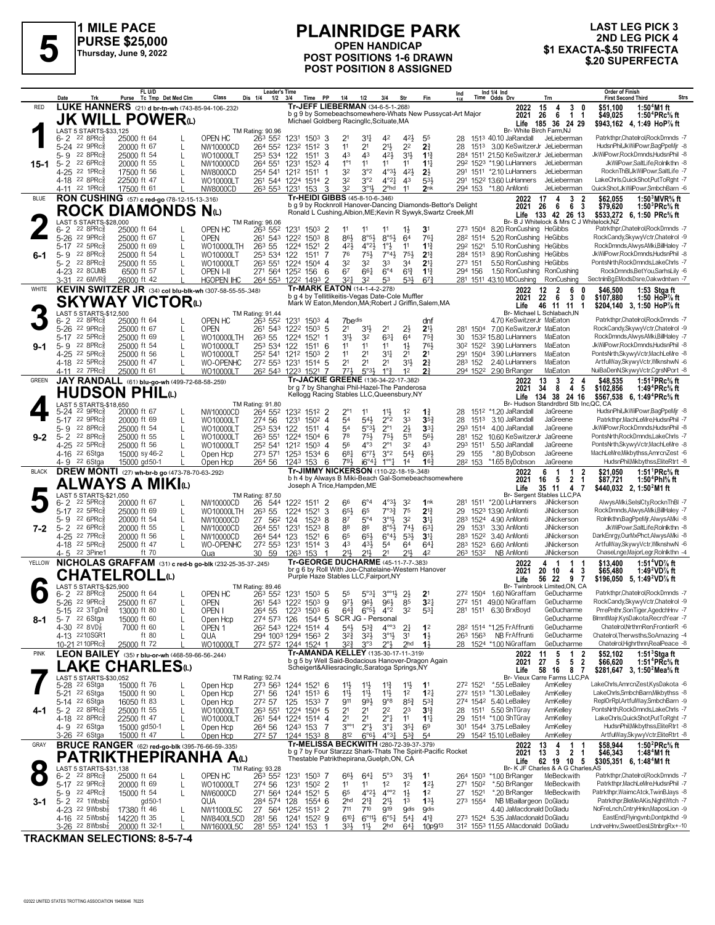

**1 MILE PACE PURSE \$25,000 Thursday, June 9, 2022**

#### **PLAINRIDGE PARK OPEN HANDICAP POST POSITIONS 1-6 DRAWN POST POSITION 8 ASSIGNED 1 EXITATIVID OF TATALS**<br>
Thursday, June 9, 2022 **1990 FOR HANDICAP**<br>
POST POSITIONS 1-6 DRAWN \$1 EXACTA-\$.50 TRIFECTA<br>
\$20 SUPERFECTA

# **LAST LEG PICK 3 2ND LEG PICK 4**

|              | Date<br>Trk                                                      | FL U/D<br>Tc Tmp Det Med Clm<br>Purse                    | <b>Leader's Time</b><br>Dis 1/4<br>Class         | Time PP<br>$1/2$ $3/4$                             | 1/4<br>1/2<br>3/4                                                                                                             | Fin<br>Str                                                                                                    | Ind 1/4 Ind<br>Time Odds Drv<br>Ind<br>Trn                                                                         | <b>Order of Finish</b><br>Strs<br><b>First Second Third</b>                                                                                      |
|--------------|------------------------------------------------------------------|----------------------------------------------------------|--------------------------------------------------|----------------------------------------------------|-------------------------------------------------------------------------------------------------------------------------------|---------------------------------------------------------------------------------------------------------------|--------------------------------------------------------------------------------------------------------------------|--------------------------------------------------------------------------------------------------------------------------------------------------|
| <b>RED</b>   |                                                                  | LUKE HANNERS (21) d br-tn-wh (743-85-94-106-.232)        |                                                  |                                                    | Tr-JEFF LIEBERMAN (34-6-5-1-268)<br>b g 9 by Somebeachsomewhere-Whats New Pussycat-Art Major                                  |                                                                                                               | 2022<br>15<br>4                                                                                                    | 3<br>\$51,100<br>1:50 $4$ M1 ft<br>0                                                                                                             |
|              |                                                                  | <b>JK WILL POWER</b>                                     |                                                  |                                                    | Michael Goldberg Racingllc, Scituate, MA                                                                                      |                                                                                                               | 6<br>26<br>2021<br>Life<br>185 36 24 29                                                                            | 1 <sub>1</sub><br>\$49,025<br>1:50 <sup>4</sup> PRc <sup>5</sup> / <sub>8</sub> ft<br>\$943,162 4, 1:49 HoP% ft                                  |
|              | LAST 5 STARTS-\$33,125<br>$22$ 8PR $c_{8}$<br>$6 - 2$            | 25000 ft 64                                              | TM Rating: 90.96<br>OPEN HC<br>263 552           | 1231<br>1503<br>3                                  | 2 <sup>1</sup><br>34<br>42                                                                                                    | $4^{21}$<br>55                                                                                                | Br- White Birch Farm, NJ<br>1513 40.10 JaRandall<br>JeLieberman<br>28                                              | Patrkthpr,Chatelrol,RockDmnds -7                                                                                                                 |
|              | 5-24 22 9PRc                                                     | 20000 ft 67                                              | 264 552 1232<br>NW10000CD                        | 3<br>1512                                          | 2 <sup>1</sup><br>11                                                                                                          | $21\frac{1}{2}$<br>2 <sup>2</sup><br>2 <sup>3</sup>                                                           | 28<br>1513 3.00 KeSwitzerJr JeLieberman                                                                            | HudsnPhil, JkWilPowr, BagPpeMjr -8                                                                                                               |
| 15-1         | $5-9$<br>$22$ 8PR $c_{8}^{5}$<br>22 6PRc3<br>$5 - 2$             | 25000 ft 54<br>L<br>20000 ft 55<br>L                     | 253 534<br>WO10000LT<br>264 551<br>NW10000CD     | 122<br>1511<br>3<br>1231<br>1523<br>$\overline{4}$ | 43<br>43<br>$1^{\circ}1$<br>11<br>11                                                                                          | $3^{11}$<br>42}<br>$1^{13}$<br>11<br>$11\frac{1}{4}$                                                          | 284 1511 21.50 KeSwitzerJr JeLieberman<br>292 1523 *1.90 LuHanners<br>JeLieberman                                  | JkWilPowr.RockDmnds.HudsnPhil -8<br>JkWilPowr.SaltLife.Rolnlkthn -8                                                                              |
|              | 4-25<br>22 1PRc3                                                 | 17500 ft 56                                              | NW8000CD<br>254 541 1212                         | 1511<br>-1                                         | 32<br>3°2                                                                                                                     | $4^{\circ}3\frac{1}{2}$<br>421<br>$2\frac{1}{2}$                                                              | 291 1511 *2.10 LuHanners<br>JeLieberman                                                                            | RocknThBl,JkWilPowr,SaltLife -7                                                                                                                  |
|              | 4-18 22 8PRc<br>$22$ 1PR $c_{8}^{5}$<br>4-11                     | 22500 ft 47<br>17500 ft 61                               | WO10000LT<br>263 553 1231<br>NW8000CD            | 261 544 1224 1514 2<br>3<br>153                    | 3°2<br>32<br>32<br>$3^{01}$                                                                                                   | $4^{\circ}21$<br>43<br>533<br>2nk<br>2 <sup>ohd</sup><br>11                                                   | 152 <sup>2</sup> 13.60 LuHanners<br>291<br>JeLieberman<br>294 153 *1.80 AnMonti<br>JeLieberman                     | LakeChrls, QuickShot, PutToRght -7<br>QuickShot,JkWilPowr,SmbchBarn -6                                                                           |
| <b>BLUE</b>  |                                                                  | RON CUSHING (57) c red-go (78-12-15-13-316)              |                                                  |                                                    | Tr-HEIDI GIBBS (45-8-10-6-.346)                                                                                               |                                                                                                               | 17<br>2022<br>4                                                                                                    | $\begin{matrix} 3 & 2 \\ 6 & 3 \end{matrix}$<br>\$62,055<br>1:50 $3$ MVR $\%$ ft                                                                 |
|              |                                                                  | ROCK DIAMONDS Nധ                                         |                                                  |                                                    | b g 9 by Rocknroll Hanover-Dancing Diamonds-Bettor's Delight<br>Ronald L Cushing, Albion, ME; Kevin R Sywyk, Swartz Creek, MI |                                                                                                               | 26<br>6<br>2021<br>133 42 26 13<br>Life                                                                            | \$79,620<br>1:50 ${}^{3}$ PRc ${}^{5}$ sft<br>\$533,272<br>6, 1:50 PRc% ft                                                                       |
|              | LAST 5 STARTS-\$28,000<br>$22$ $8$ PR $c_{8}$                    | 25000 ft 64                                              | TM Rating: 96.06<br>OPEN HC<br>263 552           |                                                    | 11<br>11                                                                                                                      | 3 <sup>1</sup>                                                                                                | Br- B J Whitelock & Mrs C J Wh<br>273 1504<br>8.20 RonCushing HeGibbs                                              | telock,NZ<br>Patrkthpr,Chatelrol,RockDmnds -7                                                                                                    |
|              | 6-2<br>22 $9PRc\frac{5}{8}$<br>$5 - 26$                          | 25000 ft 67<br>L                                         | <b>OPEN</b><br>261 543 1222                      | 1231<br>$150^3$ 2<br>8<br>1503                     | $8°5\frac{1}{2}$<br>86}                                                                                                       | $1\frac{1}{2}$<br>$8°5\frac{1}{2}$<br>64<br>761                                                               | 282 1514<br>5.20 RonCushing HeGibbs                                                                                | RockCandy,SkywyVctr,Chatelrol -9                                                                                                                 |
| 6-1          | $5 - 17$<br>$22$ 5PR $c_{8}$<br>$22$ 8PR $c_8^5$<br>$5 - 9$      | 25000 ft 69<br>L<br>25000 ft 54<br>L                     | 263 55<br>WO10000LTH<br>253 534<br>WO10000LT     | 1224<br>1521<br>2<br>122<br>1511<br>7              | 421<br>$4^{\circ}2\frac{1}{2}$<br>76<br>75}                                                                                   | $1^{\circ}$<br>11<br>$1\frac{13}{4}$<br>7°43<br>75}<br>$2^{13}$                                               | 292 1521<br>5.10 RonCushing<br><b>HeGibbs</b><br>8.90 RonCushing<br><b>HeGibbs</b><br>284 1513                     | RockDmnds,AlwysAMki,BillHaley -7<br>JkWilPowr,RockDmnds,HudsnPhil -8                                                                             |
|              | $5 - 2$<br>22 8PRc3                                              | 25000 ft 55                                              | 263 551<br>WO10000LT                             | 1224<br>$1504$ 4                                   | 32<br>32<br>33                                                                                                                | 34<br>$2^{11}$                                                                                                | 5.50 RonCushing HeGibbs<br>273 151                                                                                 | PontsNrth,RockDmnds,LakeChrls -7                                                                                                                 |
|              | 4-23 22 8CUMB<br>3-31 22 6MVR                                    | 6500 ft 57<br>26000 ft 42                                | OPEN I-II<br><b>HGOPEN IHC</b>                   | 271 564 1252 156<br>6<br>264 553 1222 1493 2       | 67<br>661<br>$3^{21}$<br>32<br>53                                                                                             | $6^{\circ}4$<br>$6^{13}$<br>$1\frac{13}{4}$<br>$67\frac{3}{4}$<br>53}                                         | 1.50 RonCushing<br>294 156<br>RonCushing<br>281 1511 43.10 MDCushing<br>RonCushing                                 | RockDmnds,BetYou,SarhsLily -6<br>SectninBg,EModsDsre,Oakwdntwn -7                                                                                |
| WHITE        |                                                                  | KEVIN SWITZER JR (34) col blu-blk-wh (307-58-55-55-348)  |                                                  |                                                    | Tr-MARK EATON (14-1-4-2-.278)                                                                                                 |                                                                                                               | 12<br>$\overline{2}$<br>2022                                                                                       | 6<br>0<br>\$46,500<br>1:53 Stgaft                                                                                                                |
|              |                                                                  | <b>SKYWAY VICTOR</b> W                                   |                                                  |                                                    | b g 4 by Tellitlikeitis-Vegas Date-Cole Muffler<br>Mark W Eaton, Mendon, MA; Robert J Griffin, Salem, MA                      |                                                                                                               | 22<br>6<br>2021<br>46 11 11 1<br>Life                                                                              | $\mathbf{3}$<br>0<br>\$107.880<br>1:50 HoP% ft<br>\$204,140 3, 1:50 HoP% ft                                                                      |
|              | LAST 5 STARTS-\$12,500<br>$22$ 8PR $c_{8}$<br>$6 - 2$            | 25000 ft 64                                              | TM Rating: 91.44<br>OPEN HC<br>263 552           | 1231<br>$150^3$ 4                                  | 7bedis                                                                                                                        | dnf                                                                                                           | Br- Michael L Schlabach, IN<br>4.70 KeSwitzerJr MaEaton                                                            | Patrkthpr,Chatelrol,RockDmnds -7                                                                                                                 |
|              | 5-26 22 9PRc                                                     | 25000 ft 67<br>L                                         | <b>OPEN</b><br>261 543 1222                      | $150^3$ 5                                          | 2 <sup>1</sup><br>2 <sup>1</sup><br>31                                                                                        | 2 <sup>11</sup><br>$2\frac{1}{2}$                                                                             | 281<br>1504 7.00 KeSwitzerJr MaEaton                                                                               | RockCandy,SkywyVctr,Chatelrol -9                                                                                                                 |
|              | 5-17 22 5PRc<br>5-9 22 8PRc                                      | 25000 ft 69<br>L<br>25000 ft 54<br>L                     | 263 55<br>WO10000LTH<br>253 534 122<br>WO10000LT | 1224<br>1521<br>$151^1$ 6                          | 3 <sup>1</sup><br>32<br>11<br>11<br>11                                                                                        | $63\frac{1}{4}$<br>64<br>$75\frac{3}{4}$<br>761<br>$1\frac{1}{2}$                                             | 30<br>153 <sup>2</sup> 15.80 LuHanners<br>MaEaton<br>30 <sup>2</sup> 152 <sup>2</sup><br>3.90 LuHanners<br>MaEaton | RockDmnds,AlwysAMki,BillHaley -7<br>JkWilPowr,RockDmnds,HudsnPhil -8                                                                             |
|              | 4-25 22 5PRc3                                                    | 25000 ft 56                                              | 252 541 1212<br>WO10000LT                        | 1503<br>2                                          | 11<br>2 <sup>1</sup>                                                                                                          | 34<br>2 <sup>1</sup><br>2 <sup>1</sup>                                                                        | MaEaton<br>291 1504<br>3.90 LuHanners                                                                              | PontsNrth,SkywyVctr,MachLeMre -8                                                                                                                 |
|              | 4-18 22 5PRc<br>4-11 22 7PRc                                     | 25000 ft 47<br>25000 ft 61                               | WO-OPENHC<br>272 553 1231<br>WO10000LT           | 1514<br>5<br>262 543 1223 1521                     | 2 <sup>1</sup><br>2 <sup>1</sup><br>2 <sup>1</sup><br>5°3 <sup>1</sup><br>1°3<br>$77\frac{1}{2}$                              | 2 <sup>3</sup><br>3 <sup>1</sup><br>2 <sup>3</sup><br>1 <sup>2</sup>                                          | 2.40 LuHanners<br>MaEaton<br>283 152<br>294 1522 2.90 BrRanger<br>MaEaton                                          | ArtfulWay,SkywyVctr,WlknshwN -6<br>NuiBaDenN, SkywyVctr, CgrsNPort -8                                                                            |
| <b>GREEN</b> |                                                                  | JAY RANDALL (61) blu-go-wh (499-72-68-58-.259)           |                                                  |                                                    | Tr-JACKIE GREENE (136-34-22-17-.382)                                                                                          |                                                                                                               | 3<br>2022<br>13                                                                                                    | $\begin{array}{ccc} 2 & 4 \\ 4 & 5 \end{array}$<br>1:51 $^{2}$ PRc $\%$ ft<br>\$48,535                                                           |
|              |                                                                  | HUDSON PHILധ                                             |                                                  |                                                    | br g 7 by Shanghai Phil-Hazel-The Panderosa<br>Kellogg Racing Stables LLC, Queensbury, NY                                     |                                                                                                               | 34<br>8<br>2021<br>134 38 24 16<br>Life                                                                            | 1:49 ${}^4$ PRc ${}^5\!$ sft<br>\$102.856<br>\$567.538 6.1:49 <sup>4</sup> PRc <sup>5</sup> / <sub>8</sub> ft                                    |
|              | LAST 5 STARTS-\$18,650<br>5-24 22 9PRc <sup>5</sup>              | 20000 ft 67                                              | TM Rating: 91.80<br>NW10000CD<br>264 552         | 1232 1512 2                                        | $2^{\circ}1$<br>$11\frac{1}{2}$<br>11                                                                                         | 1 <sup>2</sup><br>11                                                                                          | Br- Hudson Standrdbrd Stb Inc, QC, CA<br>151 <sup>2</sup> *1.20 JaRandall<br>JaGreene<br>28                        | HudsnPhil,JkWilPowr,BagPpeMjr -8                                                                                                                 |
|              | $22 \, 9$ PRc $\frac{5}{8}$<br>$5 - 17$                          | 20000 ft 69<br>L                                         | 274 56<br>WO10000LT                              | 1231<br>$150^2$ 4                                  | 54<br>541                                                                                                                     | $2^{\circ}2$<br>33<br>$35\frac{3}{4}$                                                                         | JaGreene<br>28<br>1513<br>3.10 JaRandall                                                                           | Patrkthpr, MachLeMre, HudsnPhil -7                                                                                                               |
| $9-2$        | 5-9<br>$22$ 8PR $c_{8}$<br>22 8PRc3<br>$5 - 2$                   | 25000 ft 54<br>L<br>25000 ft 55<br>L                     | 253 534<br>WO10000LT<br>263 551<br>WO10000LT     | 122<br>$151^1$ 4<br>1224<br>1504 6                 | 54<br>$5°3\frac{1}{2}$<br>78<br>$75\frac{1}{2}$                                                                               | $2^{\circ}1$<br>$2\frac{1}{2}$<br>$33\frac{1}{4}$<br>75}<br>511<br>56}                                        | 293 1514 4.00 JaRandall<br>JaGreene<br>152 10.60 KeSwitzerJr JaGreene<br>281                                       | JkWilPowr,RockDmnds,HudsnPhil -8<br>PontsNrth,RockDmnds,LakeChrls -7                                                                             |
|              | 4-25 22 5PRc <sup>5</sup>                                        | 25000 ft 56                                              | 252 541<br>WO10000LT                             | 1212<br>$150^3$ 4                                  | 56<br>$4^{\circ}3$                                                                                                            | $2^{\circ}1$<br>32<br>43                                                                                      | 293 1511<br>5.50 JaRandall<br>JaGreene                                                                             | PontsNrth,SkywyVctr,MachLeMre -8                                                                                                                 |
|              | 4-16 <sup>22</sup> 6Stga<br>4-9 22 6Stga                         | 15000 sy 46-2<br>15000 gd50-1                            | 273 571 1253<br>Open Hcp<br>Open Hcp<br>264 56   | 1534 6<br>6<br>1243 153                            | $6^{07}\frac{1}{2}$<br>681<br>791,<br>$i6^{\circ}4^{\frac{1}{4}}$                                                             | 3°2<br>54}<br>663<br>$1^{\circ 9}$<br>16 <sup>3</sup><br>14                                                   | *.80 ByDobson<br>29<br>155<br>JaGreene<br>28 <sup>2</sup> 153 *1.65 ByDobson<br>JaGreene                           | MachLeMre, Mikbythss, AmrcnZest -6<br>HudsnPhil, Mikbythss, EliteRtrt -8                                                                         |
| <b>BLACK</b> |                                                                  | DREW MONTI (27) wh-br-b go (473-78-70-63-.292)           |                                                  |                                                    | Tr-JIMMY NICKERSON (110-22-18-19-348)                                                                                         |                                                                                                               | 6<br>2022<br>$\mathbf 1$                                                                                           | 1:51 $\text{PRc}$ % ft<br>1<br>2<br>\$21,050                                                                                                     |
|              |                                                                  | <b>ALWAYS A MIKI</b> O                                   |                                                  | Joseph A Trice, Hampden, ME                        | b h 4 by Always B Miki-Beach Gal-Somebeachsomewhere                                                                           |                                                                                                               | 16<br>2021<br>- 5<br>35 11 4 7<br>Life                                                                             | 2 <sub>1</sub><br>\$87,721<br>1:50 <sup>4</sup> Phl% ft<br>\$440,032 2, 1:50 <sup>2</sup> M1 ft                                                  |
|              | LAST 5 STARTS-\$21,050<br>$22$ 5PR $c_{\overline{8}}$<br>$6 - 2$ | 20000 ft 67                                              | TM Rating: 87.50<br>NW10000CD<br>26<br>544       | 1222 1511<br>$\overline{2}$                        | $6^{\circ}4$<br>66                                                                                                            | $4^{o}3\frac{1}{2}$<br>32<br>1nk                                                                              | Br- Sergent Stables LLC,PA<br>1511 *2.00 LuHanners<br>281<br>JiNickerson                                           | AlwysAMki,SelslCty,RocknThBI -7                                                                                                                  |
|              | 5-17 22 5PRc                                                     | 25000 ft 69<br>L                                         | 263 55<br>WO10000LTH                             | 3<br>1224<br>1521                                  | 65<br>65}                                                                                                                     | 7°3 <sub>4</sub><br>75<br>$2^{13}$                                                                            | 29<br>1523 13.90 AnMonti<br><b>JiNickerson</b>                                                                     | RockDmnds, Alwys AMki, BillHaley -7                                                                                                              |
| 7-2          | 5-9<br>$226$ PR $c_{8}$<br>22 6PRc3<br>$5 - 2$                   | 20000 ft 54<br>L<br>20000 ft 55<br>L                     | 27<br>NW10000CD<br>562<br>264 551<br>NW10000CD   | 124<br>1523<br>8<br>1231<br>1523<br>8              | 87<br>$5^{\circ}4$<br>88<br>86                                                                                                | $3^{\circ}1\frac{1}{2}$<br>3 <sup>2</sup><br>$3^{11}$<br>$8°5\frac{1}{2}$<br>74}<br>$63\frac{1}{4}$           | 283 1524 4.90 AnMonti<br>JiNickerson<br>3.30 AnMonti<br>29 1531<br><b>JiNickerson</b>                              | Rolnlkthn,BagPpeMjr,AlwysAMki -8<br>JkWilPowr,SaltLife,Rolnlkthn -8                                                                              |
|              | 22 7PRc<br>4-25                                                  | 20000 ft 56                                              | NW10000CD<br>264 544 123                         | 1521<br>6                                          | 65<br>$65\frac{1}{2}$                                                                                                         | $6^{\circ}4\frac{1}{2}$<br>$5^{31}$<br>34                                                                     | 283 1522 3.40 AnMonti<br><b>JiNickerson</b>                                                                        | DarkEnrgy.OurMxPhct.AlwysAMki -8                                                                                                                 |
|              | $22\,5$ PR $c_{8}^{5}$<br>4-18<br>22 3Pine1<br>4-5               | 25000 ft 47<br>ft 70                                     | 272 553 1231<br>WO-OPENHC<br>30 59<br>Qua        | 1514<br>3<br>153<br>1263                           | 431<br>43<br>5 <sup>4</sup><br>211<br>21,<br>21                                                                               | 64<br>$64\frac{1}{4}$<br>211,<br>42                                                                           | 6.60 AnMonti<br>283 1523<br>JiNickerson<br>263 1532<br>NB AnMonti<br>JiNickerson                                   | ArtfulWay,SkywyVctr,WlknshwN -6<br>ChaseLnge,MajorLegr,Rolnlkthn -4                                                                              |
| YELLOW       |                                                                  | NICHOLAS GRAFFAM (31) c red-b go-blk (232-25-35-37-.245) |                                                  |                                                    | Tr-GEORGE DUCHARME (45-11-7-7-383)<br>br g 6 by Roll With Joe-Chatelaine-Western Hanover                                      |                                                                                                               | 4<br>2022<br>- 1                                                                                                   | 1:51 <sup>4</sup> VD <sup>7</sup> / <sub>8</sub> ft<br>\$13,400<br>1.                                                                            |
|              |                                                                  | <b>CHATELROLL</b> ω                                      |                                                  |                                                    | Purple Haze Stables LLC, Fairport, NY                                                                                         |                                                                                                               | 20 10<br>2021<br>56 22<br>Life                                                                                     | 1:49 <sup>2</sup> VD <sup>7</sup> / <sub>8</sub> ft<br>4 3<br>\$65,480<br>\$196,050 5, 1:49 <sup>2</sup> VD <sup>7</sup> / <sub>8</sub> ft<br>97 |
|              | LAST 5 STARTS-\$25,900<br>$22$ $8$ PR $c_{8}$<br>6-2             | 25000 ft 64                                              | TM Rating: 89.46<br>OPEN HC                      | 263 552 1231 1503 5                                | 5 <sup>5</sup><br>$5^{\circ}3^{\circ}$                                                                                        | $3^{001}\frac{1}{2}$<br>$2\frac{1}{2}$<br>2 <sup>1</sup>                                                      | Br- Twinbrook Limited, ON, CA<br>27 <sup>2</sup> 150 <sup>4</sup> 1.60 NiGraffam GeDucharme                        | Patrkthpr,Chatelrol,RockDmnds -7                                                                                                                 |
|              | 5-26 <sup>22</sup> 9PRc <sup>5</sup><br>$22 \t3TgDn\frac{5}{8}$  | 25000 ft 67                                              | OPEN                                             | 261 543 1222 1503 9                                | 971<br>963                                                                                                                    | 3 <sup>2</sup><br>963<br>85                                                                                   | 272 151 49.00 NiGraffam GeDucharme                                                                                 | RockCandy,SkywyVctr,Chatelrol -9                                                                                                                 |
| 8-1          | $5 - 15$<br>5-7 22 6Stga                                         | 13000 ft 80<br>15000 ft 60                               | OPEN I<br>264 55<br>274 573 126<br>Open Hcp      | 1223<br>$150^3$ 6                                  | $64\frac{3}{4}$<br>$6^{\circ}5\frac{1}{2}$ $4^{\circ}2$<br>1544 5 SCR JG - Personal                                           | 32<br>531                                                                                                     | 281 1511 6.30 BrxBoyd<br>GeDucharme<br>GeDucharme                                                                  | PrrePnthr,SonTiger,AgedchHnv -7<br>BlmntMajr,KysDakota,RecrdYear -7                                                                              |
|              | 4-30 22 8 VD $\frac{7}{8}$<br>4-13 2210SGR1                      | 7000 ft 60<br>ft 80                                      | OPEN <sub>1</sub><br>QUA                         | 262 543 1224 1514 4<br>294 1003 1294 1563 2        | $54\frac{1}{2}$<br>$5^{3}\frac{3}{4}$<br>$3^{2}\frac{3}{4}$<br>$3^{21}$                                                       | $4^{\circ\circ}3$<br>$2\frac{1}{4}$<br>1 <sup>2</sup><br>$3°1\frac{1}{2}$<br>3 <sup>1</sup><br>$1\frac{1}{2}$ | GeDucharme<br>282 1514 *1.25 FrAffrunti<br>263 1563 NB FrAffrunti<br>GeDucharme                                    | Chatelrol, Nrthrn Ren, Frontier R -6<br>Chatelrol, Therwsths, SoAmazing -4                                                                       |
|              | 10-21 21 10 PR c 3                                               | 25000 ft 72                                              | WO10000LT                                        | 272 572 1244 1524 1                                | $3^{2}\frac{3}{4}$<br>3°3                                                                                                     | 2 <sub>hd</sub><br>$1\frac{1}{2}$<br>$2^{\circ}$                                                              | GeDucharme<br>28 1524 *1.00 NiGraffam                                                                              | Chatelrol, Highrthnn, RealPeace -8                                                                                                               |
| <b>PINK</b>  |                                                                  | LEON BAILEY (35) r blu-or-wh (468-59-66-56-244)          |                                                  |                                                    | Tr-AMANDA KELLEY (135-30-17-11-.319)<br>b g 5 by Well Said-Bodacious Hanover-Dragon Again                                     |                                                                                                               | $\overline{5}$<br>2022<br>11<br>27<br>2021<br>5                                                                    | \$52,102<br>1:51 $3$ Stgaft<br>1<br>- 2<br>5 <sub>2</sub><br>1:51 <sup>4</sup> PRc <sup>5</sup> / <sub>8</sub> ft<br>\$66,620                    |
|              |                                                                  | <b>.AKE CHARLES</b> ധ                                    |                                                  |                                                    | Scheigert&Alliesracingllc,Saratoga Springs,NY                                                                                 |                                                                                                               | 58<br>Life<br>16 8                                                                                                 | \$281,647 3, 1:50 <sup>2</sup> Mea <sup>5</sup> / <sub>8</sub> ft<br>7                                                                           |
|              | LAST 5 STARTS-\$30.052<br>5-28 <sup>22</sup> 6Stga               | 15000 ft 76                                              | TM Rating: 92.74<br>273 563<br>Open Hcp          | 1244 1521 6                                        | $11\frac{3}{4}$<br>11물<br>$11\frac{1}{2}$                                                                                     | 11}<br>1 <sup>1</sup>                                                                                         | Br- Vieux Carre Farms LLC,PA<br>272 1521<br>*.55 LeBailey<br>AmKelley                                              | LakeChrls,AmrcnZest,KysDakota -6                                                                                                                 |
|              | 5-21 <sup>22</sup> 6Stga<br>5-14 <sup>22</sup> 6Stga             | 15000 ft 90<br>L<br>16050 ft 83<br>L                     | 271 56<br>Open Hcp<br>272 57<br>Open Hcp         | $151^3$ 6<br>1241<br>125<br>$1533$ 7               | 11}<br>$11\frac{1}{2}$<br>911<br>$99\frac{1}{2}$                                                                              | $11\frac{1}{2}$<br>1 <sup>2</sup><br>$12\frac{1}{4}$<br>$9^{\circ}8$<br>$85\frac{3}{4}$<br>$5^{3}\frac{3}{4}$ | 272 1513 *1.30 LeBailey<br>AmKelley<br>274 1542 5.40 LeBailey<br>AmKelley                                          | LakeChrls,SmbchBarn,Mikbythss -8<br>ReplOrRpl,ArtfulWay,SmbchBarn -9                                                                             |
| 4-1          | 5-2 $228PRc_{8}^{5}$                                             | 25000 ft 55<br>L                                         | 263 551<br>WO10000LT                             | 1224 1504 5                                        | 2 <sup>1</sup><br>2 <sup>2</sup><br>2 <sup>1</sup>                                                                            | 2 <sup>3</sup><br>3 <sup>13</sup>                                                                             | 28 1511 5.50 ShTGray<br>AmKelley                                                                                   | PontsNrth,RockDmnds,LakeChrls -7                                                                                                                 |
|              | 4-18 22 8PRc <sup>5</sup><br>4-9 22 6Stga                        | 22500 ft 47<br>L<br>15000 gd50-1                         | WO10000LT<br>264 56<br>Open Hcp                  | 261 544 1224 1514 4<br>1243 153<br>-7              | 2 <sup>1</sup><br>2 <sup>1</sup><br>$3^{\circ\circ}1$<br>$2^{\circ}1$                                                         | $2^{\circ}$<br>11<br>$11\frac{1}{4}$<br>$3^{\circ}4$<br>$35\frac{1}{4}$<br>6 <sup>9</sup>                     | 1514 *1.00 ShTGray<br>AmKelley<br>29<br>1544 3.75 LeBailey<br>301<br>AmKelley                                      | LakeChrls.QuickShot.PutToRaht -7<br>HudsnPhil, Mikbythss, EliteRtrt -8                                                                           |
|              | 3-26 <sup>22</sup> 6Stga                                         | 15000 ft 47                                              | 272 57<br>Open Hcp                               | 1244 1533 8                                        | 812<br>$6°6\frac{1}{2}$                                                                                                       | $4^{\circ}3\frac{1}{4}$<br>$5^{3}{}_{4}^{3}$<br>54                                                            | 29 1542 15.10 LeBailey<br>AmKelley                                                                                 | ArtfulWay, SkywyVctr, EliteRtrt -8                                                                                                               |
| GRAY         |                                                                  | <b>BRUCE RANGER</b> (62) red-go-blk (395-76-66-59-.335)  |                                                  |                                                    | Tr-MELISSA BECKWITH (280-72-39-37-.379)<br>b g 7 by Four Starzzz Shark-Thats The Spirit-Pacific Rocket                        |                                                                                                               | 13<br>2022<br>4<br>13<br>$\mathbf{3}$<br>2021                                                                      | \$58,944<br>1:50 $^{2}$ PRc $\%$ ft<br>1<br>2 <sub>1</sub><br>\$46,343<br>1:48 <sup>4</sup> M1 ft                                                |
|              | LAST 5 STARTS-\$31,138                                           | PATRIKTHEPIRANHA Aω                                      | TM Rating: 93.28                                 |                                                    | Thestable Patrikthepirana, Guelph, ON, CA                                                                                     |                                                                                                               | 62 19 10 5<br>Life<br>Br- K JF Charles & A G Charles, AS                                                           | \$305,351 6, 1:48 <sup>4</sup> M1 ft                                                                                                             |
|              | $22$ 8PR $c_{8}^5$<br>$6 - 2$                                    | 25000 ft 64<br>L                                         | OPEN HC<br>263 552 1231                          | 1503 7                                             | $66\frac{1}{2}$<br>$64\frac{1}{4}$                                                                                            | $5^{\circ}3$<br>3 <sup>1</sup><br>1 <sup>1</sup>                                                              | 264 1503 *1.00 BrRanger<br>MeBeckwith                                                                              | Patrkthpr,Chatelrol,RockDmnds -7                                                                                                                 |
|              | 5-17 22 9PRc <sup>5</sup><br>5-9 22 4PRc <sup>3</sup>            | 20000 ft 69<br>L<br>15000 ft 54<br>L                     | WO10000LT<br>274 56<br>NW6000CD                  | $150^2$ 2<br>1231<br>271 564 1244 1521<br>5        | 1 <sup>2</sup><br>1 <sup>1</sup><br>11<br>65<br>$4^{\circ}2\frac{1}{2}$                                                       | 1 <sup>2</sup><br>123<br>$4^{\circ\circ}2$<br>$1\frac{1}{2}$<br>1 <sup>2</sup>                                | *.50 BrRanger<br>MeBeckwith<br>271 1502<br>*.20 BrRanger<br>MeBeckwith<br>27 1521                                  | Patrkthpr, MachLeMre, HudsnPhil -7<br>Patrkthpr, WaimcAtck, TwinBJays -8                                                                         |
| 3-1          | $5 - 2$ 22 1Wbsb $\frac{7}{8}$                                   | gd 50-1                                                  | 284 574 128<br>QUA                               | 1554 6                                             | 2 <sub>hd</sub><br>$2^{13}$                                                                                                   | 2 <sup>1</sup><br>$13\frac{1}{2}$<br>1 <sup>3</sup>                                                           | 273 1554<br>NB MBaillargeon DoGladu                                                                                | Patrkthpr, BleMeAKis, NightWtch -7<br>NoFreLnch,CntryHnkn,MaposLion -9                                                                           |
|              | 4-23 22 $9Wbsb\frac{7}{8}$<br>4-16 $^{22}$ 5Wbsb $\frac{7}{8}$   | 17380 ft 46<br>14220 ft 35<br>L                          | NW11000L5C<br>281 56<br>NW8400L5CD               | 27 564 1252 1513 2<br>1241 1522 9                  | 711<br>$7^{10}$<br>$6^{10}\frac{1}{4}$<br>$6^{\circ}11\frac{1}{2}$ $6^{\circ}5\frac{1}{4}$                                    | 919<br><b>g</b> dis<br><b>9dis</b><br>$4^{13}$<br>$5^{41}$                                                    | 4.40 JaMacdonald DoGladu<br>273 1524 5.35 JaMacdonald DoGladu                                                      | EastEnd,Flyingvnb,Dontpkthd -9                                                                                                                   |
|              | $3-26$ 22 8Wbsb $\frac{7}{8}$                                    | 20000 ft 32-1                                            | NW16000L5C                                       | 281 553 1241 153                                   | 333<br>$11\frac{1}{2}$                                                                                                        | 64 <sup>1</sup><br>2 <sub>hd</sub><br>10p913                                                                  | 312 1553 11.55 AMacdonald DoGladu                                                                                  | LndrveHnv,SweetDesl,StnbrgRx+-10                                                                                                                 |

**TRACKMAN SELECTIONS: 8-5-7-4**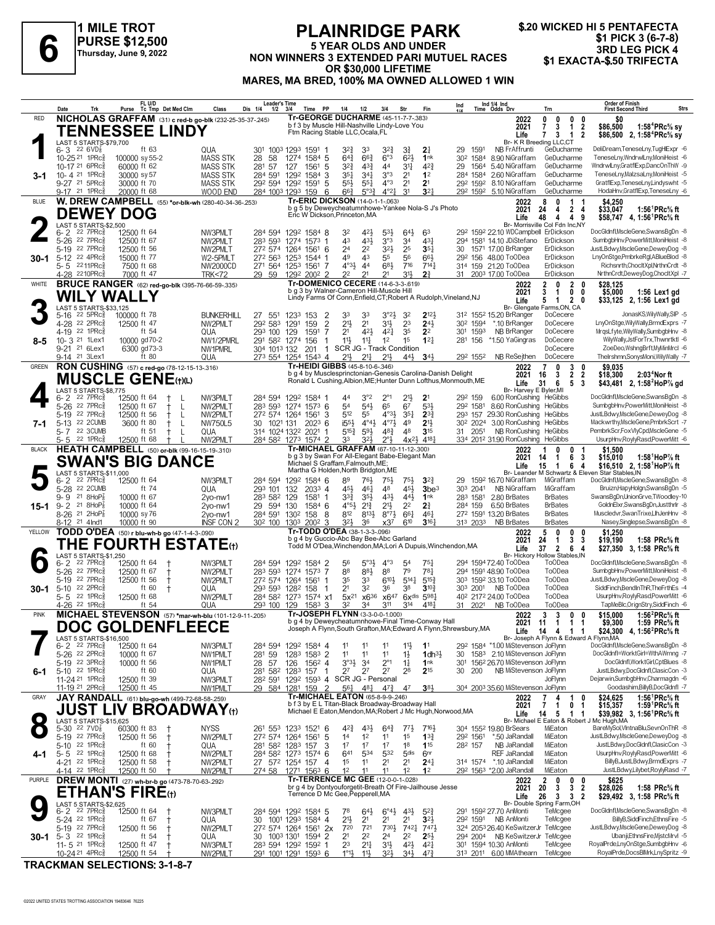

## **PLAINRIDGE PARK 5 YEAR OLDS AND UNDER NON WINNERS 3 EXTENDED PARI MUTUEL RACES**<br>3RD LEG PICK 4<br>NON WINNERS 3 EXTENDED PARI MUTUEL RACES \$1 EXACTA-\$.50 TRIFECTA **OR \$30,000 LIFETIME MARES, MA BRED, 100% MA OWNED ALLOWED 1 WIN**

|              | Date<br>Trk                                                                                     | FL U/D<br>Purse<br>Tc Tmp Det Med Clm                                             | Class<br>Dis 1/4                    | <b>Leader's Time</b><br>1/2          | 3/4<br>Time                                                                                                                                                        | PP<br>1/4                            | 1/2                                                           | 3/4                                                | Str                                                 | Fin                                     | Ind 1/4 Ind<br>Time Odds Drv<br>Ind                                                          | Trn                                                                                                                                  | <b>Order of Finish</b><br>Strs<br><b>First Second Third</b>                                                                                                     |
|--------------|-------------------------------------------------------------------------------------------------|-----------------------------------------------------------------------------------|-------------------------------------|--------------------------------------|--------------------------------------------------------------------------------------------------------------------------------------------------------------------|--------------------------------------|---------------------------------------------------------------|----------------------------------------------------|-----------------------------------------------------|-----------------------------------------|----------------------------------------------------------------------------------------------|--------------------------------------------------------------------------------------------------------------------------------------|-----------------------------------------------------------------------------------------------------------------------------------------------------------------|
| <b>RED</b>   |                                                                                                 | NICHOLAS GRAFFAM (31) c red-b go-blk (232-25-35-37-245)<br><b>TENNESSEE LINDY</b> |                                     |                                      | Tr-GEORGE DUCHARME (45-11-7-7-383)<br>b f 3 by Muscle Hill-Nashville Lindy-Love You<br>Ftm Racing Stable LLC, Ocala, FL                                            |                                      |                                                               |                                                    |                                                     |                                         | 2022<br>2021<br>Life                                                                         | $0\quad 0$<br>0<br>0<br>3<br>$\overline{2}$<br>$\overline{7}$<br>$\mathbf{1}$<br>$\mathbf{7}$<br>3<br>$\mathbf{1}$<br>$\overline{2}$ | SO.<br>\$86,500<br>1:58 <sup>4</sup> PRc <sup>5</sup> / <sub>8</sub> sy<br>\$86,500 2, 1:58 <sup>4</sup> PRc <sup>5</sup> / <sub>8</sub> sy                     |
|              | LAST 5 STARTS-\$79,700<br>$6 - 3$ 22 6 VD $\frac{7}{8}$<br>10-25 <sup>21</sup> 1PRc3            | ft 63<br>100000 sy 55-2                                                           | QUA<br>301<br><b>MASS STK</b><br>28 | 58                                   | 1003 1293 1591<br>1274 1584 5                                                                                                                                      |                                      | 324<br>33<br>$64\frac{3}{4}$<br>$66\frac{3}{4}$               | 327<br>$6^{\circ}3$                                | $3\frac{3}{4}$<br>$6^{2}$                           | 21<br>1nk                               | 29<br>1591<br>NB FrAffrunti<br>30 <sup>2</sup> 1584<br>8.90 NiGraffam                        | Br- K R Breeding LLC,CT<br>GeDucharme<br>GeDucharme                                                                                  | DeliDream,TeneseLny,TugHIExpr -6<br>TeneseLny,WndrwlLny,MoniHeist -6                                                                                            |
| 3-1          | 10-17 21 6PRc<br>10-4 21 1PRc<br>9-27 21 5PRc <sup>5</sup>                                      | 60000 ft 62<br>30000 sy 57                                                        | <b>MASS STK</b><br><b>MASS STK</b>  | 281 57                               | 127<br>1561<br>284 591 1292 1584 3                                                                                                                                 | -5                                   | 32}<br>$4^{3}$<br>351<br>$34\frac{1}{4}$<br>$55\frac{1}{2}$   | 44<br>3°3<br>$4^{\circ}3$                          | 3 <sup>11</sup><br>2 <sup>1</sup><br>2 <sup>1</sup> | 42}<br>1 <sup>2</sup><br>2 <sup>1</sup> | 5.40 NiGraffam<br>29<br>1564<br>284 1584 2.60 NiGraffam<br>292 1592 8.10 NiGraffam           | GeDucharme<br>GeDucharme<br>GeDucharme                                                                                               | WndrwlLny,GratflExp,DancOnThW -9<br>TeneseLny,MalzsaLny,MoniHeist -5<br>GratflExp,TeneseLny,Lindyswht -5                                                        |
|              | 9-17 21 1PRc <sup>3</sup>                                                                       | 30000 ft 70<br>20000 ft 68                                                        | MASS STK<br>WOOD END                |                                      | 292 594 1292 1591<br>284 1003 1293 159<br><b>Tr-ERIC DICKSON (14-0-1-1-.063)</b>                                                                                   | 5<br>6                               | $55\frac{1}{4}$<br>$66\frac{3}{4}$<br>$5^{0.32}$              | $4^{\circ}2\frac{1}{4}$                            | 3 <sup>1</sup>                                      | $3^{2}$                                 | 292 1592 5.10 NiGraffam                                                                      | GeDucharme                                                                                                                           | HodaHnv,GratflExp,TeneseLny -6                                                                                                                                  |
| BLUE         | <b>DEWEY DOG</b><br>LAST 5 STARTS-\$2,500                                                       | W. DREW CAMPBELL (55) *or-blk-wh (280-40-34-36-.253)                              |                                     |                                      | b g 5 by Deweycheatumnhowe-Yankee Nola-S J's Photo<br>Eric W Dickson, Princeton, MA                                                                                |                                      |                                                               |                                                    |                                                     |                                         | 2022<br>2021<br>Life                                                                         | 8<br>0<br>1<br>24<br>$\mathbf{2}$<br>4<br>4<br>48<br>4<br>$\overline{4}$<br>9<br>Br- Morrisville Col Fdn Inc.NY                      | \$4.250<br>1:56 ${}^1$ PRc ${}^5\!$ ft<br>\$33,047<br>\$58,747 4, 1:56 <sup>1</sup> PRc <sup>5</sup> / <sub>8</sub> ft                                          |
|              | 22 7PRc§<br>6-2<br>5-26 22 7PRc                                                                 | 12500 ft 64<br>12500 ft 67                                                        | NW3PMLT<br>NW2PMLT                  | 284 594<br>283 593                   | 1292 1584 8<br>1274 1573 1                                                                                                                                         | 32<br>43                             | 421,<br>431                                                   | $53\frac{1}{2}$<br>3°3                             | $64\frac{1}{2}$<br>34                               | 63<br>431                               | 292 1592 22.10 WDCampbell ErDickson<br>294 1581 14.10 JDiStefano                             | ErDickson                                                                                                                            | DocGldnfl.MscleGene.SwansBqDn -8<br>SumbgbHnv,PowerMitt,MoniHeist -8                                                                                            |
| 30-1         | 5-19 22 7PRc<br>5-12 22 4PRc                                                                    | 12500 ft 56<br>15000 ft 77                                                        | NW2PMLT<br>W2-5PMLT                 | 272 574                              | 1264<br>156 <sup>1</sup> 6<br>272 563 1253 1544 1                                                                                                                  | 2 <sup>4</sup><br>49                 | 2 <sup>2</sup><br>43                                          | 32}<br>55                                          | 25<br>56                                            | $35\frac{1}{4}$<br>663                  | 30 1571 17.00 BrRanger<br>292 156 48.00 ToODea                                               | ErDickson<br>ErDickson                                                                                                               | JustLBdwy,MscleGene,DeweyDog -8<br>LnyOnStge,PmbrkeRgl,ABlueBlod -8                                                                                             |
|              | 5-5 2211PRc<br>4-28 2210PRc                                                                     | 7500 ft 68<br>7000 ft 47                                                          | NW2000CD<br><b>TRK&lt;72</b>        | 29 59                                | 271 564 1253 1561 7<br>1292 2002 2                                                                                                                                 | 22                                   | $4^{03}$<br>44<br>21                                          | 683<br>21                                          | 716<br>31}                                          | 714 <sub>7</sub><br>2 <sup>3</sup>      | 314 159 21.20 ToODea<br>31 2003 17.00 ToODea                                                 | ErDickson<br>ErDickson                                                                                                               | Richsnrth.ChocltXpl.NrthnCrdt -8<br>NrthnCrdt,DeweyDog,ChocItXpl -7                                                                                             |
| WHITE        | <b>WILY WALLY</b>                                                                               | <b>BRUCE RANGER</b> (62) red-go-blk (395-76-66-59-.335)                           |                                     |                                      | Tr-DOMENICO CECERE (14-6-3-3-.619)<br>b g 3 by Walner-Cameron Hill-Muscle Hill                                                                                     |                                      |                                                               |                                                    |                                                     |                                         | 2022<br>2021<br>Lindy Farms Of Conn, Enfield, CT; Robert A Rudolph, Vineland, NJ<br>Life     | $\mathbf{2}$<br>$\overline{2}$<br>0<br>0<br>3<br>$\mathbf{0}$<br>-1<br>0<br>$\mathbf{2}$<br>5 1<br>0                                 | \$28.125<br>\$5,000<br>$1:56$ Lex1 gd<br>\$33,125 2, 1:56 Lex1 gd                                                                                               |
|              | LAST 5 STARTS-\$33,125<br>$22\,5$ PR $c_{8}^{5}$<br>$5 - 16$<br>4-28 22 2PRc3                   | 100000 ft 78<br>12500 ft 47                                                       | <b>BUNKERHILL</b><br>27<br>NW2PMLT  | $55^{1}$<br>292 583                  | 1233<br>153<br>1291<br>159                                                                                                                                         | 33<br>2<br>$\overline{2}$<br>21}     | 33<br>2 <sup>1</sup>                                          | $3°2\frac{1}{2}$<br>3½                             | 32<br>23                                            | $2^{12}$<br>$24\frac{1}{2}$             | 312 1552 15.20 BrRanger<br>*.10 BrRanger<br>302 1594                                         | Br- Glengate Farms, ON, CA<br>DoCecere<br>DoCecere                                                                                   | JonasKS, Wily Wally, SIP -5<br>LnyOnStge, WilyWally, BrmdExprs -7                                                                                               |
| 8-5          | 4-19 22 1PRc <sup>5</sup><br>10-3 <sup>21</sup> 1 Lex1                                          | ft 54<br>10000 gd70-2                                                             | QUA<br>NW1/2PMRL                    | 293 100 129                          | 1591<br>291 582 1274 156                                                                                                                                           | 2 <sup>1</sup><br>7<br>11}<br>1      | 421<br>$11\frac{1}{4}$                                        | 421<br>1 <sup>2</sup>                              | 35<br>15                                            | 2 <sup>2</sup><br>$12\frac{1}{4}$       | NB BrRanger<br>301<br>1593<br>281 156<br>*1.50 YaGingras                                     | DoCecere<br>DoCecere                                                                                                                 | MrqsLfyte, Wily Wally, SumbgbHnv -8<br>WilyWally,JstForTrx,Thwnrtktl -6                                                                                         |
|              | 9-21 <sup>21</sup> 6Lex1<br>9-14 21 3Lex1                                                       | 6300 gd73-3<br>ft 80                                                              | NW1PMRL<br>QUA                      | 304 1013 132                         | 201<br>273 554 1254 1543 4                                                                                                                                         | $\mathbf{1}$<br>21}                  | SCR JG - Track Condition<br>$2^{11}$                          | $21\frac{1}{2}$                                    | 443                                                 | 343                                     | 292 1552<br>NB ReSejthen                                                                     | DoCecere<br>DoCecere                                                                                                                 | ZoeDeo,WshngBrft,MyMinMrcl -6<br>TheIrshmn,SonysMoni,WilyWally -7                                                                                               |
| GREEN        |                                                                                                 | RON CUSHING (57) c red-go (78-12-15-13-316)                                       |                                     |                                      | Tr-HEIDI GIBBS (45-8-10-6-.346)                                                                                                                                    |                                      |                                                               |                                                    |                                                     |                                         | 2022<br>b g 4 by Musclesprinctonian-Genesis Carolina-Danish Delight<br>2021                  | 3<br>$\overline{7}$<br>$\mathbf{0}$<br>0<br>$\overline{2}$<br>$\overline{2}$<br>16<br>3                                              | \$9.035<br>2:03 <sup>4</sup> Nor ft<br>\$18,300                                                                                                                 |
|              | LAST 5 STARTS-\$8.775                                                                           | <b>MUSCLE GENE (t)(L)</b>                                                         |                                     |                                      |                                                                                                                                                                    |                                      |                                                               |                                                    |                                                     |                                         | Ronald L Cushing, Albion, ME; Hunter Dunn Lofthus, Monmouth, ME<br>Life                      | 31<br>6<br>5<br>3<br>Br- Harvey E Byler, MI                                                                                          | \$43,481 2, 1:58 <sup>2</sup> HoP% gd                                                                                                                           |
|              | $22$ $7$ $PRc\frac{5}{8}$<br>6-2<br>5-26 22 7PRc                                                | 12500 ft 64<br>12500 ft 67<br>$^+$<br>$\mathsf{L}$                                | NW3PMLT<br>NW2PMLT                  | 283 593                              | 284 594 1292 1584 1<br>1274 1573 6                                                                                                                                 | 44<br>54                             | $3^{\circ}2$<br>$5^{41}$                                      | $2^{\circ_1}$<br>65                                | 2 <sup>11</sup><br>67                               | $2^1$<br>533                            | 6.00 RonCushing HeGibbs<br>292 159<br>8.60 RonCushing HeGibbs<br>292 1581                    |                                                                                                                                      | DocGldnfl, MscleGene, SwansBgDn -8<br>SumbgbHnv,PowerMitt,MoniHeist -8                                                                                          |
| 7-1          | 5-19 22 7PRc <sup>5</sup><br>5-13 22 2CUMB                                                      | 12500 ft 56<br>L<br>$^+$<br>3600 ft 80<br>$^+$<br>L                               | NW2PMLT<br>NW750L5                  | 30 1021 131                          | 272 574 1264 1561<br>$202^3$ 6                                                                                                                                     | 512<br>3                             | 55<br>$i55\frac{1}{2}$<br>$4^{\circ}4^{\circ}$                | $4^{\circ}3\frac{1}{2}$<br>$4^{\circ}7\frac{1}{2}$ | $35\frac{1}{4}$<br>49                               | $2^{3}\frac{3}{4}$<br>2 <sup>11</sup>   | 293 157 29.30 RonCushing HeGibbs<br>3.00 RonCushing HeGibbs<br>30 <sup>2</sup> 2024          |                                                                                                                                      | JustLBdwy,MscleGene,DeweyDog -8<br>Mackwrthy, MscleGene, PmbrkScrt -7                                                                                           |
|              | 5-7 22 3CUMB<br>5-5 22 1PRc                                                                     | ft 51<br>$^{\mathrm{+}}$<br>12500 ft 68                                           | QUA<br>NW2PMLT                      |                                      | 314 1024 1322 2021<br>284 582 1273 1574 2                                                                                                                          | 33                                   | 593<br>$5^{15}$<br>323                                        | 483<br>$2^{\circ}3$                                | 48<br>$4x^{2}\frac{1}{2}$                           | 315<br>4181                             | 2051<br>NB RonCushing<br>31<br>334 2012 31.90 RonCushing HeGibbs                             | HeGibbs                                                                                                                              | PembrkScr,FoxVlyCpd,MscleGene -5<br>UsurpHnv,RoylyRasd,PowerMitt -6                                                                                             |
| <b>BLACK</b> |                                                                                                 | HEATH CAMPBELL (50) or-blk (99-16-15-19-.310)<br><b>SWAN'S BIG DANCE</b>          |                                     |                                      | Tr-MICHAEL GRAFFAM (67-10-11-12-.300)<br>b g 3 by Swan For All-Elegant Babe-Elegant Man<br>Michael S Graffam, Falmouth, ME;<br>Martha G Holden, North Bridgton, ME |                                      |                                                               |                                                    |                                                     |                                         | 2022<br>2021<br>Life                                                                         | 0<br>$\mathbf{0}$<br>-1<br>6<br>-3<br>14<br>-1<br>15<br>6<br>$\overline{1}$<br>-4                                                    | \$1,500<br>\$15,010<br>1:58 $^1$ HoP $\%$ ft<br>\$16,510 2, 1:58 <sup>1</sup> HoP% ft<br>Br- Leander M Schwartz & Eleven Star Stables, IN                       |
|              | LAST 5 STARTS-\$11,000<br>22 7PRc <sup>3</sup><br>6-2<br>5-28 22 2CUMB                          | 12500 ft 64<br>ft 74                                                              | NW3PMLT<br>QUA                      | 284 594<br>293 101                   | 1292 1584 6<br>132<br>$2033$ 4                                                                                                                                     | 89                                   | 761,<br>45}<br>$46\frac{1}{4}$                                | 75}<br>48                                          | $75\frac{1}{2}$<br>45}                              | $3^{2}3$<br>3be <sup>3</sup>            | 29<br>159 <sup>2</sup> 16.70 NiGraffam<br>303 2041<br>NB NiGraffam                           | MiGraffam<br>MiGraffam                                                                                                               | DocGldnfl,MscleGene,SwansBgDn -8<br>Bruizn,HapyHolgn,SwansBgDn -5                                                                                               |
| $15 - 1$     | 21 8HoP $\frac{7}{8}$<br>$9 - 9$<br>21 8HoP $\frac{7}{8}$<br>$9 - 2$                            | 10000 ft 67<br>10000 ft 64                                                        | 2vo-nw1<br>29<br>2vo-nw1            | 283 582 129<br>594 130               | $1581$ 1<br>1584 6                                                                                                                                                 |                                      | 33}<br>$35\frac{1}{2}$<br>$4^{\circ}5\frac{1}{2}$<br>$2^{13}$ | 43}<br>21}                                         | 443<br>2 <sup>2</sup>                               | 1nk<br>21                               | 283 1581 2.80 BrBates<br>284 159<br>6.50 BrBates                                             | <b>BrBates</b><br><b>BrBates</b>                                                                                                     | SwansBgDn,UnionGrve,TWoodley-10<br>GoldnElxr,SwansBgDn,Justthrlr -8                                                                                             |
|              | 8-26 <sup>21</sup> 2HoP3<br>21 4 Ind1<br>$8-12$                                                 | 10000 sy 76<br>10000 ft 90                                                        | 2yo-nw1<br><b>INSF CON 2</b>        | 30 <sup>2</sup> 100                  | 284 591 1302 158<br>$200^2$ 3<br>1303                                                                                                                              | - 8                                  | 812<br>$8^{13}\frac{1}{2}$<br>32}<br>36                       | $8^{\circ}7\frac{1}{2}$<br>x37                     | $66\frac{1}{4}$<br>610                              | 461<br>3164                             | 272 1591 13.20 BrBates<br>313 2033<br><b>NB BrBates</b>                                      | <b>BrBates</b><br><b>BrBates</b>                                                                                                     | Muscledvr,SwanTrixe,LlhJenHnv -8<br>Nasey, Singlepse, SwansBgDn -8                                                                                              |
| YELLOW       |                                                                                                 | TODD O'DEA (50) r blu-wh-b go (47-1-4-3-.090)                                     |                                     |                                      | Tr-TODD O'DEA (38-1-3-3-096)<br>b g 4 by Guccio-Abc Bay Bee-Abc Garland                                                                                            |                                      |                                                               |                                                    |                                                     |                                         | 2022<br>2021                                                                                 | 5<br>0<br>$\mathbf 0$<br>0<br>24<br>3<br>3<br>1                                                                                      | \$1.250<br>\$19,190<br>1:58 $PRc%$ ft                                                                                                                           |
|              | LAST 5 STARTS-\$1,250                                                                           | THE FOURTH ESTATE $\scriptstyle\rm(t)$                                            |                                     |                                      |                                                                                                                                                                    |                                      |                                                               |                                                    |                                                     |                                         | Todd M O'Dea, Winchendon, MA; Lori A Dupuis, Winchendon, MA<br>Life                          | 37<br>$\mathbf{2}$<br>6<br>4<br>Br- Hickory Hollow Stables.IN                                                                        | \$27,350 3, 1:58 PRc <sup>5</sup> / <sub>8</sub> ft                                                                                                             |
|              | $6 - 2$<br>22 7PRc3<br>5-26 22 7PRc                                                             | 12500 ft 64<br>12500 ft 67<br>t                                                   | NW3PMLT<br>NW2PMLT                  | 284 594<br>283 593                   | 1292 1584 2<br>1274 1573 7                                                                                                                                         | 56<br>88                             | $5^{\circ}3\frac{1}{2}$<br>883                                | $4^{\circ}3$<br>88                                 | 54<br>79                                            | 75)<br>781                              | 294 1594 72.40 ToODea<br>294 1591 48.90 ToODea                                               | <b>ToODea</b><br><b>ToODea</b>                                                                                                       | DocGldnfl.MscleGene.SwansBqDn -8<br>SumbgbHnv,PowerMitt,MoniHeist -8                                                                                            |
| 30-1         | 5-19 22 7PRc<br>22 2PRc<br>$5 - 10$                                                             | 12500 ft 56<br>ŧ<br>ft 60<br>$\pm$                                                | NW2PMLT<br>QUA                      | 293 593 1282                         | 272 574 1264 1561<br>158                                                                                                                                           | 35<br>2 <sup>1</sup><br>$\mathbf{1}$ | 33<br>32                                                      | $6^{10}$<br>36                                     | $5^{14}$<br>38                                      | $5^{15}$<br>$3^{10}$                    | 303 1592 33.10 ToODea<br>303 2001 NB ToODea                                                  | <b>ToODea</b><br><b>ToODea</b>                                                                                                       | JustLBdwy,MscleGene,DeweyDog -8<br>SiddFinch, BendInThR, The Frth Es -4                                                                                         |
|              | 22 1PRc<br>$5 - 5$<br>4-26 <sup>22</sup> 1PRc3                                                  | 12500 ft 68<br>ft $54$                                                            | NW2PMLT<br>QUA                      | 293 100 129                          | 284 582 1273 1574 x1<br>1583                                                                                                                                       | 32<br>3                              | x636<br>$5x^{21}$<br>34                                       | x647<br>311                                        | 314                                                 | 6xdis 5981<br>4181                      | 40 <sup>2</sup> 217 <sup>2</sup> 24.00 ToODea<br>31 2021 NB ToODea                           | <b>ToODea</b><br><b>ToODea</b>                                                                                                       | UsurpHnv,RoylyRasd,PowerMitt -6<br>TapMeBlc, OrignStry, SiddFinch -6                                                                                            |
| <b>PINK</b>  |                                                                                                 | MICHAEL STEVENSON (57) *mar-wh-blu (101-12-9-11-205)<br><b>DOC GOLDENFLEECE</b>   |                                     |                                      | Tr-JOSEPH FLYNN (3-3-0-0-1.000)<br>b g 4 by Deweycheatumnhowe-Final Time-Conway Hall                                                                               |                                      |                                                               |                                                    |                                                     |                                         | 2022<br>Joseph A Flynn, South Grafton, MA; Edward A Flynn, Shrewsbury, MA<br>Life            | 3<br>3<br>$0\quad 0$<br>2021 11 1 1<br>14 4<br>$1 \quad 1$                                                                           | 1:56 <sup>2</sup> PRc <sup>5</sup> / <sub>8</sub> ft<br>\$15,000<br>\$9,300<br>1:59 PRc% ft<br>\$24,300 4, 1:56 <sup>2</sup> PRc <sup>5</sup> / <sub>8</sub> ft |
|              | LAST 5 STARTS-\$16,500<br>$6 - 2$ 22 7PRc $\frac{5}{8}$<br>5-26 <sup>22</sup> 2PRc <sup>5</sup> | 12500 ft 64<br>10000 ft 67                                                        | NW3PMLT<br>NW1PMLT                  |                                      | 284 594 1292 1584 4<br>1283 1583 2                                                                                                                                 | 11<br>11                             | 11<br>11                                                      | 11<br>11                                           | 11물<br>$1\frac{1}{2}$                               | 1 <sup>1</sup><br>1dh <sup>31</sup>     | 292 1584 *1.00 MiStevenson JoFlynn<br>30 1583 2.10 MiStevenson JoFlynn                       | Br- Joseph A Flynn & Edward A Flynn, MA                                                                                              | DocGldnfl, MscleGene, SwansBgDn -8<br>DocGldnfl=WorktGirl=WthAWrnng -7                                                                                          |
|              | 5-19 22 3PRc<br>5-10 22 1PRc                                                                    | 10000 ft 56<br>ft 60                                                              | NW1PMLT<br>28<br>QUA                | 281 59<br>57                         | 1562 4<br>126<br>281 582 1283 157                                                                                                                                  | 27<br>-1                             | $3°3\frac{1}{2}$<br>3 <sup>4</sup><br>2 <sup>7</sup>          | $2^{\circ}1$<br>2 <sup>7</sup>                     | $1\frac{1}{4}$<br>28                                | 1 <sup>nk</sup><br>$2^{15}$             | 1562 26.70 MiStevenson JoFlynn<br>301<br>30 200<br>NB MiStevenson JoFlynn                    |                                                                                                                                      | DocGldnfl.WorktGirl.CptBlues -8<br>JustLBdwy,DocGldnfl,ClasicCon -3                                                                                             |
| 6-1          | 11-24 21 1PRc<br>11-19 21 2PRc3                                                                 | 12500 ft 39<br>12500 ft 45                                                        | NW3PMLT<br>NW1PMLT                  |                                      | 282 591 1292 1593 4 SCR JG - Personal<br>29 584 1281 159                                                                                                           | $\overline{2}$                       | 561<br>481                                                    | $4^{7}\frac{3}{4}$                                 | 47                                                  | 3 <sup>81</sup>                         | 304 2003 35.60 MiStevenson JoFlynn                                                           | JoFlynn                                                                                                                              | Dejarwin,SumbgbHnv,Charmagdn -6<br>Goodashim.BillvB.DocGldnfl -7                                                                                                |
| GRAY         |                                                                                                 | JAY RANDALL (61) blu-go-wh (499-72-68-58-.259)                                    |                                     |                                      | Tr-MICHAEL EATON (65-8-9-9-246)<br>b f 3 by E L Titan-Black Broadway-Broadway Hall                                                                                 |                                      |                                                               |                                                    |                                                     |                                         | 2022<br>2021                                                                                 | 7<br>1<br>4<br>0<br>7<br>1<br>0<br>1                                                                                                 | \$24,625<br>1:56 <sup>1</sup> PRc <sup>5</sup> / <sub>8</sub> ft<br>1:59 <sup>1</sup> PRc <sup>5</sup> / <sub>8</sub> ft<br>\$15,357                            |
| $\bullet$    | LAST 5 STARTS-\$15,625<br>5-30 22 $7VD_8^2$                                                     | <b>JUST LIV BROADWAY(t)</b><br>60300 ft 83                                        | <b>NYSS</b>                         |                                      | 261 553 1233 1521 6                                                                                                                                                |                                      | 42}<br>$43\frac{1}{2}$                                        | $64\frac{3}{4}$                                    | $77\frac{1}{2}$                                     | $7^{16}$                                | Michael E Eaton, Mendon, MA; Robert J Mc Hugh, Norwood, MA<br>Life<br>304 1552 19.80 BrSears | 14<br>5<br>-1<br>-1<br>Br- Michael E Eaton & Robert J Mc Hugh, MA<br>MiEaton                                                         | \$39,982 3, 1:56 PRc <sup>5</sup> / <sub>8</sub> ft<br>BareMySol,VIntnaBlu,SevnOnThR -8                                                                         |
|              | 5-19 22 7PRc <sup>5</sup><br>5-10 22 1PRc                                                       | 12500 ft 56<br>$\pm$<br>ft 60                                                     | NW2PMLT<br>QUA                      |                                      | 272 574 1264 1561<br>281 582 1283 157                                                                                                                              | 5<br>1 <sup>4</sup><br>17<br>3       | 1 <sup>2</sup><br>17                                          | 11<br>17                                           | 1 <sup>5</sup><br>18                                | $13\frac{3}{4}$<br>115                  | *.50 JaRandall<br>292 1561<br>NB JaRandall<br>282 157                                        | MiEaton<br>MiEaton                                                                                                                   | JustLBdwy,MscleGene,DeweyDog -8<br>JustLBdwy,DocGldnfl,ClasicCon -3                                                                                             |
| 4-1          | 22 1PRc<br>$5 - 5$<br>4-21 22 1PRc                                                              | 12500 ft 68<br>12500 ft 58                                                        | NW2PMLT<br>NW2PMLT                  |                                      | 284 582 1273 1574 6<br>27 572 1254 157                                                                                                                             | 1 <sup>5</sup><br>4                  | 641<br>534<br>11                                              | 532<br>2 <sup>1</sup>                              | 5 <sub>dis</sub><br>2 <sup>1</sup>                  | 6 <sup>nr</sup><br>$24\frac{1}{4}$      | <b>REF JaRandall</b><br>314 1574 *.10 JaRandall                                              | MiEaton<br>MiEaton                                                                                                                   | UsurpHnv,RoylyRasd,PowerMitt -6<br>BillyB,JustLBdwy,BrmdExprs -7                                                                                                |
| PURPLE       | 4-14 22 1PRc                                                                                    | 12500 ft 50<br>DREW MONTI (27) wh-br-b go (473-78-70-63-292)                      | NW2PMLT                             |                                      | 274 58 1271 1563 6<br><b>Tr-TERRENCE MC GEE (12-0-0-1-.028)</b>                                                                                                    | 1 <sup>2</sup>                       | 11                                                            | 11                                                 | 1 <sup>2</sup>                                      | 1 <sup>2</sup>                          | 292 1563 *2.00 JaRandall<br>2022                                                             | MiEaton<br>$\mathbf{2}$<br>0<br>$0\quad 0$                                                                                           | JustLBdwy,Lilybet,RoylyRasd -7<br>\$625                                                                                                                         |
|              | LAST 5 STARTS-\$2,625                                                                           | <b>ETHAN'S FIRE</b> (t)                                                           |                                     |                                      | br g 4 by Dontyouforgetit-Breath Of Fire-Jailhouse Jesse<br>Terrence D Mc Gee, Pepperell, MA                                                                       |                                      |                                                               |                                                    |                                                     |                                         | 2021<br>Life                                                                                 | 20<br>3<br>3<br>2<br>3 <sub>3</sub><br>$\overline{2}$<br>26<br>Br- Double Spring Farm, OH                                            | \$28,026<br>1:58 PRc $%$ ft<br>\$29,492 3, 1:58 PRc <sup>5</sup> / <sub>8</sub> ft                                                                              |
|              | $22$ $7$ $PRc85$<br>6-2<br>5-24 22 1PRc                                                         | 12500 ft 64<br>ft 67<br>$\pm$                                                     | NW3PMLT<br>QUA<br>30                |                                      | 284 594 1292 1584 5<br>1001 1293 1584 4                                                                                                                            | 78<br>21}                            | $64\frac{1}{2}$<br>21                                         | $6^{\circ}4\frac{1}{2}$<br>21                      | $43\frac{1}{2}$<br>2 <sup>1</sup>                   | $5^{2}$<br>$3^{21}$                     | 291 1592 27.70 AnMonti<br>292 1591 NB AnMonti                                                | TeMcgee<br>TeMcgee                                                                                                                   | DocGldnfl, MscleGene, SwansBgDn -8<br>BillyB,SiddFinch,EthnsFire -5                                                                                             |
|              | 5-19 22 7PRc <sup>5</sup><br>30-1 5-3 $^{22}$ 1PRc $_{8}^{5}$                                   | 12500 ft 56<br>$^{\mathrm{+}}$<br>ft $54$<br>Ť                                    | NW2PMLT<br>QUA                      | 30 100 <sup>3</sup> 130 <sup>1</sup> | 27 <sup>2</sup> 574 1264 1561 2x<br>1594 2                                                                                                                         | 720<br>2 <sup>1</sup>                | 721<br>22                                                     | $730\frac{1}{2}$<br>24                             | 7421<br>2 <sup>2</sup>                              | 7471<br>$2^{5}$                         | 324 2053 26.40 KeSwitzerJr TeMcgee<br>294 2004 NB KeSwitzerJr TeMcgee                        |                                                                                                                                      | JustLBdwy,MscleGene,DeweyDog -8<br>Ubanji,EthnsFire,MjstcMrvl -5                                                                                                |
|              | 11-5 21 1PRcs<br>10-24 <sup>21</sup> 4PRc                                                       | 12500 ft 47<br>Ť<br>12500 ft 54                                                   | NW3PMLT<br>NW2PMLT                  |                                      | 283 594 1292 1592 1<br>291 1001 1291 1593 6                                                                                                                        | 23                                   | $21\frac{1}{4}$<br>$1^{\circ}1\frac{1}{2}$<br>11}             | 3½<br>32}                                          | $4^{21}$<br>$34\frac{1}{2}$                         | $4^{2}$<br>$47\frac{3}{4}$              | 301 1594 10.30 AnMonti<br>313 2011 6.00 MMAthearn                                            | TeMcgee<br>TeMcgee                                                                                                                   | RoyalPrde,LnyOnStge,SumbgbHnv -6<br>RoyalPrde,DocsBlMrk,LnySpritz -9                                                                                            |

**TRACKMAN SELECTIONS: 3-1-8-7**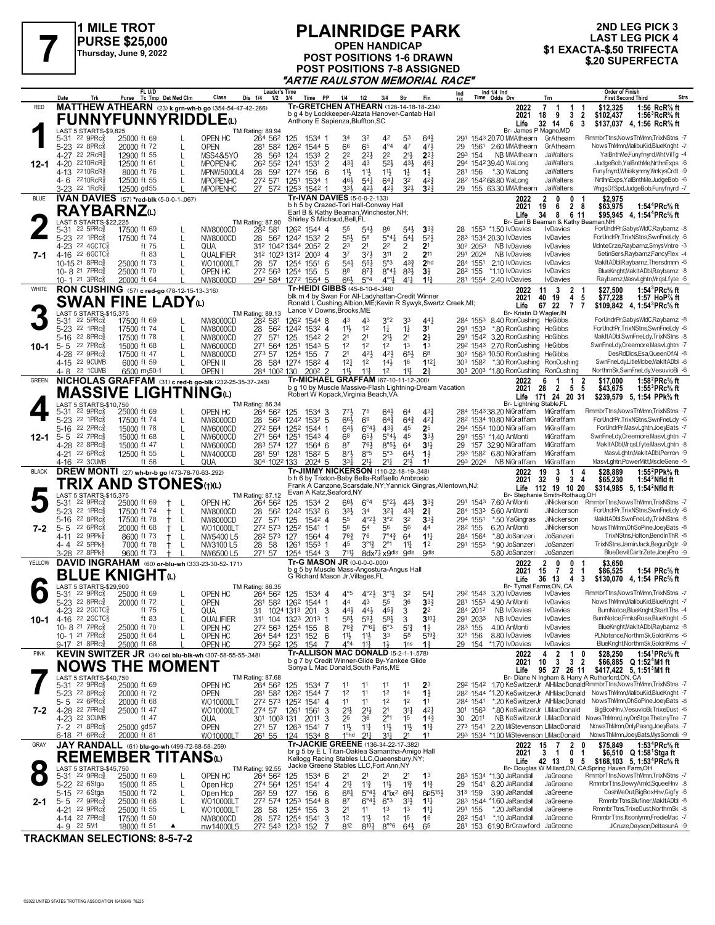

#### **PLAINRIDGE PARK OPEN HANDICAP POST POSITIONS 1-6 DRAWN POST POSITIONS 7-8 ASSIGNED** TURSE \$25,000<br>
Thursday, June 9, 2022<br> **1 EXACTA-\$.50 TRIFECTA**<br> **1 EXACTA-\$.50 TRIFECTA**<br> **7 A POST POSITIONS 1-6 DRAWN**<br> **1 A POST POSITIONS 1-6 DRAWN**<br> **1 A POST POSITIONS 1-6 DRAWN "ARTIE RAULSTON MEMORIAL RACE"**

# **2ND LEG PICK 3 LAST LEG PICK 4**

|              |                                                               | FL U/D                                             |                                                                | <i>r</i><br><b>Leader's Time</b>   |                                                                                                                   |                                                                         | 1010L                                                                                     |                                   | <b>Order of Finish</b><br>Ind 1/4 Ind<br>Time Odds Drv<br>Ind                                                                                                                            |
|--------------|---------------------------------------------------------------|----------------------------------------------------|----------------------------------------------------------------|------------------------------------|-------------------------------------------------------------------------------------------------------------------|-------------------------------------------------------------------------|-------------------------------------------------------------------------------------------|-----------------------------------|------------------------------------------------------------------------------------------------------------------------------------------------------------------------------------------|
| <b>RED</b>   | Date<br>Trk                                                   | Purse Tc Tmp Det Med Clm                           | Class<br>MATTHEW ATHEARN (23) k grn-wh-b go (354-54-47-42-266) | Dis 1/4<br>1/2                     | 3/4<br>Time PP<br>Tr-GRETCHEN ATHEARN (128-14-18-18-234)                                                          | 1/4<br>1/2                                                              | 3/4<br>Str                                                                                | Fin                               | <b>First Second Third</b><br>Strs<br>Trn<br>1:56 RcR <sup>5</sup> / <sub>8</sub> ft<br>2022<br>$\overline{7}$<br>\$12,325<br>-1<br>1<br>-1                                               |
|              |                                                               |                                                    | <b>FUNNYFUNNYRIDDLE</b>                                        |                                    | b g 4 by Lockkeeper-Alzata Hanover-Cantab Hall                                                                    |                                                                         |                                                                                           |                                   | 2021<br>18<br>9<br>3<br>2<br>\$102,437<br>1:56 ${}^{3}$ RcR ${}^{5}$ s ft                                                                                                                |
|              |                                                               |                                                    |                                                                |                                    | Anthony E Sapienza, Bluffton, SC                                                                                  |                                                                         |                                                                                           |                                   | 32 14<br>6<br>Life<br>-3<br>\$137,037<br>4, 1:56 RcR% ft<br>Br- James P Magno, MD                                                                                                        |
|              | LAST 5 STARTS-\$9.825<br>$22$ 9PR $c_{8}^{5}$<br>5-31         | 25000 ft 69                                        | OPEN HC                                                        | <b>TM Rating: 89.94</b><br>264 562 | 125<br>1534 1                                                                                                     | 34<br>32                                                                | 42<br>53                                                                                  | $64\frac{1}{2}$                   | RmmbrTtns, NowsThMmn, TrixNStns -7<br>291 1543 20.70 MMAthearn<br>GrAthearn                                                                                                              |
|              | 5-23 22 8PRc                                                  | 20000 ft 72                                        | <b>OPEN</b><br>L                                               | 281<br>582                         | 126 <sup>2</sup> 1544 5                                                                                           | 66<br>65                                                                | $4^{\circ}4$<br>47                                                                        | 471                               | NowsThMmnMalibuKid.BlueKnaht -7<br>29<br>1561<br>2.60 MMAthearn<br>GrAthearn                                                                                                             |
|              | 4-27<br>22 2RcR<br>$2210$ RcR $\frac{5}{2}$<br>$4 - 20$       | 12900 ft 55<br>12500 ft 61                         | L<br>MSS4&5YO<br><b>MPOPENHC</b><br>L                          | 28<br>563<br>262 552 1241          | $1533$ 2<br>124<br>$\overline{2}$<br>1531                                                                         | 2 <sup>2</sup><br>$2^{2}$<br>431<br>43                                  | 2 <sup>2</sup><br>$21\frac{1}{2}$<br>5 <sup>2</sup><br>43}                                | $2^{2}$<br>461                    | 293 154<br>NB MMAthearn<br>YalBnthMe,Funyfnyrd,WhtVilTg -4<br>JaWalters<br>294 1542 39.40 WaLong<br>JudgeBob, YalBnthMe, NrthnExps -6<br>JaWalters                                       |
| $12 - 1$     | 2210RcR<br>4-13                                               | 8000 ft 76                                         | MPNW5000L4                                                     | 28<br>592 1274                     | 156<br>-6                                                                                                         | 11}<br>$11\frac{1}{2}$                                                  | $11\frac{1}{2}$<br>$1\frac{1}{2}$                                                         | $1\frac{1}{2}$                    | Funyfnyrd, Whisk ynmy, WnkysCrdt -9<br>281 156<br>*.30 WaLong<br>JaWalters                                                                                                               |
|              | 4-6 2210RcR                                                   | 12500 ft 55                                        | <b>MPOPENHC</b>                                                |                                    | 272 571 1251 1534 1                                                                                               | 461<br>$5^{4}$                                                          | $64\frac{1}{4}$<br>32                                                                     | $4^{2}\frac{3}{4}$                | NrthnExps, YalBnthMe, JudgeBob -6<br>28 <sup>2</sup> 154 <sup>2</sup> 68.80 WaLong<br><b>JaWalters</b>                                                                                   |
|              | 3-23 <sup>22</sup> 1RcR <sup>5</sup>                          | 12500 gd55                                         | <b>MPOPENHC</b>                                                |                                    | 27 572 1253 1542 1                                                                                                | 331<br>421<br>Tr-IVAN DAVIES (5-0-0-2-.133)                             | 324<br>421                                                                                | $3^{2}$                           | WngsOfSpd,JudgeBob,Funyfnyrd -7<br>29 155 63.30 MMAthearn<br>JaWalters                                                                                                                   |
| <b>BLUE</b>  |                                                               | IVAN DAVIES (57) *red-blk (5-0-0-1-.067)           |                                                                |                                    | b h 5 by Crazed-Tori Hall-Conway Hall                                                                             |                                                                         |                                                                                           |                                   | $\overline{2}$<br>0<br>\$2.975<br>2022<br>0<br>-1<br>$\overline{2}$<br>1:54 $4$ PRc $\%$ ft<br>2021<br>19<br>6<br>- 8<br>\$63,975                                                        |
|              | <b>RAYBARNZ</b> W                                             |                                                    |                                                                |                                    | Earl B & Kathy Beaman, Winchester, NH;<br>Shirley S Michaud, Bell, FL                                             |                                                                         |                                                                                           |                                   | 34<br>8<br>6 11<br>\$95,945 4, 1:54 <sup>4</sup> PRc <sup>5</sup> / <sub>8</sub> ft<br>Life                                                                                              |
|              | <b>LAST 5 STARTS-\$22.225</b><br>22 $5PRc\frac{5}{8}$<br>5-31 | 17500 ft 69                                        | NW8000CD                                                       | TM Rating: 87.90<br>282 581        | 1262 1544 4                                                                                                       | 55<br>$5^{4}$                                                           | 86<br>$54\frac{1}{2}$                                                                     | $3^{34}$                          | Br- Earl B Beaman & Kathy Beaman, NH<br>ForUndrPr,GabysWIdC,Raybarnz -8<br>28 1553 *1.50 IvDavies<br><b>I</b> vDavies                                                                    |
|              | 5-23 22 1PRcs                                                 | 17500 ft 74                                        | NW8000CD<br>L                                                  | 28                                 | 562 1242 1532 2                                                                                                   | 55}<br>5 <sup>8</sup>                                                   | $5^{\circ}4\frac{1}{2}$<br>$5^{4}$                                                        | $5^{2}$                           | ForUndrPr.TrixNStns.SwnFneLdv -6<br>283 1534 20.30 IvDavies<br><b>I</b> vDavies                                                                                                          |
|              | 4-23 <sup>22</sup> 4GCTC§                                     | ft 75                                              | L<br>QUA                                                       |                                    | 312 1042 1344 2052 2                                                                                              | 23<br>2 <sup>1</sup>                                                    | 2 <sup>2</sup><br>2                                                                       | 2 <sup>1</sup>                    | 30 <sup>2</sup> 2053<br>MdnteCrze,Raybarnz,SmysVntre -3<br>NB IvDavies<br><b>I</b> vDavies                                                                                               |
| 7-1          | 4-16 22 6 GCTC<br>10-15 21 8PRc <sup>5</sup>                  | ft 83<br>25000 ft 73                               | L<br>QUALIFIER<br>WO10000LT                                    | 28 57                              | 312 1023 1312 2003 4<br>1254 1551 6                                                                               | 37<br>374<br>$5^{4}$<br>$55\frac{1}{4}$                                 | 3 <sup>11</sup><br>$\overline{2}$<br>5°3<br>$4^{3}\frac{3}{4}$                            | 211<br>2 <sub>hd</sub>            | 291 2024<br>NB IvDavies<br><b>I</b> vDavies<br>GetinSers, Raybarnz, Fancy Flex -4<br>MakItADbl,Raybarnz,Thersdmnn -6<br>284 1551<br>2.10 IvDavies<br><b>I</b> vDavies                    |
|              | 10-8 <sup>21</sup> 7PRc                                       | 25000 ft 70                                        | OPEN HC                                                        |                                    | 272 563 1254 155<br>5                                                                                             | 88<br>$87\frac{1}{4}$                                                   | $8^{\circ}4\frac{1}{4}$<br>$83\frac{1}{2}$                                                | $3\frac{1}{2}$                    | BlueKnght, Mak It ADbl, Raybarnz -8<br>282 155<br>*1.10 lvDavies<br><b>IvDavies</b>                                                                                                      |
|              | 10-1 <sup>21</sup> 3PRc                                       | 20000 ft 64                                        | NW8000CD                                                       |                                    | 292 584 1272 1554 5                                                                                               | 66}<br>$5^{\circ}4$                                                     | 411<br>$4^{\circ}1\frac{1}{4}$                                                            | 11 <sup>3</sup>                   | 281 1554 2.40 IvDavies<br>Raybarnz, MasvLghtn, MrgsLfyte -6<br><b>IvDavies</b>                                                                                                           |
| WHITE        |                                                               | RON CUSHING (57) c red-go (78-12-15-13-316)        |                                                                |                                    | Tr-HEIDI GIBBS (45-8-10-6-.346)<br>blk m 4 by Swan For All-Ladyhattan-Credit Winner                               |                                                                         |                                                                                           |                                   | $\overline{\mathbf{3}}$<br>1:54 ${}^{3}$ PRc ${}^{5}$ s ft<br>11<br>$\overline{2}$<br>\$27.500<br>2022<br>-1<br>2021<br>40 19<br>4<br>-5<br>\$77,228<br>1:57 $HoP%$ ft                   |
|              |                                                               | <b>SWAN FINE LADY</b> W                            |                                                                |                                    | Ronald L Cushing, Albion, ME; Kevin R Sywyk, Swartz Creek, MI;                                                    |                                                                         |                                                                                           |                                   | 67 22<br>Life<br>$\overline{7}$<br>\$109,842 4, 1:54 <sup>3</sup> PRc <sup>5</sup> / <sub>8</sub> ft<br>7                                                                                |
|              | LAST 5 STARTS-\$15,375<br>$22$ 5PR $c_{8}$<br>5-31            | 17500 ft 69                                        | NW8000CD                                                       | TM Rating: 89.13<br>282 581        | Lance V Downs, Brooks, ME<br>1262 1544 8                                                                          | 43<br>43                                                                | 3°2<br>33                                                                                 | 44 <sup>1</sup>                   | Br- Kristin D Wagler, IN<br>ForUndrPr,GabysWIdC,Raybarnz -8<br>284 1553<br>8.40 RonCushing HeGibbs                                                                                       |
|              | 5-23 <sup>22</sup> 1PRc                                       | 17500 ft 74                                        | NW8000CD<br>L                                                  | 28<br>562                          | 1242 1532 4                                                                                                       | 11}<br>1 <sup>2</sup>                                                   | $1\frac{1}{4}$<br>$1\frac{1}{4}$                                                          | 3 <sup>1</sup>                    | ForUndrPr.TrixNStns.SwnFneLdv -6<br>291 1533<br>*.80 RonCushing HeGibbs                                                                                                                  |
|              | 5-16<br>$22$ 8PR $c_{\ell}$                                   | 17500 ft 78                                        | L<br>NW8000CD                                                  | 27<br>571                          | 1542 2<br>125                                                                                                     | 2 <sup>1</sup><br>2 <sup>1</sup>                                        | 213<br>2 <sup>1</sup>                                                                     | 2 <sup>1</sup>                    | MakItADbl.SwnFneLdv.TrixNStns -8<br>291 1542 3.20 RonCushing HeGibbs                                                                                                                     |
| 10-1         | 22 7PRc<br>$5 - 5$<br>4-28 22 9PRcs                           | 15000 ft 68<br>17500 ft 47                         | NW6000CD<br>NW8000CD                                           | 271 564<br>273 57                  | 1251<br>1543 5<br>1254 155<br>-7                                                                                  | 1 <sup>2</sup><br>1 <sup>2</sup><br>2 <sup>1</sup><br>421               | 1 <sup>2</sup><br>1 <sup>3</sup><br>42}<br>65}                                            | 1 <sup>3</sup><br>68              | 29 <sup>2</sup> 154 <sup>3</sup> 2.70 RonCushing HeGibbs<br>SwnFneLdy,Creemore,MasvLghtn -7<br>DesRdDlcs,Esa,QueenOfAI -8<br>30 <sup>2</sup> 156 <sup>3</sup> 10.50 RonCushing HeGibbs   |
|              | 4-15 22 9CUMB                                                 | 6000 ft 59                                         | OPEN II                                                        |                                    | 28 584 1274 1582 4                                                                                                | $12\frac{1}{4}$<br>1 <sup>2</sup>                                       | $14\frac{1}{2}$<br>16                                                                     | $1^{12}$                          | SwnFneLdy,LitleMcbe,MakItADbl -6<br>303 1582<br>*.30 RonCushing RonCushing                                                                                                               |
|              | 4-8 22 1 CUMB                                                 | 6500 my50-1                                        | OPEN I                                                         | 284 1002 130                       | $200^2$ 2                                                                                                         | 11}<br>$11\frac{1}{4}$                                                  | 1 <sup>2</sup><br>11                                                                      | 2 <sup>3</sup>                    | 303 2003 *1.80 RonCushing RonCushing<br>NorthrnSk,SwnFneLdy,VesuvioBi -6                                                                                                                 |
| <b>GREEN</b> |                                                               |                                                    | NICHOLAS GRAFFAM (31) c red-b go-blk (232-25-35-37-.245)       |                                    | Tr-MICHAEL GRAFFAM (67-10-11-12-.300)<br>b g 10 by Muscle Massive-Flash Lightning-Dream Vacation                  |                                                                         |                                                                                           |                                   | $\overline{2}$<br>1:58 $^{2}$ PRc $\%$ ft<br>2022<br>6<br>-1<br>\$17.000<br>1<br>2021<br>28<br>2<br>55<br>\$43,675<br>1:55 ${}^{3}$ PRc ${}^{5}_{8}$ ft                                  |
|              |                                                               | MASSIVE LIGHTNINGധ                                 |                                                                |                                    | Robert W Kopack, Virginia Beach, VA                                                                               |                                                                         |                                                                                           |                                   | Life 171 24 20 31<br>\$239,579 5, 1:54 PPk% ft                                                                                                                                           |
|              | LAST 5 STARTS-\$10,750<br>$22$ 9PR $c_{8}$                    |                                                    | OPEN HC                                                        | TM Rating: 86.34                   |                                                                                                                   |                                                                         |                                                                                           | 43}                               | Br- Lightning Stable.FL<br>RmmbrTtns, NowsThMmn, TrixNStns -7<br>284 1543 38.20 NiGraffam                                                                                                |
|              | 5-31<br>5-23 <sup>22</sup> 1PRc                               | 25000 ft 69<br>17500 ft 74                         | NW8000CD<br>L                                                  | 264 562<br>28<br>562               | 125<br>1534 3<br>1242 1532 5                                                                                      | 77}<br>75<br>66}<br>69                                                  | 64}<br>64<br>$64\frac{3}{4}$<br>$64\frac{3}{4}$                                           | 421                               | MiGraffam<br>ForUndrPr,TrixNStns,SwnFneLdy -6<br>28 <sup>2</sup> 1534 10.80 NiGraffam<br>MiGraffam                                                                                       |
|              | 22 2PRc<br>5-16                                               | 15000 ft 78                                        | L<br>NW6000CD                                                  | 272 564                            | 1252 1544 1                                                                                                       | 643<br>$6^{\circ}4\frac{1}{2}$                                          | 431<br>45                                                                                 | 25                                | 294 1554 10.00 NiGraffam<br>MiGraffam<br>ForUndrPr,MasvLghtn,JoeyBats -7                                                                                                                 |
| $12 - 1$     | 5-5 22 7PRc<br>4-28 22 8PRc                                   | 15000 ft 68                                        | L<br>NW6000CD                                                  | 271 564                            | 1251<br>$154^3$ 4                                                                                                 | 68<br>$65\frac{1}{2}$<br>87<br>761                                      | 5°43<br>45                                                                                | $33+$<br>3 <sup>1</sup>           | 291 1551 *1.40 AnMonti<br>MiGraffam<br>SwnFneLdy,Creemore,MasvLghtn -7<br>MakItADbl,MrqsLfyte,MasvLghtn -8<br>29<br>157 32.90 NiGraffam<br>MiGraffam                                     |
|              | 4-21 22 6PRc <sup>5</sup>                                     | 15000 ft 47<br>12500 ft 55                         | NW6000CD                                                       | 283 574                            | 127<br>1564 6                                                                                                     |                                                                         | $8°5\frac{1}{2}$<br>64                                                                    |                                   |                                                                                                                                                                                          |
|              |                                                               |                                                    |                                                                |                                    |                                                                                                                   |                                                                         |                                                                                           |                                   | MasvLghtn, MakItADbl, Perron -9<br>MiGraffam                                                                                                                                             |
|              | 4-16 22 3CUMB                                                 | ft 56                                              | NW4000CD<br>QUA                                                | 281 591 1281<br>304 1022 133       | $158^2$ 5<br>2024 5                                                                                               | $8^{71}$<br>8°5<br>331<br>$21\frac{1}{2}$                               | $64\frac{1}{2}$<br>$5^{\circ}3$<br>$21\frac{1}{4}$<br>21,                                 | $1\frac{1}{2}$<br>11              | 293 1582 6.80 NiGraffam<br>293 2024<br>MiGraffam<br>MasvLghtn,PowerMitt,MscleGene -5<br>NB NiGraffam                                                                                     |
| <b>BLACK</b> |                                                               | DREW MONTI (27) wh-br-b go (473-78-70-63-292)      |                                                                |                                    | Tr-JIMMY NICKERSON (110-22-18-19-348)                                                                             |                                                                         |                                                                                           |                                   | 3<br>1:55 <sup>2</sup> PPk <sup>5</sup> / <sub>8</sub> ft<br>19<br>2022<br>1<br>4<br>\$28,889                                                                                            |
|              | TRIX AND                                                      |                                                    | <b>STONES</b> (t)(L)                                           |                                    | b h 6 by Trixton-Baby Bella-Raffaello Ambrosio<br>Frank A Canzone, Scarsdale, NY; Yannick Gingras, Allentown, NJ; |                                                                         |                                                                                           |                                   | 32<br>9<br>2021<br>34<br>\$65,230<br>1:54 $2$ Nfld ft<br>112 19 10 20<br>\$314,985 5, 1:54 <sup>2</sup> Nfld ft<br>Life                                                                  |
|              | LAST 5 STARTS-\$15,375                                        |                                                    |                                                                | TM Rating: 87.12                   | Evan A Katz, Seaford, NY                                                                                          |                                                                         |                                                                                           |                                   | Br- Stephanie Smith-Rothaug, OH                                                                                                                                                          |
|              | 22 9PRc<br>5-31<br>5-23 <sup>22</sup> 1PRc                    | 25000 ft 69<br>$^{\dagger}$<br>17500 ft 74<br>$^+$ | OPEN HC<br>NW8000CD<br>L                                       | 264 562<br>28<br>562               | 125<br>1534 2<br>1242 1532 6                                                                                      | $66\frac{1}{2}$<br>$6^{\circ}4$<br>33}<br>34                            | $5^{\circ}2\frac{1}{2}$<br>42}<br>321<br>431                                              | 3 <sup>3</sup><br>$2\frac{3}{4}$  | RmmbrTtns, NowsThMmn, TrixNStns -7<br>291 1543 7.60 AnMonti<br>JiNickerson<br>ForUndrPr,TrixNStns,SwnFneLdy -6<br>284 1533<br>5.60 AnMonti<br><b>JiNickerson</b>                         |
|              | 5-16<br>$22.8$ PR $c_{\ell}$                                  | 17500 ft 78<br>$^+$                                | L<br>NW8000CD                                                  | 27<br>571                          | 1542 4<br>125                                                                                                     | $4^{\circ}2\frac{1}{2}$<br>55                                           | 3°2<br>32                                                                                 | $3^{3}$                           | 294 1551<br>MakItADbl,SwnFneLdy,TrixNStns -8<br>*.50 YaGingras<br>JiNickerson                                                                                                            |
| 7-2          | 22 6PRc<br>$5 - 5$                                            | 20000 ft 68<br>$^+$                                | L<br>WO10000LT                                                 | 272 573                            | 1252<br>1541<br>-1                                                                                                | 56<br>54                                                                | 56<br>56                                                                                  | 44                                | 282 155<br>6.20 AnMonti<br>JiNickerson<br>NowsThMmn, OhSoPine, JoeyBats -8                                                                                                               |
|              | 22 9PPk<br>$4 - 11$<br>4-4 22 5PPk                            | 8600 ft 73<br>$^+$<br>7000 ft 78<br>$^{\dagger}$   | NW5400 L5<br>L<br>NW3100 L5                                    | 282 573<br>28 58                   | 127<br>1564 4<br>1261<br>1553 1                                                                                   | 76}<br>76<br>$3^{012}$<br>45                                            | $7^{\circ}4^{\frac{3}{4}}$<br>64<br>$2^{\circ}1$<br>11                                    | $11\frac{1}{4}$<br>1 <sup>2</sup> | TrixNStns,Holton,BendInThR -8<br>284 1564<br>*.80 JoSanzeri<br>JoSanzeri<br>TrixNStns.JaminJack.BegunDgtr -9<br>291 1553<br>*.90 JoSanzeri<br>JoSanzeri                                  |
|              | 3-28 <sup>22</sup> 8PPk                                       | 9600 ft 73<br>$\pm$                                | NW6500 L5                                                      | 271 57                             | 1254 1544 3                                                                                                       | $7^{11}\frac{1}{4}$                                                     | 8dx71 x9dis 9dis                                                                          | <b>Odis</b>                       | JoSanzeri<br>BlueDevil,CartrZete,JoeyPro -9<br>5.80 JoSanzeri                                                                                                                            |
| YELLOW       |                                                               |                                                    | DAVID INGRAHAM (60) or-blu-wh (333-23-30-52-.171)              |                                    | Tr-G MASON JR (0-0-0-0-000)                                                                                       |                                                                         |                                                                                           |                                   | $\overline{2}$<br>0<br>\$3.650<br>2022<br>0<br>-1                                                                                                                                        |
|              |                                                               | <b>BLUE KNIGHT@</b>                                |                                                                |                                    | b g 5 by Muscle Mass-Angostura-Angus Hall<br>G Richard Mason Jr, Villages, FL                                     |                                                                         |                                                                                           |                                   | $\overline{2}$<br>2021<br>15<br>7<br>\$86,525<br>1:54 PRc% ft<br>$\overline{\mathbf{1}}$<br>36 13<br>$\overline{4}$<br>Life<br>3<br>\$130,070<br>4, 1:54 PRc% ft                         |
|              | LAST 5 STARTS-\$29.900                                        |                                                    |                                                                | TM Rating: 86.35                   |                                                                                                                   |                                                                         |                                                                                           |                                   | Br- Tymal Farms, ON, CA                                                                                                                                                                  |
|              | $22$ 9PR $c_{8}$<br>5-31<br>5-23 22 8PRc                      | 25000 ft 69<br>20000 ft 72                         | OPEN HC<br><b>OPEN</b>                                         | 264 562                            | 125<br>1534 4<br>281 582 1262 1544 1                                                                              | $4^{\circ}5$<br>$4^{\circ}2\frac{1}{2}$<br>44<br>43                     | $3^{01}$<br>32<br>36<br>55                                                                | $5^{41}$<br>3 <sup>3</sup>        | RmmbrTtns, NowsThMmn, TrixNStns -7<br>29 <sup>2</sup> 154 <sup>3</sup> 3.20 IvDavies<br><b>I</b> vDavies<br>NowsThMmn,MalibuKid,BlueKnght -7<br>281 1553 4.90 AnMonti<br><b>IvDavies</b> |
|              | 4-23 <sup>22</sup> 2GCTC                                      | ft 75                                              | QUA                                                            | 31                                 | 3<br>1024 1313 201                                                                                                | 443<br>443                                                              | 3<br>$45\frac{1}{2}$                                                                      | 2 <sup>2</sup>                    | 284 2012<br><b>NB IvDavies</b><br>BurnNotce,BlueKnght,StarltThs -4<br><b>IvDavies</b>                                                                                                    |
| 10-1         | 4-16 22 2GCTC                                                 | ft 83                                              | QUALIFIER                                                      |                                    | 311 104 1323 2013 1                                                                                               | 58}<br>$59\frac{1}{2}$                                                  | 59}<br>3                                                                                  | $3^{10}$                          | 291 2033<br>NB IvDavies<br>BurnNotce,FrnksRose,BlueKnght -5<br><b>I</b> vDavies<br>BlueKnght.MakItADbl.Raybarnz -8                                                                       |
|              | 10-8 21 7PRc <sup>5</sup><br>10-1 21 7PRcs                    | 25000 ft 70<br>25000 ft 64                         | OPEN HC<br>OPEN HC                                             | 272 563                            | 1254 155<br>- 8<br>264 544 1231 152<br>-6                                                                         | $76\frac{3}{4}$<br>$7^{\circ}6^{\frac{1}{4}}$<br>11}<br>$11\frac{1}{2}$ | $6^{\circ}3$<br>$5^{13}$<br>33<br>58                                                      | $1\frac{1}{2}$<br>$5^{19}$        | 283 155<br>4.00 AnMonti<br><b>I</b> vDavies<br>PLNotsnce, NorthrnSk, GoldnKrns -6<br>321 156<br>8.80 IvDavies<br><b>IvDavies</b>                                                         |
|              | 9-17 <sup>21</sup> 8PRc                                       | 25000 ft 68                                        | OPEN HC                                                        | 273 562 125                        | 154<br>7                                                                                                          | $4^{\circ}4$<br>$11\frac{1}{4}$                                         | $1\frac{1}{2}$<br>1 <sub>ns</sub>                                                         | $1\frac{3}{4}$                    | BlueKnght, NorthrnSk, GoldnKrns -7<br>29 154 *1.70 IvDavies<br><b>I</b> vDavies                                                                                                          |
| <b>PINK</b>  |                                                               |                                                    | KEVIN SWITZER JR (34) col blu-blk-wh (307-58-55-55-348)        |                                    | <b>Tr-ALLISON MAC DONALD (5-2-1-1-.578)</b><br>b g 7 by Credit Winner-Glide By-Yankee Glide                       |                                                                         |                                                                                           |                                   | 4<br>$\overline{2}$<br>1:54 ${}^1$ PRc ${}^5\!$ ft<br>2022<br>$\mathbf{1}$<br>\$28,250<br>0                                                                                              |
|              |                                                               | <b>NOWS THE MOMENT</b>                             |                                                                |                                    | Sonya L Mac Donald, South Paris, ME                                                                               |                                                                         |                                                                                           |                                   | $\mathbf{3}$<br>2021<br>10<br>$\mathbf{3}$<br>$\overline{\mathbf{2}}$<br>\$66,885 Q 1:52 <sup>4</sup> M1 ft<br>\$417,422 5, 1:51 <sup>3</sup> M1 ft<br>95 27 26 11<br>Life               |
|              | LAST 5 STARTS-\$40,750                                        |                                                    |                                                                | TM Rating: 87.68                   |                                                                                                                   |                                                                         |                                                                                           |                                   | Br- Diane N Ingham & Harry A Rutherford, ON, CA                                                                                                                                          |
|              | 5-31 22 9PRc <sup>5</sup><br>5-23 22 8PRc                     | 25000 ft 69<br>20000 ft 72                         | OPEN HC<br><b>OPEN</b>                                         | 264 562 125                        | 1534 7<br>281 582 1262 1544 7                                                                                     | 1 <sup>2</sup><br>11                                                    | 11<br>11<br>12<br>14                                                                      | 2 <sup>3</sup><br>$1\frac{1}{2}$  | 292 1542 1.70 KeSwitzerJr AlHMacDonaldRmmbrTtns, NowsThMmn, TrixNStns -7<br>282 1544 *1.20 KeSwitzerJr AlHMacDonald NowsThMmn, MalibuKid, BlueKnght -7                                   |
|              | $5 - 5$ 22 6PRc                                               | 20000 ft 68                                        | WO10000LT                                                      |                                    | 272 573 1252 1541 4                                                                                               | 11<br>11                                                                | 1 <sup>2</sup><br>1 <sup>2</sup>                                                          | 11                                | *.20 KeSwitzerJr AlHMacDonald NowsThMmn, OhSoPine, JoeyBats -8<br>284 1541                                                                                                               |
| 7-2          | 4-28 22 7PRc3                                                 | 25000 ft 47<br>ft 47                               | WO10000LT                                                      | 274 57                             | 1261 1561<br>-3                                                                                                   | $21\frac{1}{2}$<br>$21\frac{1}{2}$                                      | 2 <sup>1</sup><br>3 <sup>11</sup>                                                         | $4^{2}$                           | *.80 KeSwitzerJr LIMacDonald<br>BigBoxHnv, VesuvioBi, TrixeDust -6<br>301 1563                                                                                                           |
|              | 4-23 22 3CUMB<br>7-2 <sup>21</sup> 8PRc <sup>5</sup>          | 25000 gd57                                         | QUA<br><b>OPEN</b>                                             | 301 1003 131                       | 2011<br>-3<br>271 57 1263 1541 7                                                                                  | 25<br>36<br>11}<br>11                                                   | $2^{\circ}1$<br>1 <sup>5</sup><br>$11\frac{1}{2}$<br>11                                   | $14\frac{3}{4}$<br>$1^{13}$       | NB KeSwitzerJr LIMacDonald NowsThMmn, LnyOnStge, TheLnyTre -7<br>30 2011<br>NowsThMmn, Only Pasng, Joey Bats -7<br>273 1541 2.20 MiStevenson LIMacDonald                                 |
|              | 6-18 <sup>21</sup> 6PRc                                       | 20000 ft 81                                        | WO10000LT                                                      |                                    | 261 55 124 1534 8                                                                                                 | 1 <sup>o</sup> hd<br>$2^{11}$                                           | 2 <sup>1</sup><br>34                                                                      | 11                                | 293 1534 *1.00 MiStevenson LIMacDonald<br>NowsThMmn,JoeyBats,MysSomoli -9                                                                                                                |
| GRAY         |                                                               | JAY RANDALL (61) blu-go-wh (499-72-68-58-259)      |                                                                |                                    | Tr-JACKIE GREENE (136-34-22-17-.382)<br>br g 5 by E L Titan-Oaklea Samantha-Amigo Hall                            |                                                                         |                                                                                           |                                   | 1:53 ${}^4$ PRc ${}^5\!$ sft<br>2022<br>15<br>$\overline{7}$<br>2<br>\$75,849<br>0                                                                                                       |
|              |                                                               | REMEMBER TITANSധ                                   |                                                                |                                    | Kellogg Racing Stables LLC, Queensbury, NY;                                                                       |                                                                         |                                                                                           |                                   | 2021<br>3<br>0<br>\$6,510 Q 1:58 <sup>1</sup> Stga ft<br>-1<br>-1<br>42 13<br>\$168,103 5, 1:53 <sup>4</sup> PRc <sup>5</sup> / <sub>8</sub> ft<br>Life<br>95                            |
|              | LAST 5 STARTS-\$45,750                                        |                                                    |                                                                | TM Rating: 92.55                   | Jackie Greene Stables LLC, Fort Ann, NY                                                                           |                                                                         |                                                                                           |                                   | Br- Douglas W Millard, ON, CA; Spring Haven Farm, OH                                                                                                                                     |
|              | 5-31 22 9PRc <sup>5</sup><br>5-22 <sup>22</sup> 6Stga         | 25000 ft 69<br>15000 ft 85                         | OPEN HC<br>Open Hcp<br>L                                       | 264 562<br>274 564 1251            | 125<br>1534 6<br>1541 4                                                                                           | 2 <sup>1</sup><br>21<br>21<br>$11\frac{3}{4}$                           | 21<br>2 <sup>1</sup><br>11号<br>$11\frac{3}{4}$                                            | 1 <sup>3</sup><br>$1\frac{13}{4}$ | RmmbrTtns, NowsThMmn, TrixNStns -7<br>283 1534 *1.30 JaRandall<br>JaGreene<br>RmmbrTtns,DewyArnId,SqueeHnv -8<br>29<br>1541 8.20 JaRandall<br>JaGreene                                   |
|              | 5-15 <sup>22</sup> 6Stga                                      | 15000 ft 72                                        | L<br>Open Hcp                                                  | 282 59                             | 127<br>156<br>-6                                                                                                  | $6^{81}$<br>$5^{\circ}4\frac{1}{2}$                                     | $4^{\circ}$ ix <sup>2</sup> 6 <sup>61</sup>                                               | 6p5 <sup>15}</sup>                | CashMeOut,BigBoxHnv,Gigfy -6<br>3.90 JaRandall<br>313 159<br>JaGreene                                                                                                                    |
| 2-1          | $5 - 5$ 22 9PRc $\frac{5}{8}$                                 | 25000 ft 68                                        | L<br>WO10000LT                                                 |                                    | 272 574 1253 1544 8                                                                                               | 87<br>$6^\circ 4\frac{1}{2}$                                            | $6^{\circ}3$<br>3 <sup>1</sup>                                                            | $1^{11}$                          | RmmbrTtns,Blufiner,MakItADbl -8<br>283 1544 *1.60 JaRandall<br>JaGreene                                                                                                                  |
|              | 4-21 22 9PRc3<br>4-14 22 7PRc <sup>5</sup>                    | 25000 ft 55<br>17500 ft 50                         | WO10000LT<br>NW8000CD                                          | 58<br>28<br>28                     | 1254 155<br>3<br>572 1254 1541<br>3                                                                               | 2 <sup>1</sup><br>11<br>1 <sup>2</sup><br>11号<br>812<br>8104            | 1 <sup>3</sup><br>1 <sup>3</sup><br>1 <sup>2</sup><br>1 <sup>5</sup><br>$8^{\circ\circ}6$ | $1^{11}$<br>1 <sup>6</sup>        | RmmbrTtns,TrixeDust,NorthrnSk -8<br>291 155<br>*.20 JaRandall<br>JaGreene<br>RmmbrTtns,Itsonlymn,FredieMac -7<br>282 1541<br>*.10 JaRandall<br>JaGreene                                  |

**TRACKMAN SELECTIONS: 8-5-7-2**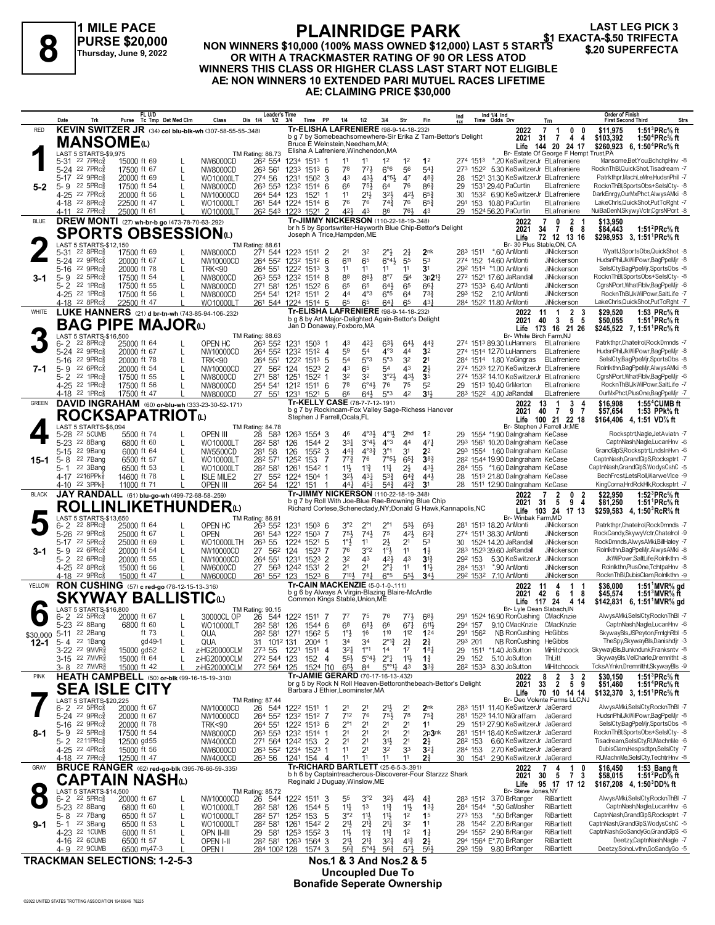### **1 MILE PACE PURSE \$20,000 Thursday, June 9, 2022**

## **PLAINRIDGE PARK**

**LAST LEG PICK 3**

#### **NON WINNERS \$10,000 (100% MASS OWNED \$12,000) LAST 5 STARTS OR WITH A TRACKMASTER RATING OF 90 OR LESS ATOD WINNERS THIS CLASS OR HIGHER CLASS LAST START NOT ELIGIBLE AE: NON WINNERS 10 EXTENDED PARI MUTUEL RACES LIFETIME AE: CLAIMING PRICE \$30,000 ELAINNIDUL PARK**<br>PURSE \$20,000 MON WINNERS \$10,000 (100% MASS OWNED \$12,000) LAST 5 STARTS \$.20 SUPERFECTA<br>Thursday, June 9, 2022 OR WITH A TRACKMASTER RATING OF 90 OR LESS ATOD

|              | Date               | Trk                                                                          | FL U/D<br>Purse                                                        | Tc Tmp Det Med Clm | Class                                                   | <b>Leader's Time</b><br>Dis 1/4<br>$1/2$ $3/4$                                                 |      | Time PP                                                                                      | 1/4                                | 1/2                                                | 3/4                                                     | Str                              | Fin                                  | Ind                                                             | Ind 1/4 Ind<br>Time Odds Drv                                                    | Trn                                                                      | Order of Finish<br><b>Strs</b><br><b>First Second Third</b>                                                              |
|--------------|--------------------|------------------------------------------------------------------------------|------------------------------------------------------------------------|--------------------|---------------------------------------------------------|------------------------------------------------------------------------------------------------|------|----------------------------------------------------------------------------------------------|------------------------------------|----------------------------------------------------|---------------------------------------------------------|----------------------------------|--------------------------------------|-----------------------------------------------------------------|---------------------------------------------------------------------------------|--------------------------------------------------------------------------|--------------------------------------------------------------------------------------------------------------------------|
| <b>RED</b>   |                    |                                                                              |                                                                        |                    | KEVIN SWITZER JR (34) col blu-blk-wh (307-58-55-55-348) |                                                                                                |      | Tr-ELISHA LAFRENIERE (98-9-14-18-232)                                                        |                                    |                                                    |                                                         |                                  |                                      | b g 7 by Somebeachsomewhere-Sir Erika Z Tam-Bettor's Delight    | 2022<br>2021                                                                    | $\overline{7}$<br>0<br>$\mathbf{1}$<br>0<br>31<br>$\mathbf{7}$<br>4<br>4 | 1:51 ${}^{3}$ PRc ${}^{5}$ s ft<br>\$11.975<br>1:50 $4$ PRc $\%$ ft<br>\$103,392                                         |
|              |                    |                                                                              | <b>MANSOME</b> (L)                                                     |                    |                                                         |                                                                                                |      | Bruce E Weinstein, Needham, MA;<br>Elisha A Lafreniere, Winchendon, MA                       |                                    |                                                    |                                                         |                                  |                                      |                                                                 | Life                                                                            | 144 20 24 17                                                             | \$260,923 6, 1:50 <sup>4</sup> PRc <sup>5</sup> / <sub>8</sub> ft                                                        |
|              |                    | <b>LAST 5 STARTS-\$9,975</b><br>5-31 22 7PRc <sup>5</sup>                    | 15000 ft 69                                                            |                    | NW6000CD                                                | TM Rating: 86.73<br>26 <sup>2</sup> 554                                                        |      | 1234 1513 1                                                                                  | 11                                 |                                                    | $1^2$                                                   | 1 <sup>2</sup>                   | 1 <sup>2</sup>                       |                                                                 | 274 1513 *.20 KeSwitzerJr ElLafreniere                                          | Br- Estate Of George F Hempt Trust, PA                                   | Mansome, Bet You, BchchpHnv -8                                                                                           |
|              |                    | 5-24 22 7PRc                                                                 | 17500 ft 67                                                            | L                  | NW8000CD                                                | 263 561                                                                                        |      | 1233 1513 6                                                                                  | 78                                 | 773                                                | $6°6$                                                   | 56                               | $54\frac{1}{4}$                      |                                                                 | 273 1522 5.30 KeSwitzerJr ElLafreniere                                          |                                                                          | RocknThBlQuickShot.Tisadream -7                                                                                          |
| $5 - 2$      | 5-9                | 5-17 22 9PRc<br>22 5PRc3                                                     | 20000 ft 69<br>17500 ft 54                                             | L<br>L             | WO10000LT<br>NW8000CD                                   | 274 56<br>263 553 1232 1514 6                                                                  |      | 1231 1502 3                                                                                  | 43<br>66                           | 431<br>$75\frac{1}{2}$                             | $4^{\circ}5\frac{1}{2}$<br>64                           | 47<br>76                         | 483<br>$86\frac{3}{4}$               | 28<br>29                                                        | 1521 31.30 KeSwitzerJr ElLafreniere<br>1531 29.40 PaCurtin                      | ElLafreniere                                                             | Patrkthpr, MachLeMre, HudsnPhil -7<br>RocknThBl,SportsObs+SelslCty- -8                                                   |
|              |                    | 4-25 22 7PRc <sup>5</sup>                                                    | 20000 ft 56                                                            | L                  | NW10000CD                                               | 264 544 123                                                                                    |      | 1521<br>-1                                                                                   | 11                                 | $21\frac{1}{2}$                                    | $3^{2}$                                                 | 42}                              | $65\frac{3}{4}$                      | 30                                                              | 1532 6.90 KeSwitzerJr ElLafreniere                                              |                                                                          | DarkEnrgy,OurMxPhct,AlwysAMki -8                                                                                         |
|              |                    | 4-18 22 8PRcs<br>4-11 22 7PRc <sup>5</sup>                                   | 22500 ft 47<br>25000 ft 61                                             |                    | WO10000LT<br>WO10000LT                                  | 261 544 1224 1514 6<br>26 <sup>2</sup> 543 1223 1521 2                                         |      |                                                                                              | 76<br>421                          | 76<br>43                                           | $74\frac{3}{4}$<br>86                                   | 76<br>761                        | $65\frac{3}{4}$<br>43                |                                                                 | 291 153 10.80 PaCurtin<br>29 1524 56.20 PaCurtin                                | ElLafreniere<br>ElLafreniere                                             | LakeChrls, QuickShot, PutToRght -7<br>NuiBaDenN,SkywyVctr,CgrsNPort -8                                                   |
| <b>BLUE</b>  |                    |                                                                              | DREW MONTI (27) wh-br-b go (473-78-70-63-292)                          |                    |                                                         |                                                                                                |      | Tr-JIMMY NICKERSON (110-22-18-19-348)                                                        |                                    |                                                    |                                                         |                                  |                                      |                                                                 | 2022                                                                            | $\overline{2}$<br>7<br>0                                                 | \$13,950                                                                                                                 |
|              |                    |                                                                              | <b>SPORTS OBSESSION</b> to                                             |                    |                                                         |                                                                                                |      | br h 5 by Sportswriter-Hayworth Blue Chip-Bettor's Delight<br>Joseph A Trice, Hampden, ME    |                                    |                                                    |                                                         |                                  |                                      |                                                                 | 2021<br>Life                                                                    | 6<br>34<br>$\mathbf{7}$<br>-8<br>72 12 13 16                             | 1:51 ${}^{2}$ PRc ${}^{5}_{8}$ ft<br>\$84,443                                                                            |
|              |                    | LAST 5 STARTS-\$12.150                                                       |                                                                        |                    |                                                         | TM Rating: 88.61                                                                               |      |                                                                                              |                                    |                                                    |                                                         |                                  |                                      |                                                                 |                                                                                 | Br- 30 Plus Stable, ON, CA                                               | \$298,953 3, 1:51 PRc <sup>5</sup> / <sub>8</sub> ft                                                                     |
|              |                    | 5-31 22 8PRc <sup>5</sup><br>5-24 22 9PRcs                                   | 17500 ft 69<br>20000 ft 67                                             | L                  | NW8000CD<br>NW10000CD                                   | 271 544 1223 1511 2<br>264 552 1232 1512 6                                                     |      |                                                                                              | 611                                | 32<br>65                                           | $2^{\circ}$<br>$6^\circ 4\frac{1}{2}$                   | 2 <sup>1</sup><br>55             | 2 <sub>nk</sub><br>53                |                                                                 | 283 1511 *.60 AnMonti<br>274 152 14.60 AnMonti                                  | JiNickerson<br>JiNickerson                                               | WyattJ.SportsObs.QuickShot -8<br>HudsnPhil,JkWilPowr,BagPpeMjr -8                                                        |
|              | $5 - 16$           | $22 \text{ } 9$ PRc $\frac{5}{8}$                                            | 20000 ft 78                                                            | L                  | <b>TRK&lt;90</b>                                        | 264 551 1222 1513                                                                              |      | -3                                                                                           | 11                                 | 11                                                 | 11                                                      | 11                               | 3 <sup>1</sup>                       |                                                                 | 292 1514 *1.00 AnMonti                                                          | <b>JiNickerson</b>                                                       | SelslCty,BagPpeMir,SportsObs -8                                                                                          |
| 3-1          | $5 - 2$            | $5 - 9$ 22 5PRc $\frac{5}{8}$<br>22 1 $PRc\frac{5}{8}$                       | 17500 ft 54<br>17500 ft 55                                             | L                  | NW8000CD                                                | 263 553 1232 1514 8<br>271 581 1251 1522 6                                                     |      |                                                                                              | 88<br>65                           | 861<br>65                                          | $8^{\circ}7$<br>$64\frac{1}{2}$                         | 5i <sup>4</sup><br>65            | $3p21\frac{3}{4}$<br>$66\frac{1}{4}$ |                                                                 | 272 1521 17.60 JaRandall<br>273 1533 6.40 AnMonti                               | JiNickerson<br>JiNickerson                                               | RocknThBl,SportsObs+SelslCty- -8<br>CgrsNPort, WhatFlblv, BagPpeMjr -6                                                   |
|              |                    | 4-25 <sup>22</sup> 1PRc <sup>3</sup>                                         | 17500 ft 56                                                            | L<br>L             | NW8000CD<br>NW8000CD                                    | 254 541 1212 1511                                                                              |      | $\overline{2}$                                                                               | 44                                 | $4^{\circ}3$                                       | $6^{\circ}5$                                            | 64                               | $73\frac{3}{4}$                      |                                                                 | 293 152 2.10 AnMonti                                                            | JiNickerson                                                              | RocknThBl,JkWilPowr,SaltLife -7                                                                                          |
|              |                    | 4-18 22 8PRc <sup>3</sup>                                                    | 22500 ft 47                                                            |                    | WO10000LT                                               | 261 544 1224 1514 5                                                                            |      |                                                                                              | 65                                 | 65                                                 | 641                                                     | 65                               | 43                                   |                                                                 | 284 1522 11.80 AnMonti                                                          | JiNickerson                                                              | LakeChrls,QuickShot,PutToRght -7                                                                                         |
| <b>WHITE</b> |                    |                                                                              | LUKE HANNERS (21) d br-tn-wh (743-85-94-106-232)                       |                    |                                                         |                                                                                                |      | Tr-ELISHA LAFRENIERE (98-9-14-18-232)<br>b g 8 by Art Major-Delighted Again-Bettor's Delight |                                    |                                                    |                                                         |                                  |                                      |                                                                 | 2022<br>2021                                                                    | $\overline{2}$<br>11<br>-1<br>3<br>5<br>40<br>3<br>5                     | \$29.520<br>1:53 PRc% ft<br>\$50,055<br>1:51 PRc% ft                                                                     |
|              |                    |                                                                              | <b>BAG PIPE MAJOR</b> <sup>(L)</sup>                                   |                    |                                                         |                                                                                                |      | Jan D Donaway, Foxboro, MA                                                                   |                                    |                                                    |                                                         |                                  |                                      |                                                                 | Life<br>Br- White Birch Farm, NJ                                                | 173 16 21 26                                                             | \$245,522 7, 1:51 PRc% ft                                                                                                |
|              | $6 - 2$            | LAST 5 STARTS-\$16,500<br>$22$ $8$ PR $c_{8}$                                | 25000 ft 64                                                            |                    | OPEN HC                                                 | TM Rating: 88.63<br>263 552                                                                    |      | 1231 1503 1                                                                                  | 43                                 | $4^{2}$                                            | $63\frac{1}{2}$                                         | 643                              | $44\frac{3}{4}$                      |                                                                 | 274 1513 89.30 LuHanners ElLafreniere                                           |                                                                          | Patrkthpr,Chatelrol,RockDmnds -7                                                                                         |
|              |                    | 5-24 22 9PRcs<br>22 $9$ PR $c_{8}^{5}$                                       | 20000 ft 67<br>20000 ft 78                                             | L                  | NW10000CD                                               | 264 552 1232 1512 4                                                                            |      |                                                                                              | 59<br>54                           | 54<br>5°3                                          | $4^{\circ}3$<br>5°3                                     | 44<br>32                         | 3 <sup>2</sup><br>2 <sup>1</sup>     |                                                                 | 274 1514 12.70 LuHanners ElLafreniere<br>284 1514 1.80 YaGingras                | ElLafreniere                                                             | HudsnPhil, JkWilPowr, BagPpeMjr -8<br>SelslCty,BagPpeMjr,SportsObs -8                                                    |
| 7-1          | $5 - 16$           | $5 - 9$ 22 6PRc $\frac{5}{8}$                                                | 20000 ft 54                                                            | L<br>L             | <b>TRK&lt;90</b><br>NW10000CD                           | 264 551 1222 1513 5<br>27 562 124 1523 2                                                       |      |                                                                                              | 43                                 | 65                                                 | 54                                                      | 43                               | $2\frac{1}{2}$                       |                                                                 | 274 1523 12.70 KeSwitzerJr ElLafreniere                                         |                                                                          | Rolnlkthn,BagPpeMjr,AlwysAMki -8                                                                                         |
|              |                    | 5-2 22 1PRcs                                                                 | 17500 ft 55                                                            | L                  | NW8000CD                                                | 271 581 1251                                                                                   |      | $152^2$ 1                                                                                    | 32                                 | 32                                                 | $3^{o_2}\frac{1}{2}$                                    | 43}                              | 3 <sub>5</sub>                       |                                                                 | 274 1532 14.10 KeSwitzerJr ElLafreniere                                         |                                                                          | CgrsNPort, WhatFlblv, BagPpeMjr -6<br>RocknThBl.JkWilPowr.SaltLife -7                                                    |
|              |                    | 4-25 <sup>22</sup> 1PRc <sup>3</sup><br>4-18 <sup>22</sup> 1PRc <sup>3</sup> | 17500 ft 56<br>17500 ft 47                                             | L                  | NW8000CD<br><b>NW8000CD</b>                             | 254 541 1212 1511 6<br>27 551 1231 1521 5                                                      |      |                                                                                              | 78<br>66                           | $6^\circ 4\frac{1}{2}$<br>$64\frac{1}{2}$          | 76<br>5°3                                               | 75<br>42                         | 5 <sup>2</sup><br>3 <sup>1</sup>     |                                                                 | 29 1513 10.40 GrMerton<br>283 1522 4.00 JaRandall                               | ElLafreniere<br>ElLafreniere                                             | OurMxPhct,PlusOne,BagPpeMjr -7                                                                                           |
| <b>GREEN</b> |                    |                                                                              | DAVID INGRAHAM (60) or-blu-wh (333-23-30-52-171)                       |                    |                                                         |                                                                                                |      | Tr-KELLY CASE (78-7-7-12-.191)                                                               |                                    |                                                    |                                                         |                                  |                                      |                                                                 | 2022                                                                            | 3<br>13<br>-1                                                            | $1:55^4$ CUMB ft<br>\$16,908                                                                                             |
|              |                    |                                                                              | <b>ROCKSAPATRIOT</b> ໙                                                 |                    |                                                         |                                                                                                |      | b g 7 by Rockincam-Fox Valley Sage-Richess Hanover<br>Stephen J Farrell, Ocala, FL           |                                    |                                                    |                                                         |                                  |                                      |                                                                 | 2021<br>Life                                                                    | 40<br>$\mathbf{7}$<br>9<br>-7<br>100 21 22 18                            | \$57,654<br>1:53 PPk% ft<br>\$164,406 4, 1:51 VD% ft                                                                     |
|              |                    | LAST 5 STARTS-\$6.094                                                        |                                                                        |                    |                                                         | TM Rating: 84.78                                                                               |      |                                                                                              |                                    |                                                    |                                                         |                                  |                                      |                                                                 |                                                                                 | Br- Stephen J Farrell Jr.ME                                              | Rocksptrt, Nagle, JetAviatn -7                                                                                           |
|              |                    | 5-28 22 5CUMB<br>5-23 <sup>22</sup> 8Bang                                    | 5500 ft 74<br>6800 ft 60                                               | L                  | OPEN III<br>WO10000LT                                   | 28 583<br>282 581                                                                              | 126  | 1263 1554 3<br>1544 2                                                                        | 46<br>$3^{31}$                     | $4^{\circ}3\frac{1}{2}$<br>$3^{\circ}4\frac{1}{2}$ | $4^{\circ}1\frac{1}{2}$<br>$4^{\circ}3$                 | 2 <sub>hd</sub><br>44            | 1 <sup>2</sup><br>471                |                                                                 | 29 1554 *1.90 Dalngraham KeCase<br>293 1561 10.20 Dalngraham KeCase             |                                                                          | CaptnNash,Nagle,LucanHnv -6                                                                                              |
|              |                    | 5-15 22 9Bang                                                                | 6000 ft 64                                                             | L                  | NW5500CD                                                | 281 58                                                                                         | 126  | 1552 3                                                                                       | $44\frac{3}{4}$                    | $4^{\circ}3^{\frac{3}{4}}$                         | $3^{\circ}1$                                            | 31                               | 2 <sup>2</sup>                       |                                                                 | 293 1554 1.60 Dalngraham KeCase                                                 |                                                                          | GrandGlpS,Rocksptrt,LndsInHvn -6                                                                                         |
| 15-1         | $5 - 8$<br>$5 - 1$ | 22 7Bang<br>22 3Bang                                                         | 6500 ft 57<br>6500 ft 53                                               | L<br>L             | WO10000LT<br>WO10000LT                                  | 28 <sup>2</sup> 571 125 <sup>2</sup> 153 7<br>282 581                                          |      | 1261 1542 1                                                                                  | $77\frac{3}{4}$<br>11}             | 76<br>$11\frac{3}{4}$                              | $7°5\frac{1}{2}$<br>$11\frac{1}{4}$                     | $65\frac{1}{4}$<br>2}            | $3^{8}$<br>431                       |                                                                 | 28 <sup>2</sup> 1544 19.90 Dalngraham KeCase<br>284 155 *1.60 Dalngraham KeCase |                                                                          | CaptnNash,GrandGlpS,Rocksptrt -7<br>CaptnNash,GrandGlpS,WodysCshC -5                                                     |
|              |                    | 4-17 2216PPk                                                                 | 14600 ft 78                                                            | L                  | <b>ISLE MILE2</b>                                       | 27 552 1224 1504 1                                                                             |      |                                                                                              | 32}                                | $4^{3}\frac{1}{4}$                                 | $5^{3}\frac{3}{4}$                                      | $6^{4}$                          | 44}                                  |                                                                 | 28 1513 21.80 Dalngraham KeCase                                                 |                                                                          | BechFrcst,LetsRoll,WarweVlce -9                                                                                          |
| <b>BLACK</b> |                    | 4-10 22 3PPk <sup>5</sup>                                                    | 11000 ft 71<br>JAY RANDALL (61) blu-go-wh (499-72-68-58-.259)          |                    | OPEN III                                                | 26 <sup>2</sup> 54 122 <sup>1</sup> 151                                                        |      | - 1<br>Tr-JIMMY NICKERSON (110-22-18-19-348)                                                 | 441                                | $45\frac{1}{4}$                                    | $5^{4}$                                                 | $4^{2}\frac{3}{4}$               | 3 <sup>1</sup>                       |                                                                 | 28 1511 12.90 Dalngraham KeCase<br>2022                                         | $\overline{\mathbf{c}}$<br>0<br>-2<br>7                                  | KingCorna,HrdRckHlk,Rocksptrt -7<br>\$22,950<br>1:52 ${}^{3}$ PRc ${}^{5}$ ft                                            |
|              |                    |                                                                              | <b>ROLLINLIKETHUNDER(L)</b>                                            |                    |                                                         |                                                                                                |      | b g 7 by Roll With Joe-Blue Rae-Browning Blue Chip                                           |                                    |                                                    |                                                         |                                  |                                      | Richard Cortese, Schenectady, NY; Donald G Hawk, Kannapolis, NC | 2021                                                                            | 9<br>31<br>5<br>4                                                        | 1:51 <sup>1</sup> PRc <sup>5</sup> / <sub>8</sub> ft<br>\$81,250                                                         |
|              |                    | LAST 5 STARTS-\$13,650                                                       |                                                                        |                    |                                                         | TM Rating: 86.91                                                                               |      |                                                                                              |                                    |                                                    |                                                         |                                  |                                      |                                                                 | Life<br>Br- Winbak Farm, MD                                                     | 103 24 17 13                                                             | \$259,583 4, 1:50 RcR % ft                                                                                               |
|              | $6 - 2$            | $22$ $8$ PR $c_{8}$                                                          | 25000 ft 64                                                            |                    | OPEN HC                                                 | 263 552                                                                                        |      | 1231 1503 6                                                                                  | $3^{\circ}2$                       | $2^{\circ}1$                                       | $2^{\circ}1$                                            | 5 <sup>3</sup>                   | 65                                   |                                                                 | 281 1513 18.20 AnMonti                                                          | JiNickerson                                                              | Patrkthpr,Chatelrol,RockDmnds -7                                                                                         |
|              |                    | 5-26 22 9PRc3<br>5-17 22 5PRc                                                | 25000 ft 67<br>25000 ft 69                                             | L<br>L             | OPEN<br>WO10000LTH                                      | 261 543 1222 1503 7<br>26 <sup>3</sup> 55                                                      |      | 1224 1521 5                                                                                  | 75}<br>$1^{\circ}$                 | 74}<br>11                                          | 75<br>$2\frac{1}{2}$                                    | 42}<br>2 <sup>1</sup>            | $6^{2}3$<br>53                       |                                                                 | 274 1511 38.30 AnMonti<br>30 1524 14.20 JaRandall                               | JiNickerson<br>JiNickerson                                               | RockCandy,SkywyVctr,Chatelrol -9<br>RockDmnds,AlwysAMki,BillHaley -7                                                     |
| 3-1          | 5-9                | $226$ PR $c_{8}^{5}$                                                         | 20000 ft 54                                                            | L                  | NW10000CD                                               | 27 56 <sup>2</sup> 124                                                                         |      | 1523 7                                                                                       | 76                                 | 3°2                                                | $1^{\circ}$                                             | 11                               | $1\frac{1}{2}$                       |                                                                 | 283 1523 39.60 JaRandall                                                        | JiNickerson                                                              | Rolnlkthn,BagPpeMjr,AlwysAMki -8                                                                                         |
|              |                    | 5-2 $2^2$ 6PRc $\frac{5}{8}$<br>4-25 22 8PRc3                                | 20000 ft 55<br>15000 ft 56                                             | L<br>L             | NW10000CD<br>NW6000CD                                   | 264 551 1231<br>27 563 1242 1531                                                               |      | 1523 2<br>$\overline{2}$                                                                     | 32<br>21                           | 4 <sup>3</sup><br>2 <sup>1</sup>                   | 42}<br>$2^{\circ}1$                                     | 43<br>11                         | $3^{12}$<br>$1\frac{11}{2}$          | 292 153<br>284 1531                                             | 5.30 KeSwitzerJr JiNickerson<br>*.90 AnMonti                                    | JiNickerson                                                              | JkWilPowr,SaltLife,Rolnlkthn -8<br>Rolnlkthn,PlusOne,TchtpaHnv -8                                                        |
|              |                    | 4-18 <sup>22</sup> 9PRc                                                      | 15000 ft 47                                                            |                    | NW6000CD                                                | 261 552 123 1523 6                                                                             |      |                                                                                              | $7^{10}$                           | 781                                                | $6^{\circ}5$                                            | $55\frac{1}{2}$                  | 343                                  |                                                                 | 292 1532 7.10 AnMonti                                                           | JiNickerson                                                              | RocknThBlDubisClam.Rolnlkthn -9                                                                                          |
| YELLOW       |                    |                                                                              | RON CUSHING (57) c red-go (78-12-15-13-316)                            |                    |                                                         |                                                                                                |      | Tr-CAIN MACKENZIE (5-0-1-0-111)<br>b q 6 by Always A Virgin-Blazing Blaire-McArdle           |                                    |                                                    |                                                         |                                  |                                      |                                                                 | 2022<br>2021                                                                    | 11<br>4<br>$\mathbf{1}$<br>42<br>6<br>$\mathbf{1}$<br>8                  | 1:51 MVR% gd<br>\$36,000<br>\$45,574<br>1:51 MVR $\frac{1}{6}$ ft                                                        |
|              |                    |                                                                              | SKYWAY BALLISTICധ                                                      |                    |                                                         |                                                                                                |      | Common Kings Stable, Union, ME                                                               |                                    |                                                    |                                                         |                                  |                                      |                                                                 | Life                                                                            | 117 24 4 14                                                              | $$142,831$ 6, 1:51 MVR <sup>5</sup> / <sub>8</sub> gd                                                                    |
|              | 6-2                | LAST 5 STARTS-\$16,800<br>$22$ 5PR $c_{8}$                                   | 20000 ft 67                                                            |                    | 30000CL OP                                              | TM Rating: 90.15<br>26 544 1222 1511 7                                                         |      |                                                                                              | $7^7$                              | 75                                                 | 76                                                      | $77\frac{1}{2}$                  | $6^{8}$                              |                                                                 | 291 1524 16.90 RonCushing CMacKnzie                                             | Br- Lyle Dean Slabach, IN                                                | AlwysAMki,SelslCty,RocknThBI -7                                                                                          |
|              |                    | 5-23 <sup>22</sup> 8Bang<br>\$30,000 5-11 <sup>22</sup> 2Bang                | 6800 ft 60<br>ft 73                                                    | L                  | WO10000LT                                               | 28 <sup>2</sup> 58 <sup>1</sup> 126 1544 6                                                     |      |                                                                                              | 6 <sup>8</sup>                     | $6^{8}\frac{1}{2}$<br>16                           | 66<br>110                                               | $67\frac{1}{4}$<br>112           | $6^{11}$<br>124                      |                                                                 | 294 157 9.10 CMacKnzie CMacKnzie<br>291 1562 NB RonCushing HeGibbs              |                                                                          | CaptnNash,Nagle,LucanHnv -6<br>SkywayBls,JSPeyton,FrnighRbl -5                                                           |
| 12-1         |                    | 5-4 22 1Bang                                                                 | gd 49-1                                                                |                    | QUA<br>QUA                                              | 28 <sup>2</sup> 58 <sup>1</sup> 127 <sup>1</sup> 156 <sup>2</sup> 5<br>31 101 <sup>2</sup> 131 |      | $2004$ 1                                                                                     | $1^\circ \frac{1}{2}$<br>34        | 34                                                 | $2^{\circ}1^3$                                          | $2\frac{3}{4}$                   | 2 <sup>3</sup> / <sub>4</sub>        | 293 201                                                         | NB RonCushing HeGibbs                                                           |                                                                          | TheSpy,SkywayBls,Danishdjr -3                                                                                            |
|              |                    | 3-22 22 9MVR§                                                                | 15000 gd52                                                             |                    | z-HG20000CLM                                            | 273 55                                                                                         | 1221 | 1511 4                                                                                       | $3^{21}$                           | $1^{\circ}1$                                       | 1 <sup>4</sup>                                          | 1 <sup>7</sup>                   | 18 <sub>1</sub>                      |                                                                 | 29 1511 *1.40 JoSutton                                                          | MiHitchcock                                                              | SkywayBls,Bunkndunk,Franksntv -8                                                                                         |
|              |                    | 3-15 22 7MVR <sup>5</sup><br>3-8 <sup>22</sup> 7MVR <sup>3</sup>             | 15000 ft 64<br>15000 ft 42                                             |                    | z-HG20000CLM<br>z-HG20000CLM                            | 272 544 123<br>272 564 125                                                                     |      | $\overline{4}$<br>152<br>1524 [10                                                            | $55\frac{1}{2}$<br>$65\frac{1}{2}$ | $5^{\circ}4\frac{1}{2}$<br>84                      | $2^{\circ}$ $\frac{1}{4}$<br>$5^{\circ 0}$ <sup>1</sup> | 11支<br>4 <sup>3</sup>            | $1\frac{3}{4}$<br>3 <sup>3</sup>     | 29 152                                                          | 5.10 JoSutton<br>28 <sup>2</sup> 153 <sup>3</sup> 8.30 JoSutton                 | ThLitt<br>MiHitchcock                                                    | SkywayBls, VelCharle, Dremnitht -8<br>TcksAYnkn,Dremnltht,SkywayBls -9                                                   |
| <b>PINK</b>  |                    |                                                                              | <b>HEATH CAMPBELL</b> (50) or-blk (99-16-15-19-.310)                   |                    |                                                         |                                                                                                |      | Tr-JAMIE GERARD (70-17-16-13-.432)                                                           |                                    |                                                    |                                                         |                                  |                                      | br g 5 by Rock N Roll Heaven-Bettoronthebeach-Bettor's Delight  | 2022                                                                            | 2<br>3<br>8<br>2                                                         | 1:51 ${}^{3}$ PRc ${}^{5}_{8}$ ft<br>\$30,150                                                                            |
|              |                    |                                                                              | <b>SEA ISLE CITY</b>                                                   |                    |                                                         |                                                                                                |      | Barbara J Ethier, Leominster, MA                                                             |                                    |                                                    |                                                         |                                  |                                      |                                                                 | 2021<br>Life                                                                    | 5 9<br>33<br>$\overline{2}$<br>70 10 14 14                               | 1:51 <sup>4</sup> PRc <sup>5</sup> / <sub>8</sub> ft<br>\$51,460<br>\$132,370 3, 1:51 PRc <sup>5</sup> / <sub>8</sub> ft |
|              |                    | LAST 5 STARTS-\$20,225<br>$6 - 2$ 22 5 PR $c_{8}^{3}$                        | 20000 ft 67                                                            |                    | NW10000CD                                               | TM Rating: 87.44<br>26 544 1222 1511 1                                                         |      |                                                                                              | 21                                 | 21                                                 | 21}                                                     | 2 <sup>1</sup>                   | 2 <sub>nk</sub>                      |                                                                 | 283 1511 11.40 KeSwitzerJr JaGerard                                             | Br- Deo Volente Farms LLC,NJ                                             | AlwysAMki,SelslCty,RocknThBI -7                                                                                          |
|              |                    | 5-24 22 9PRc3                                                                | 20000 ft 67                                                            |                    | NW10000CD                                               | 264 552 1232 1512 7                                                                            |      |                                                                                              | 712                                | 76                                                 | $75\frac{1}{2}$                                         | 78                               | $75\frac{3}{4}$                      |                                                                 | 281 1523 14.10 NiGraffam JaGerard                                               |                                                                          | HudsnPhil,JkWilPowr,BagPpeMjr -8                                                                                         |
|              |                    | 5-16 22 9PRc <sup>5</sup>                                                    | 20000 ft 78                                                            |                    | <b>TRK&lt;90</b>                                        | 264 551 1222 1513 6                                                                            |      |                                                                                              | $2^{\circ}1$                       | 2 <sup>1</sup>                                     | 2 <sup>1</sup>                                          | 2 <sup>1</sup>                   | 1 <sup>1</sup>                       |                                                                 | 29 1513 27.90 KeSwitzerJr JaGerard<br>281 1514 18.40 KeSwitzerJr JaGerard       |                                                                          | SelslCty,BagPpeMjr,SportsObs -8<br>RocknThBl,SportsObs+SelslCty- -8                                                      |
| 8-1          |                    | 5-9 22 5PRc <sup>3</sup><br>5-2 2211PRc                                      | 17500 ft 54<br>12500 gd55                                              |                    | NW8000CD<br><b>NW4000CD</b>                             | 263 553 1232 1514 1<br>271 564 1242 153                                                        |      | $\overline{2}$                                                                               | 2 <sup>1</sup><br>2 <sup>1</sup>   | 21<br>2 <sup>1</sup>                               | 2 <sup>1</sup><br>3 <sup>1</sup>                        | 2 <sup>1</sup><br>2 <sup>1</sup> | 2p3nk<br>$2\frac{1}{2}$              |                                                                 | 28 <sup>2</sup> 153 6.60 KeSwitzerJr JaGerard                                   |                                                                          | Tisadream,SelslCty,RUMachnMe -6                                                                                          |
|              |                    | 4-25 22 4PRc <sup>5</sup>                                                    | 15000 ft 56                                                            |                    | NW6000CD                                                | 263 552 1234 1523 1<br>263 56 1241 154 4                                                       |      |                                                                                              | 11<br>11                           | 2 <sup>1</sup><br>11                               | 32                                                      | 33<br>11                         | 3 <sup>2</sup><br>2 <sup>3</sup>     | 284 153                                                         | 2.70 KeSwitzerJr JaGerard                                                       |                                                                          | DubisClam,Hespsdtpn,SelslCty -7<br>RUMachnMe,SeIsICty,TechtrHnv -8                                                       |
| GRAY         |                    | 4-18 22 7PRc <sup>3</sup>                                                    | 12500 ft 47<br><b>BRUCE RANGER</b> (62) red-go-blk (395-76-66-59-.335) |                    | <b>NW4000CD</b>                                         |                                                                                                |      | Tr-RICHARD BARTLETT (25-6-5-3-.391)                                                          |                                    |                                                    | 11                                                      |                                  |                                      |                                                                 | 30 1541 2.90 KeSwitzerJr JaGerard<br>2022                                       | 4<br>0<br>7                                                              | \$16,450<br>1:53 Bang ft                                                                                                 |
|              |                    |                                                                              | CAPTAIN NASHധ                                                          |                    |                                                         |                                                                                                |      | b h 6 by Captaintreacherous-Discoverer-Four Starzzz Shark<br>Reginald J Duguay, Winslow, ME  |                                    |                                                    |                                                         |                                  |                                      |                                                                 | 2021                                                                            | $\frac{1}{7}$<br>30<br>3<br>5                                            | 1:51 $^{2}$ PcD $\%$ ft<br>\$58,015                                                                                      |
|              |                    | LAST 5 STARTS-\$14,500                                                       |                                                                        |                    |                                                         | TM Rating: 85.72                                                                               |      |                                                                                              |                                    |                                                    |                                                         |                                  |                                      |                                                                 | Life<br>Br- Steve Jones, NY                                                     | 95 17 17 12                                                              | \$167,208 4, 1:50 PD% ft                                                                                                 |
|              |                    | $6 - 2$ 22 5PRc $\frac{5}{6}$<br>5-23 <sup>22</sup> 8Bang                    | 20000 ft 67<br>6800 ft 60                                              | L<br>L             | NW10000CD<br>WO10000LT                                  | 26 544 1222 1511 3<br>282 581                                                                  | 126  | 1544 5                                                                                       | 55<br>11                           | 3°2<br>1 <sup>3</sup>                              | 3 <sup>2</sup><br>$11\frac{3}{4}$                       | $4^{2}\frac{1}{2}$<br>11支        | 41<br>$13\frac{1}{4}$                |                                                                 | 283 1512 3.70 BrRanger<br>284 1544 *.50 GaMosher                                | RiBartlett<br>RiBartlett                                                 | AlwysAMki,SelslCty,RocknThBI -7<br>CaptnNash,Nagle,LucanHnv -6                                                           |
|              |                    | 5-8 22 7Bang                                                                 | 6500 ft 57                                                             | L                  | WO10000LT                                               | 28 <sup>2</sup> 571 125 <sup>2</sup> 153                                                       |      | -5                                                                                           | 3°2                                | $11\frac{1}{2}$                                    | $11\frac{1}{2}$                                         | 1 <sup>2</sup>                   | 1 <sup>5</sup>                       | 273 153                                                         | *.50 BrRanger                                                                   | RiBartlett                                                               | CaptnNash,GrandGlpS,Rocksptrt -7                                                                                         |
| 9-1          |                    | 5-1 22 3Bang<br>4-23 22 1CUMB                                                | 6500 ft 53                                                             | L                  | WO10000LT                                               | 28 <sup>2</sup> 581 1261 1542 2                                                                |      |                                                                                              | 21}                                | $2^{13}$                                           | 2 <sup>11</sup>                                         | 32                               | 1 <sup>1</sup>                       |                                                                 | 28 1542 2.20 BrRanger<br>294 1552 2.90 BrRanger                                 | RiBartlett<br>RiBartlett                                                 | CaptnNash,GrandGlpS,WodysCshC -5<br>CaptnNash,GoSandyGo,GrandGlpS -6                                                     |
|              |                    | 4-16 22 6CUMB                                                                | 6000 ft 51<br>6500 ft 57                                               | L<br>L             | OPN II-III<br>open I-II                                 | 29 581 1253 1552 3<br>28 <sup>2</sup> 58 <sup>1</sup> 126 <sup>3</sup> 1564 3                  |      |                                                                                              | 11<br>21}                          | $11\frac{3}{4}$<br>$2^{13}$                        | $11\frac{3}{4}$<br>$3^{2}$                              | 1 <sup>2</sup><br>$4^{13}$       | $1\frac{1}{4}$<br>$2\frac{1}{2}$     |                                                                 | 294 1564 E*.70 BrRanger                                                         | RiBartlett                                                               | Deetzy,CaptnNash,Nagle -7                                                                                                |
|              |                    | 4-9 22 9CUMB                                                                 | 6500 my47-3                                                            |                    | OPEN I                                                  | 284 1002 128 1574 3                                                                            |      |                                                                                              | $56\frac{3}{4}$                    | $5^{\circ}4\frac{1}{2}$                            | $56\frac{3}{4}$                                         | $5^{7}\frac{1}{2}$               | 56}                                  |                                                                 | 293 159 9.80 BrRanger                                                           | RiBartlett                                                               | Deetzy,SohoLvthn,GoSandyGo -5                                                                                            |

**TRACKMAN SELECTIONS: 1-2-5-3 Nos.1 & 3 And Nos.2 & 5**

**Uncoupled Due To Bonafide Seperate Ownership**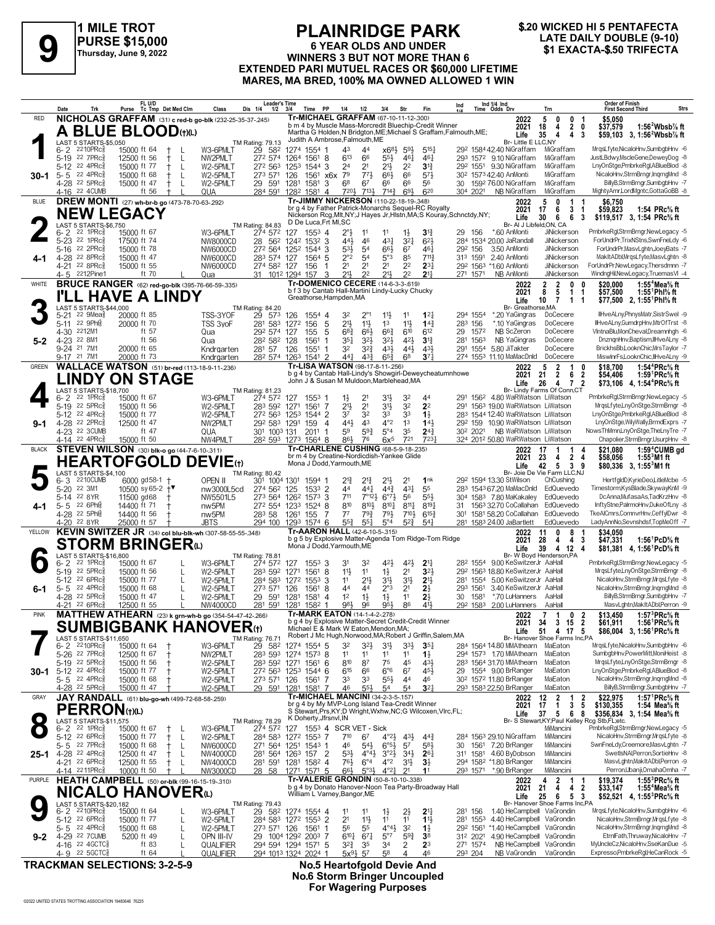

### **PLAINRIDGE PARK 6 YEAR OLDS AND UNDER PURSE \$15,000**<br>
Thursday, June 9, 2022<br>
EXTENDED BABL MULTUEL BACES OF \$60,000 UNETIME<br>
PURSE \$15,000 WINNERS 3 BUT NOT MORE THAN 6<br>
EXTENDED BABL MULTUEL BACES OF \$60,000 UNETIME **EXTENDED PARI MUTUEL RACES OR \$60,000 LIFETIME MARES, MA BRED, 100% MA OWNED ALLOWED 1 WIN**

# **\$.20 WICKED HI 5 PENTAFECTA**

|              | Date<br>Trk                                                            | FL U/D<br>Tc Tmp Det Med Clm<br>Purse                                                 | <b>Leader's Time</b><br>Class<br>Dis 1/4             | $1/2$ $3/4$<br>Time PP                                                                                                        | 1/4<br>1/2                                                              | 3/4<br>Str                                                                                  | Ind<br>Fin                            | Ind 1/4 Ind<br>Time Odds Drv                                                                | Trn                                                               | <b>Order of Finish</b><br><b>Strs</b><br><b>First Second Third</b>                                                                                    |
|--------------|------------------------------------------------------------------------|---------------------------------------------------------------------------------------|------------------------------------------------------|-------------------------------------------------------------------------------------------------------------------------------|-------------------------------------------------------------------------|---------------------------------------------------------------------------------------------|---------------------------------------|---------------------------------------------------------------------------------------------|-------------------------------------------------------------------|-------------------------------------------------------------------------------------------------------------------------------------------------------|
| <b>RED</b>   |                                                                        | NICHOLAS GRAFFAM (31) c red-b go-blk (232-25-35-37-.245)                              |                                                      | Tr-MICHAEL GRAFFAM (67-10-11-12-.300)<br>b m 4 by Muscle Mass-Morcredit Bluechip-Credit Winner                                |                                                                         |                                                                                             |                                       | 2022<br>2021                                                                                | 5<br>0<br>0<br>$\overline{2}$<br>18<br>4                          | \$5,050<br>-1<br>0<br>\$37,579<br>1:56 $2$ Wbsb $\%$ ft                                                                                               |
|              | LAST 5 STARTS-\$5,050                                                  | <b>A BLUE BLOOD(t)(L)</b>                                                             | TM Rating: 79.13                                     | Martha G Holden, N Bridgton, ME; Michael S Graffam, Falmouth, ME;<br>Judith A Ambrose, Falmouth, ME                           |                                                                         |                                                                                             |                                       | Life                                                                                        | 35<br>4<br>4<br>Br- Little E LLC.NY                               | 3<br>\$59.103 3. 1:56 <sup>2</sup> Wbsb <sup>7</sup> / <sub>8</sub> ft                                                                                |
|              | $2210$ PR $c_{8}$<br>6-2<br>5-19 22 7PRc <sup>5</sup>                  | 15000 ft 64<br>12500 ft 56                                                            | 29 582<br>W3-6PMLT<br>NW2PMLT                        | 1274 1554 1<br>272 574 1264 1561<br>8                                                                                         | 43<br>44<br>613<br>66                                                   | $x6^{8\frac{1}{2}}$ 5 <sup>91</sup> / <sub>2</sub><br>$55\frac{1}{2}$<br>461                | $5^{15}$<br>461                       | 292 1584 42.40 NiGraffam<br>293 1572 9.10 NiGraffam                                         | MiGraffam<br>MiGraffam                                            | MrgsLfyte,NicaloHnv,SumbgbHnv -6<br>JustLBdwy,MscleGene,DeweyDog -8                                                                                   |
|              | 5-12 22 4PRc                                                           | 15000 ft 77<br>L                                                                      | W2-5PMLT                                             | 272 563 1253 1544 3                                                                                                           | 24<br>21                                                                | $21\frac{1}{2}$<br>2 <sup>2</sup>                                                           | $3^{13}$                              | 29 <sup>2</sup> 1551 9.30 NiGraffam                                                         | MiGraffam                                                         | LnyOnStge,PmbrkeRgl,ABlueBlod -8                                                                                                                      |
| $30-1$       | $5 - 5$ 22 4PRc $\frac{5}{8}$<br>4-28 22 5PRc <sup>5</sup>             | 15000 ft 68<br>L<br>15000 ft 47<br>L                                                  | 273 571<br>W2-5PMLT<br>W2-5PMLT<br>29 591            | 126<br>1561<br>x6x<br>1281<br>1581<br>3                                                                                       | 79<br>773<br>68<br>67                                                   | 66<br>66}<br>66<br>66                                                                       | 573<br>56                             | 30 <sup>2</sup> 1573 42.40 AnMonti<br>30 1592 76.00 NiGraffam                               | MiGraffam<br>MiGraffam                                            | NicaloHnv,StrmBrngr,InqrngMnd -8<br>BillyB,StrmBrngr,SumbgbHnv -7                                                                                     |
| <b>BLUE</b>  | 4-16 22 4 CUMB                                                         | ft 56<br>DREW MONTI (27) wh-br-b go (473-78-70-63-.292)                               | 284 591<br>QUA                                       | 1282 1581 4<br>Tr-JIMMY NICKERSON (110-22-18-19-348)                                                                          | 720}<br>7133                                                            | $7^{14}\frac{3}{4}$<br>693                                                                  | 620                                   | 304 2021<br>NB NiGraffam<br>2022                                                            | MiGraffam<br>5<br>0<br>1                                          | MightyAmr,LordMgntc,GottaGoBB -8<br>\$6.750                                                                                                           |
|              | <b>NEW LEGACY</b>                                                      |                                                                                       |                                                      | br g 4 by Father Patrick-Monarchs Sequel-RC Royalty<br>Nickerson Rcg, Mlt, NY; J Hayes Jr, Histn, MA; S Kouray, Schnctdy, NY; |                                                                         |                                                                                             |                                       | 2021<br>Life                                                                                | 17<br>6<br>3<br>30<br>6<br>6                                      | \$59,823<br>1:54 PRc% ft<br>1<br>\$119,517 3, 1:54 PRc% ft<br>3                                                                                       |
|              | LAST 5 STARTS-\$6,750<br>$22$ 1PR $c_{8}^{5}$<br>$6 - 2$               | 15000 ft 67                                                                           | TM Rating: 84.83<br>W3-6PMLT<br>274 572              | D De Luca, Frt MI, SC<br>$155^3$ 4<br>127                                                                                     | $2^{\circ}$<br>11                                                       | 11<br>$1\frac{1}{2}$                                                                        | $3^{\frac{13}{4}}$                    | *.60 AnMonti<br>29 156                                                                      | Br- Al J Libfeld, ON, CA<br>JiNickerson                           | PmbrkeRgl,StrmBrngr,NewLegacy -5                                                                                                                      |
|              | 5-23 22 1PRcs<br>22 2PRc                                               | 17500 ft 74                                                                           | NW8000CD                                             | 28 562 1242 1532 3                                                                                                            | 44}<br>46                                                               | $43\frac{1}{4}$<br>$3^{2}$                                                                  | $6^{2}$<br>$46\frac{1}{4}$            | 284 1534 20.00 JaRandall<br>292 156                                                         | JiNickerson<br>JiNickerson                                        | ForUndrPr,TrixNStns,SwnFneLdy -6<br>ForUndrPr,MasvLghtn,JoeyBats -7                                                                                   |
|              | 5-16<br>4-28 22 8PRc                                                   | 15000 ft 78<br>15000 ft 47                                                            | <b>NW6000CD</b><br><b>NW6000CD</b><br>283 574 127    | 272 564 1252 1544 3<br>1564<br>-5                                                                                             | $5^{31}$<br>5 <sup>4</sup><br>$2^{\circ}2$<br>5 <sup>4</sup>            | $66\frac{1}{2}$<br>67<br>5°3<br>85                                                          | $7^{11}$                              | 3.50 AnMonti<br>313 1591<br>2.40 AnMonti                                                    | <b>JiNickerson</b>                                                | MakItADbl,MrgsLfyte,MasvLghtn -8                                                                                                                      |
|              | 4-21 22 8PRc <sup>5</sup><br>4-5 2212Pine1                             | 15000 ft 55<br>ft 70                                                                  | NW6000CD<br>274 582 127<br>Qua                       | 156<br>1<br>31 1012 1294 157<br>3                                                                                             | 2 <sup>1</sup><br>2 <sup>1</sup><br>211,<br>22                          | 2 <sup>1</sup><br>2 <sup>2</sup><br>22<br>21,                                               | $2^{3}$<br>$21\frac{1}{4}$            | 292 1563 *1.60 AnMonti<br>NB AnMonti<br>271 1571                                            | JiNickerson<br>JiNickerson                                        | ForUndrPr,NewLegacy,Thersdmnn -7<br>WindngHil,NewLegacy,TruemasVI -4                                                                                  |
| WHITE        |                                                                        | <b>BRUCE RANGER</b> (62) red-go-blk (395-76-66-59-.335)                               |                                                      | Tr-DOMENICO CECERE (14-6-3-3-.619)<br>b f 3 by Cantab Hall-Martini Lindy-Lucky Chucky                                         |                                                                         |                                                                                             |                                       | 2022<br>2021                                                                                | 2<br>$\overline{2}$<br>0<br>8<br>5<br>$\mathbf{1}$<br>$\mathbf 1$ | 1:55 <sup>4</sup> Mea <sup>5</sup> / <sub>8</sub> ft<br>0<br>\$20,000<br>\$57,500<br>1:55 Phl% ft                                                     |
|              | LAST 5 STARTS-\$44,000                                                 | <b>I'LL HAVE A LINDY</b>                                                              | TM Rating: 84.20                                     | Greathorse, Hampden, MA                                                                                                       |                                                                         |                                                                                             |                                       | Life                                                                                        | 10<br>$\overline{7}$<br>$1 \quad 1$<br>Br- Greathorse, MA         | \$77,500 2, 1:55 Phl <sup>5</sup> / <sub>8</sub> ft                                                                                                   |
|              | $22 \text{ } 9$ Mea $\frac{5}{8}$<br>$5 - 21$<br>22 9Phis<br>$5 - 11$  | 20000 ft 85<br>20000 ft 70                                                            | TSS-3YOF<br>29 573<br>TSS 3voF<br>281 583            | 126<br>1554 4<br>5<br>1272 156                                                                                                | 32<br>$2^{\circ}1$<br>$21\frac{1}{2}$<br>$11\frac{1}{2}$                | $11\frac{1}{2}$<br>11<br>11}<br>1 <sup>3</sup>                                              | $1^{2}$<br>$14\frac{3}{4}$            | *.20 YaGingras<br>294 1554<br>283 156<br>*.10 YaGingras                                     | DoCecere<br>DoCecere                                              | IlHveALny,PhnysMatr,SistrSwel -9<br>IlHveALny,GumdrpHnv,MtrOfTrst -8                                                                                  |
|              | 4-30 2212M1<br>4-23 22 8M1                                             | ft 57<br>ft 56                                                                        | 292 574<br>Qua                                       | 127<br>5<br>155<br>1                                                                                                          | $6^{8}$ <sub>4</sub><br>66}                                             | $66\frac{3}{4}$<br>610<br>42}                                                               | 612                                   | NB ScZeron<br>29<br>1572<br>NB YaGingras                                                    | DoCecere<br>DoCecere                                              | VIntnaBlu,MonCheval,Dreamnhgh -6<br>DnznqnHnv,Baptism,IIHveALny -8                                                                                    |
| $5 - 2$      | 9-24 21 7M1                                                            | 20000 ft 65                                                                           | 282 582 128<br>Qua<br>Kndrgarten<br>281 57           | 1561<br>126<br>1551                                                                                                           | 35}<br>$3^{2}\frac{1}{2}$<br>32<br>$3^{2}\frac{3}{4}$                   | $3^{2}\frac{1}{2}$<br>$43\frac{1}{2}$<br>443                                                | 3 <sup>13</sup><br>$4^{3}\frac{1}{2}$ | 281<br>1563<br>291<br>1554<br>5.80 JiTakter                                                 | DoCecere                                                          | BrickhsBb,LooknChic,MrsTaylor -7                                                                                                                      |
| <b>GREEN</b> | 9-17 21 7M1                                                            | 20000 ft 73<br><b>WALLACE WATSON</b> (51) br-red (113-18-9-11-236)                    | Kndrgarten                                           | 282 574 1263 1541 2<br>Tr-LISA WATSON (98-17-8-11-256)                                                                        | 441<br>$4^{3}\frac{3}{4}$                                               | $65\frac{3}{4}$<br>68                                                                       | 37 <sub>7</sub>                       | 274 1553 11.10 MaMacDnld<br>2022                                                            | DoCecere<br>5<br>2<br>1                                           | MiswInrFs,LooknChic,IIHveALny -9<br>1:54 $4$ PRc $\%$ ft<br>0<br>\$18.700                                                                             |
|              |                                                                        | <b>LINDY ON STAGE</b>                                                                 |                                                      | b g 4 by Cantab Hall-Lindy's Showgirl-Deweycheatumnhowe<br>John J & Susan M Muldoon, Marblehead, MA                           |                                                                         |                                                                                             |                                       | 2021<br>Life                                                                                | 21<br>$\overline{2}$<br>6<br>26<br>4 7 2                          | 1:59 <sup>1</sup> PRc <sup>5</sup> / <sub>8</sub> ft<br>$\overline{2}$<br>\$54.406<br>\$73.106 4.1:54 <sup>4</sup> PRc <sup>5</sup> / <sub>8</sub> ft |
|              | LAST 5 STARTS-\$18,700<br>6-2<br>22 1PRc3                              | 15000 ft 67                                                                           | TM Rating: 81.23<br>W3-6PMLT<br>274 572              | 127 1553 1                                                                                                                    | 2 <sup>1</sup><br>1}                                                    | 31}<br>32                                                                                   | 44                                    | 156 <sup>2</sup> 4.80 WaRWatson LiWatson                                                    | Br- Lindy Farms Of Conn,CT                                        | PmbrkeRgl,StrmBrngr,NewLegacy -5                                                                                                                      |
|              | 22 5PRc3<br>$5 - 19$<br>5-12 22 4PRcs                                  | 15000 ft 56<br>15000 ft 77                                                            | W2-5PMLT<br>283 592 1271<br>272 563 1253<br>W2-5PMLT | 1561<br>-7<br>1544 2                                                                                                          | 2 <sup>1</sup><br>21}<br>37<br>32                                       | 3 <sup>1</sup><br>32<br>33<br>33                                                            | 2 <sup>2</sup><br>$1\frac{1}{2}$      | 291 1563 19.00 WaRWatson LiWatson<br>283 1544 12.40 WaRWatson LiWatson                      |                                                                   | MrgsLfyte,LnyOnStge,StrmBrngr -8<br>LnyOnStge,PmbrkeRgl,ABlueBlod -8                                                                                  |
| $9-1$        | 4-28 <sup>22</sup> 2PRc <sup>3</sup>                                   | 12500 ft 47                                                                           | NW2PMLT<br>292 583 1291                              | 159<br>$\overline{4}$                                                                                                         | 44}<br>4 <sup>3</sup>                                                   | $4^{\circ}2$<br>1 <sup>3</sup>                                                              | 143                                   | 292 159 10.90 WaRWatson LiWatson                                                            |                                                                   | LnyOnStge,WilyWally,BrmdExprs -7                                                                                                                      |
|              | 4-23 22 3CUMB<br>4-14 22 4PRc <sup>3</sup>                             | ft 47<br>15000 ft 50                                                                  | 301 1003 131<br>QUA<br>NW4PMLT                       | 2011<br>-1<br>282 593 1273 1564 8                                                                                             | $59\frac{3}{4}$<br>59<br>86}<br>76                                      | $5^{\circ_4}$<br>35<br>6x <sup>5</sup><br>721                                               | $24\frac{3}{4}$<br>7231               | 30 <sup>2</sup> 202 <sup>1</sup> NB WaRWatson LiWatson<br>324 2012 50.80 WaRWatson LiWatson |                                                                   | NowsThMmn,LnyOnStge,TheLnyTre -7<br>Chapolier,StrmBrngr,UsurpHnv -8                                                                                   |
| <b>BLACK</b> |                                                                        | <b>STEVEN WILSON</b> (30) blk-o go (44-7-6-10-311)                                    |                                                      | Tr-CHARLENE CUSHING (68-5-9-18-235)<br>br m 4 by Creatine-Nordicdish-Yankee Glide                                             |                                                                         |                                                                                             |                                       | 2022<br>2021                                                                                | 17<br>1<br>1<br>$\overline{2}$<br>23<br>4                         | 1:59 <sup>4</sup> CUMB gd<br>\$21.080<br>4<br>4<br>\$58,056<br>$1:553M1$ ft                                                                           |
|              | LAST 5 STARTS-\$4,100                                                  | <b>HEARTOFGOLD DEVIE(t)</b>                                                           | <b>TM Rating: 80.42</b>                              | Mona J Dodd, Yarmouth, ME                                                                                                     |                                                                         |                                                                                             |                                       | Life                                                                                        | 42<br>5<br>3<br>Br- Joie De Vie Farm LLC,NJ                       | 9<br>\$80,336 3, 1:55 <sup>3</sup> M1 ft                                                                                                              |
|              | 2210CUMB<br>6-3<br>5-20 22 3M1                                         | 6000 gd58-1 †<br>10500 sy 65-2 $+$ ▼                                                  | OPEN II<br>274 562 125<br>nw3000L5cd                 | 301 1004 1301 1594 1<br>$1533$ 2                                                                                              | 21}<br>$21\frac{3}{4}$<br>44<br>441                                     | 2 <sup>1</sup><br>21}<br>431<br>$44\frac{3}{4}$                                             | 1nk<br>55                             | 292 1594 13.30 StWilson<br>283 1543 67.20 MaMacDnld                                         | ChCushing<br>EdQuevedo                                            | HertfgldD,KyrieDeo,LitleMcbe -5<br>Timestorm,KysBlade,SkywayKnM -9                                                                                    |
|              | 22 8YR<br>$5 - 14$<br>22 6Phis<br>$5 - 5$                              | 11500 gd68<br>14400 ft 71                                                             | NW5501L5<br>273 564<br>272 554                       | 126 <sup>2</sup> 1573 3                                                                                                       | 711<br>$7°12\frac{1}{2}$<br>810<br>8103                                 | $6^{97}$<br>56<br>$8^{10}\frac{1}{4}$<br>$8^{11}\frac{1}{4}$                                | 553<br>$8^{19}$                       | 304 1583 7.80 MaKakaley<br>1563 32.70 CoCallahan EdQuevedo<br>31                            | EdQuevedo                                                         | DcAnna, Mufasa As, Tad KrzHnv -8<br>InftyStne,PalrmoHnv,DukeOfLny -8                                                                                  |
| 4-1          | 4-28 <sup>22</sup> 5Phis                                               | 14400 ft 56                                                                           | nw <sub>5</sub> PM<br>nw <sub>5PM</sub><br>283 58    | 1233 1524 8<br>1261<br>155<br>-7                                                                                              | $79\frac{3}{4}$<br>$7^7$                                                | $79\frac{1}{2}$<br>$7^{10}$                                                                 | $6^{15}\frac{3}{4}$                   | 1581 58.20 CoCallahan<br>30 <sup>1</sup>                                                    | EdQuevedo                                                         | TkeAlCmrs,ComnvrHnv,CeffylDwr -8                                                                                                                      |
| YELLOW       | 4-20 22 8YR                                                            | 25000 ft 57<br>KEVIN SWITZER JR (34) col blu-blk-wh (307-58-55-55-348)                | <b>JBTS</b><br>294 100                               | 1293 1574 6<br>Tr-AARON HALL (42-6-10-5-.315)                                                                                 | $55\frac{1}{4}$<br>$55\frac{3}{4}$                                      | $5^{2}\frac{3}{4}$<br>$5^{\circ}4$                                                          | $5^{4}$                               | 281 1583 24.00 JaBartlett<br>2022                                                           | EdQuevedo<br>8<br>11<br>0                                         | LadyAnnNo,Sevnshdsf,TopMeOff -7<br>\$34,050                                                                                                           |
|              |                                                                        | <b>STORM BRINGER</b> <sup>ti</sup>                                                    |                                                      | b g 5 by Explosive Matter-Agenda Tom Ridge-Tom Ridge<br>Mona J Dodd, Yarmouth, ME                                             |                                                                         |                                                                                             |                                       | 2021<br>Life                                                                                | 28<br>4<br>4<br>39<br>4 12<br>4                                   | 3<br>\$47,331<br>1:56 <sup>1</sup> PcD% ft<br>\$81,381 4, 1:56 PcD % ft                                                                               |
|              | LAST 5 STARTS-\$16,800<br>$22$ 1PR $c_{8}^5$<br>6-2                    | 15000 ft 67                                                                           | TM Rating: 78.81<br>W3-6PMLT<br>274 572              | 127<br>$155^3$ 3                                                                                                              | 31<br>32                                                                | $4^{21}$<br>42}                                                                             | 2 <sup>11</sup>                       | 282 1554 9.00 KeSwitzerJr AaHall                                                            | Br- W Boyd Henderson, PA                                          | PmbrkeRgl,StrmBrngr,NewLegacy -5                                                                                                                      |
|              | 5-19 22 5PRcs<br>5-12 22 6PRc                                          | 15000 ft 56<br>15000 ft 77<br>L                                                       | W2-5PMLT<br>283 592<br>W2-5PMLT                      | 8<br>1271<br>1561<br>284 583 1272 1553<br>3                                                                                   | 11}<br>11<br>$21\frac{1}{2}$<br>11                                      | $1\frac{1}{2}$<br>2 <sup>1</sup><br>3 <sup>11</sup><br>31}                                  | 3 <sup>2</sup><br>2 <sup>11</sup>     | 292 1563 18.80 KeSwitzerJr AaHall<br>281 1554                                               | 5.00 KeSwitzerJr AaHall                                           | MrasLfvte.LnvOnStae.StrmBrnar -8<br>NicaloHnv.StrmBrngr.MrgsLfvte -8                                                                                  |
| $6 - 1$      | 22 4PRc3<br>$5 - 5$<br>4-28 22 5PRcs                                   | 15000 ft 68<br>L<br>15000 ft 47                                                       | 273 571<br>W2-5PMLT<br>W2-5PMLT<br>29 591            | 126<br>1561<br>8<br>1281<br>4                                                                                                 | 44<br>44<br>1 <sup>2</sup><br>$1\frac{1}{2}$                            | 2°3<br>2 <sup>1</sup><br>$1\frac{1}{2}$<br>11                                               | $2\frac{1}{2}$<br>$2\frac{1}{2}$      | 293 1561<br>*.70 LuHanners<br>30<br>1581                                                    | 3.40 KeSwitzerJr AaHall<br>AaHall                                 | NicaloHnv,StrmBrngr,IngrngMnd -8<br>BillyB,StrmBrngr,SumbgbHnv -7                                                                                     |
|              | 4-21 22 6PRc                                                           | 12500 ft 55                                                                           | <b>NW4000CD</b><br>281 591                           | 1581<br>1281<br>1582 1                                                                                                        | 981<br>96                                                               | 86<br>95}                                                                                   | 411                                   | 29 <sup>2</sup> 158 <sup>3</sup> 2.00 LuHanners                                             | AaHall                                                            | MasvLghtn, MakItADbl, Perron -9                                                                                                                       |
| <b>PINK</b>  |                                                                        | MATTHEW ATHEARN (23) k grn-wh-b go (354-54-47-42-266)<br><b>SUMBIGBANK HANOVER(t)</b> |                                                      | <b>Tr-MARK EATON (14-1-4-2-278)</b><br>b g 4 by Explosive Matter-Secret Credit-Credit Winner                                  |                                                                         |                                                                                             |                                       | 2022<br>2021                                                                                | 7 <sub>1</sub><br>0 <sub>2</sub><br>34<br>3 <sub>15</sub>         | 1:57 ${}^{3}$ PRc ${}^{5}$ s ft<br>\$13,450<br>$\overline{2}$<br>\$61,911<br>1:56 ${}^1$ PRc ${}^5\!$ ft                                              |
|              | LAST 5 STARTS-\$11,650                                                 |                                                                                       | TM Rating: 76.71                                     | Michael E & Mark W Eaton, Mendon, MA;<br>Robert J Mc Hugh, Norwood, MA; Robert J Griffin, Salem, MA                           |                                                                         |                                                                                             |                                       | Life                                                                                        | 51<br>4 17 5<br>Br- Hanover Shoe Farms Inc,PA                     | \$86,004 3, 1:56 <sup>1</sup> PRc <sup>5</sup> / <sub>8</sub> ft                                                                                      |
|              | 6-2 2210PRcs<br>5-26 22 7PRc <sup>3</sup>                              | 15000 ft 64<br>12500 ft 67                                                            | W3-6PMLT<br>29 582<br>NW2PMLT<br>283 593             | 1274 1554 5<br>1274 1573 8                                                                                                    | 32<br>3 <sup>2</sup><br>1 <sup>1</sup><br>11                            | 3 <sup>1</sup><br>3 <sup>3</sup><br>11<br>11                                                | $35\frac{1}{4}$<br>$1\frac{1}{2}$     | 284 1564 14.80 MMAthearn MaEaton<br>294 1573 1.70 MMAthearn                                 | MaEaton                                                           | MrqsLfyte,NicaloHnv,SumbgbHnv -6<br>SumbgbHnv,PowerMitt,MoniHeist -8                                                                                  |
|              | 5-19 22 5PRc <sup>5</sup><br>30-1 5-12 <sup>22</sup> 4PRc <sup>§</sup> | 15000 ft 56<br>15000 ft 77                                                            | W2-5PMLT<br>W2-5PMLT                                 | 283 592 1271 1561 6<br>272 563 1253 1544 6                                                                                    | 810<br>87<br>615<br>66                                                  | 75<br>45<br>$6^{\circ}6$<br>67                                                              | 43}<br>$45\frac{1}{2}$                | 283 1564 31.70 MMAthearn<br>1554 9.00 BrRanger<br>29                                        | MaEaton<br>MaEaton                                                | MrqsLfyte,LnyOnStge,StrmBrngr -8<br>LnyOnStge,PmbrkeRgl,ABlueBlod -8                                                                                  |
|              | $5 - 5$ 22 4PRc $\frac{5}{8}$<br>4-28 22 5PRc3                         | 15000 ft 68<br>15000 ft 47                                                            | W2-5PMLT<br>273 571 126<br>W2-5PMI T<br>29 591 1281  | 1561<br>7<br>1581 7                                                                                                           | 33<br>33<br>46<br>$55\frac{1}{2}$                                       | $55\frac{1}{2}$<br>4 <sup>4</sup><br>54<br>5 <sup>4</sup>                                   | 46<br>3 <sup>2</sup>                  | 30 <sup>2</sup> 157 <sup>2</sup> 11.80 BrRanger<br>293 1583 22.50 BrRanger                  | MaEaton<br>MaEaton                                                | NicaloHnv,StrmBrngr,IngrngMnd -8<br>BillyB,StrmBrngr,SumbgbHnv -7                                                                                     |
| GRAY         |                                                                        | JAY RANDALL (61) blu-go-wh (499-72-68-58-259)                                         |                                                      | br g 4 by My MVP-Long Island Tea-Credit Winner                                                                                | <b>Tr-MICHAEL MANCINI (34-2-3-5-157)</b>                                |                                                                                             |                                       | 2022                                                                                        | 12<br>$\overline{2}$<br>1                                         | \$22,975<br>1:57 <sup>1</sup> PRc <sup>5</sup> / <sub>8</sub> ft<br>2                                                                                 |
|              | <b>PERRON</b> (t)(L)                                                   |                                                                                       |                                                      | S Stewart, Prs, KY; D Wright, Wxhw, NC; G Wilcoxen, Vlrc, FL;<br>K Doherty, Jfrsnvl, IN                                       |                                                                         |                                                                                             |                                       | 2021<br>Life                                                                                | 17<br>$\mathbf{1}$<br>3<br>37<br>5<br>6                           | 5<br>\$130,355<br>1:54 Mea $\%$ ft<br>\$356,834 3, 1:54 Mea% ft<br>8                                                                                  |
|              | LAST 5 STARTS \$11,575<br>$6 - 2$ 22 1PRc $\frac{5}{8}$                | 15000 ft 67                                                                           | <b>TM Rating: 78.29</b><br>W3-6PMLT<br>274 572       | 127 1553 4 SCR VET - Sick                                                                                                     |                                                                         |                                                                                             |                                       |                                                                                             | Br- S Stewart, KY; Paul Kelley Rcg Stb, FL; etc.<br>MiMancini     | PmbrkeRgl,StrmBrngr,NewLegacy -5                                                                                                                      |
|              | 5-12 22 6PRc3<br>$5 - 5$ 22 7PRc $\frac{5}{8}$                         | 15000 ft 77<br>$^+$<br>L<br>15000 ft 68<br>L                                          | W2-5PMLT<br>271 564 1251<br>NW6000CD                 | 284 583 1272 1553 7<br>1543 1                                                                                                 | 710<br>67<br>46<br>$5^{41}$                                             | $4^{\circ}2\frac{1}{2}$<br>$4^{3}\frac{1}{2}$<br>$6^{\circ 5\frac{1}{2}}$<br>5 <sup>7</sup> | $44\frac{3}{4}$<br>$5^{8}$            | 284 1563 29.10 NiGraffam<br>1561 7.20 BrRanger<br>30                                        | MiMancini<br>MiMancini                                            | NicaloHnv,StrmBrngr,MrqsLfyte -8<br>SwnFneLdy,Creemore,MasvLghtn -7                                                                                   |
| $25 - 1$     | 4-28 <sup>22</sup> 4PRc <sup>5</sup><br>4-21 22 6PRc <sup>5</sup>      | 12500 ft 47<br>L<br>12500 ft 55<br>L                                                  | NW4000CD<br>NW4000CD                                 | 281 564 1263 157 2<br>281 591 1281 1582 4                                                                                     | $5^{3}\frac{1}{2}$<br>$4^{\circ}4^{\frac{1}{2}}$<br>76}<br>$6^{\circ}4$ | $3^{02}\frac{1}{2}$ $3^{4}\frac{1}{2}$<br>$4^{\circ}2$<br>$3^{11}$                          | $26\frac{1}{4}$<br>$3\frac{1}{2}$     | 311 1581 4.60 ByDobson<br>294 1582 *1.80 BrRanger                                           | MiMancini<br>MiMancini                                            | SwetIsNAI.Perron.SortieHnv -8<br>MasvLghtn, MakItADbl, Perron -9                                                                                      |
|              | 4-14 2211PRc                                                           | 10000 ft 50                                                                           | NW3000CD                                             | 28 58 1271 1571 5                                                                                                             | 66}<br>$5^{\circ}3\frac{1}{2}$                                          | $4^{\circ}2^{\frac{1}{4}}$<br>2 <sup>1</sup>                                                | 11                                    | 293 1571 *.90 BrRanger                                                                      | MiMancini                                                         | Perron, Ubanji, OmahaOmha - 7                                                                                                                         |
| PURPLE       |                                                                        | HEATH CAMPBELL (50) or-blk (99-16-15-19-.310)<br><b>NICALO HANOVER</b> W              |                                                      | b g 4 by Donato Hanover-Noon Tea Party-Broadway Hall<br>William L Varney, Bangor, ME                                          | Tr-VALERIE GRONDIN (50-8-10-10-.338)                                    |                                                                                             |                                       | 2022<br>2021                                                                                | 2<br>4<br>1<br>21<br>4<br>4                                       | 1:55 $3$ PRc $\%$ ft<br>\$19,374<br>-1<br>1:55 <sup>4</sup> Mea <sup>5</sup> / <sub>8</sub> ft<br>$\overline{\mathbf{2}}$<br>\$33,147                 |
|              | LAST 5 STARTS-\$20,182                                                 |                                                                                       | TM Rating: 79.43                                     |                                                                                                                               |                                                                         |                                                                                             |                                       | Life                                                                                        | 25<br>6<br>5<br>Br- Hanover Shoe Farms Inc,PA                     | -3<br>\$52,521 4, 1:55 <sup>3</sup> PRc <sup>5</sup> / <sub>8</sub> ft                                                                                |
|              | 6-2 <sup>2210PRc3</sup><br>5-12 22 6PRc <sup>3</sup>                   | 15000 ft 64<br>15000 ft 77<br>L                                                       | W3-6PMLT<br>W2-5PMLT                                 | 29 582 1274 1554 4<br>284 583 1272 1553 2                                                                                     | 11<br>11<br>2 <sup>1</sup><br>11}                                       | $1\frac{1}{2}$<br>$2\frac{1}{2}$<br>11<br>11                                                | $2^{11}$<br>$1\frac{11}{2}$           | 281 156<br>281 1553 4.40 HeCampbell VaGrondin                                               | 1.40 HeCampbell VaGrondin                                         | MrqsLfyte,NicaloHnv,SumbgbHnv -6<br>NicaloHnv,StrmBrngr,MrqsLfyte -8                                                                                  |
| $9 - 2$      | $5 - 5$ 22 4PRc <sup>5</sup><br>4-29 22 7 CUMB                         | 15000 ft 68<br>L<br>5200 ft 49<br>L                                                   | W2-5PMLT<br>273 571 126<br>OPN III-IV<br>29          | 1561 1<br>1004 1292 2003 7                                                                                                    | 56<br>55<br>$6^{10}\frac{1}{4}$<br>$67\frac{1}{4}$                      | $4^{\circ}4^{\circ}$<br>3 <sup>2</sup><br>$5^{\circ}7$<br>$59\frac{3}{4}$                   | $1\frac{1}{2}$<br>3 <sup>8</sup>      | 292 1561 *1.40 HeCampbell VaGrondin<br>312 2021                                             | 4.90 HeCampbell VaGrondin                                         | NicaloHnv,StrmBrngr,InqrngMnd -8<br>EtrnlFath, Thruway, NicaloHnv -7                                                                                  |
|              | 4-16 22 4GCTC§<br>4-9 22 5 GCTC 3                                      | ft 83<br>ft $64$                                                                      | QUALIFIER<br>QUALIFIER                               | 294 594 1294 1571 5<br>294 1013 1324 2024 1                                                                                   | $3^{2}\frac{3}{4}$<br>35<br>$5x^{9}\frac{1}{2}$ 57                      | 34<br>2<br>58<br>4                                                                          | 23<br>46                              | 271 1574<br>NB HeCampbell<br>NB VaGrondin<br>293 204                                        | VaGrondin<br>VaGrondin                                            | MyUncleCz, NicaloHnv, SseKanDue -5<br>Expresso,PmbrkeRgI,HeCanRock -5                                                                                 |
|              |                                                                        |                                                                                       |                                                      |                                                                                                                               |                                                                         |                                                                                             |                                       |                                                                                             |                                                                   |                                                                                                                                                       |

**TRACKMAN SELECTIONS: 3-2-5-9 No.5 Heartofgold Devie And**

**No.6 Storm Bringer Uncoupled For Wagering Purposes**